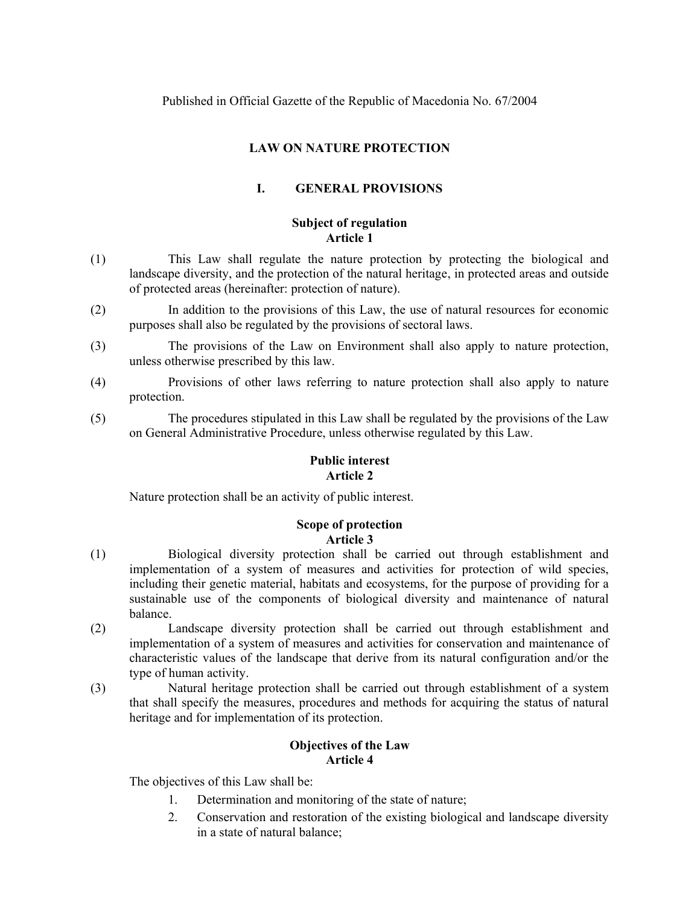# **LAW ON NATURE PROTECTION**

# **I. GENERAL PROVISIONS**

# **Subject of regulation Article 1**

- (1) This Law shall regulate the nature protection by protecting the biological and landscape diversity, and the protection of the natural heritage, in protected areas and outside of protected areas (hereinafter: protection of nature).
- (2) In addition to the provisions of this Law, the use of natural resources for economic purposes shall also be regulated by the provisions of sectoral laws.
- (3) The provisions of the Law on Environment shall also apply to nature protection, unless otherwise prescribed by this law.
- (4) Provisions of other laws referring to nature protection shall also apply to nature protection.
- (5) The procedures stipulated in this Law shall be regulated by the provisions of the Law on General Administrative Procedure, unless otherwise regulated by this Law.

# **Public interest Article 2**

Nature protection shall be an activity of public interest.

# **Scope of protection Article 3**

- (1) Biological diversity protection shall be carried out through establishment and implementation of a system of measures and activities for protection of wild species, including their genetic material, habitats and ecosystems, for the purpose of providing for a sustainable use of the components of biological diversity and maintenance of natural balance.
- (2) Landscape diversity protection shall be carried out through establishment and implementation of a system of measures and activities for conservation and maintenance of characteristic values of the landscape that derive from its natural configuration and/or the type of human activity.
- (3) Natural heritage protection shall be carried out through establishment of a system that shall specify the measures, procedures and methods for acquiring the status of natural heritage and for implementation of its protection.

# **Objectives of the Law Article 4**

The objectives of this Law shall be:

- 1. Determination and monitoring of the state of nature;
- 2. Conservation and restoration of the existing biological and landscape diversity in a state of natural balance;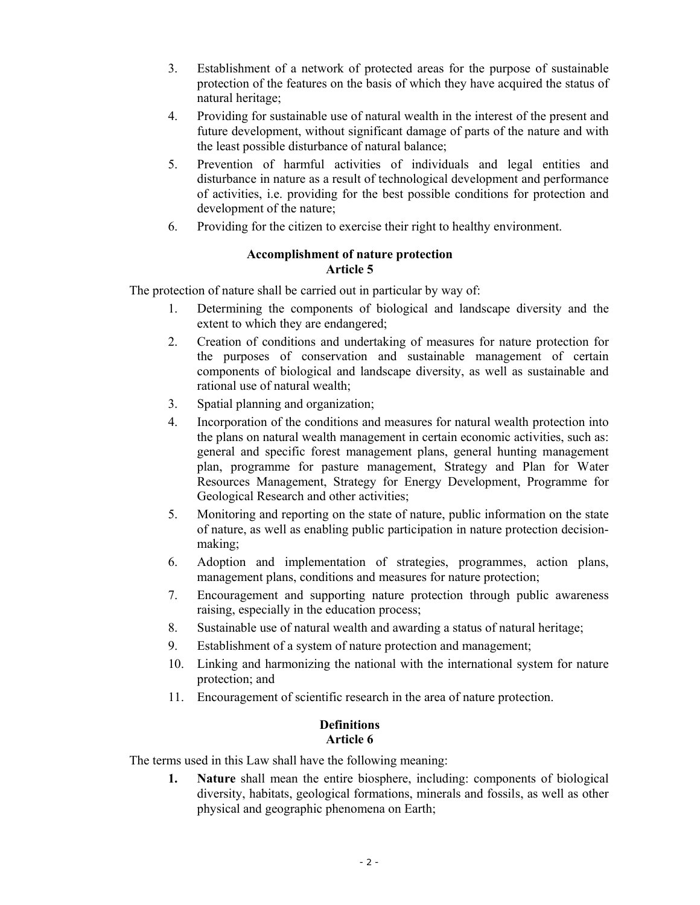- 3. Establishment of a network of protected areas for the purpose of sustainable protection of the features on the basis of which they have acquired the status of natural heritage;
- 4. Providing for sustainable use of natural wealth in the interest of the present and future development, without significant damage of parts of the nature and with the least possible disturbance of natural balance;
- 5. Prevention of harmful activities of individuals and legal entities and disturbance in nature as a result of technological development and performance of activities, i.e. providing for the best possible conditions for protection and development of the nature;
- 6. Providing for the citizen to exercise their right to healthy environment.

# **Accomplishment of nature protection Article 5**

The protection of nature shall be carried out in particular by way of:

- 1. Determining the components of biological and landscape diversity and the extent to which they are endangered;
- 2. Creation of conditions and undertaking of measures for nature protection for the purposes of conservation and sustainable management of certain components of biological and landscape diversity, as well as sustainable and rational use of natural wealth;
- 3. Spatial planning and organization;
- 4. Incorporation of the conditions and measures for natural wealth protection into the plans on natural wealth management in certain economic activities, such as: general and specific forest management plans, general hunting management plan, programme for pasture management, Strategy and Plan for Water Resources Management, Strategy for Energy Development, Programme for Geological Research and other activities;
- 5. Monitoring and reporting on the state of nature, public information on the state of nature, as well as enabling public participation in nature protection decisionmaking;
- 6. Adoption and implementation of strategies, programmes, action plans, management plans, conditions and measures for nature protection;
- 7. Encouragement and supporting nature protection through public awareness raising, especially in the education process;
- 8. Sustainable use of natural wealth and awarding a status of natural heritage;
- 9. Establishment of a system of nature protection and management;
- 10. Linking and harmonizing the national with the international system for nature protection; and
- 11. Encouragement of scientific research in the area of nature protection.

# **Definitions Article 6**

The terms used in this Law shall have the following meaning:

**1. Nature** shall mean the entire biosphere, including: components of biological diversity, habitats, geological formations, minerals and fossils, as well as other physical and geographic phenomena on Earth;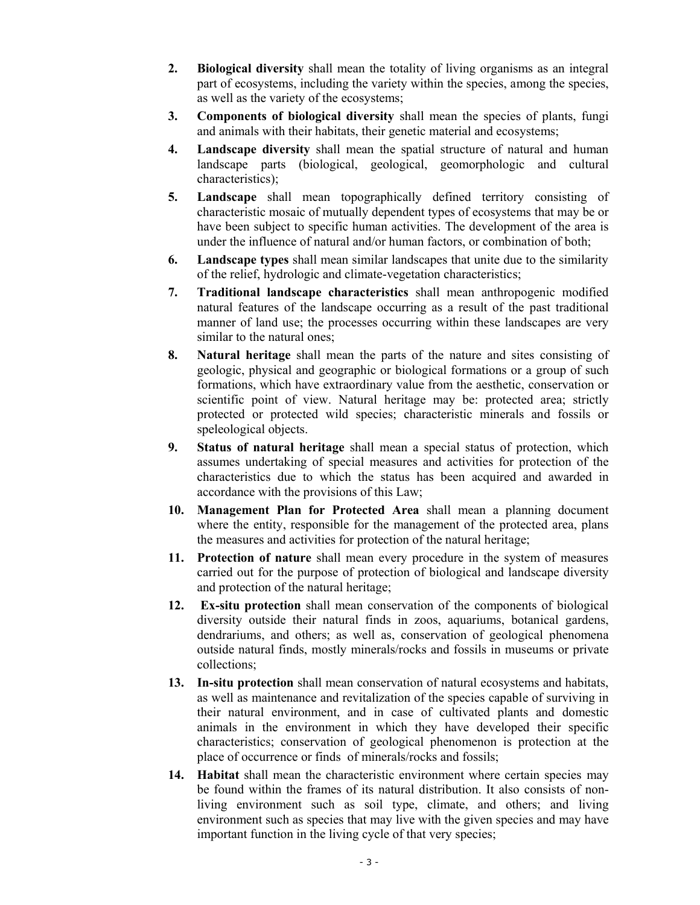- **2. Biological diversity** shall mean the totality of living organisms as an integral part of ecosystems, including the variety within the species, among the species, as well as the variety of the ecosystems;
- **3. Components of biological diversity** shall mean the species of plants, fungi and animals with their habitats, their genetic material and ecosystems;
- **4. Landscape diversity** shall mean the spatial structure of natural and human landscape parts (biological, geological, geomorphologic and cultural characteristics);
- **5. Landscape** shall mean topographically defined territory consisting of characteristic mosaic of mutually dependent types of ecosystems that may be or have been subject to specific human activities. The development of the area is under the influence of natural and/or human factors, or combination of both;
- **6. Landscape types** shall mean similar landscapes that unite due to the similarity of the relief, hydrologic and climate-vegetation characteristics;
- **7. Traditional landscape characteristics** shall mean anthropogenic modified natural features of the landscape occurring as a result of the past traditional manner of land use; the processes occurring within these landscapes are very similar to the natural ones;
- **8. Natural heritage** shall mean the parts of the nature and sites consisting of geologic, physical and geographic or biological formations or a group of such formations, which have extraordinary value from the aesthetic, conservation or scientific point of view. Natural heritage may be: protected area; strictly protected or protected wild species; characteristic minerals and fossils or speleological objects.
- **9. Status of natural heritage** shall mean a special status of protection, which assumes undertaking of special measures and activities for protection of the characteristics due to which the status has been acquired and awarded in accordance with the provisions of this Law;
- **10. Management Plan for Protected Area** shall mean a planning document where the entity, responsible for the management of the protected area, plans the measures and activities for protection of the natural heritage;
- **11. Protection of nature** shall mean every procedure in the system of measures carried out for the purpose of protection of biological and landscape diversity and protection of the natural heritage;
- **12. Ex-situ protection** shall mean conservation of the components of biological diversity outside their natural finds in zoos, aquariums, botanical gardens, dendrariums, and others; as well as, conservation of geological phenomena outside natural finds, mostly minerals/rocks and fossils in museums or private collections;
- **13. In-situ protection** shall mean conservation of natural ecosystems and habitats, as well as maintenance and revitalization of the species capable of surviving in their natural environment, and in case of cultivated plants and domestic animals in the environment in which they have developed their specific characteristics; conservation of geological phenomenon is protection at the place of occurrence or finds of minerals/rocks and fossils;
- **14. Habitat** shall mean the characteristic environment where certain species may be found within the frames of its natural distribution. It also consists of nonliving environment such as soil type, climate, and others; and living environment such as species that may live with the given species and may have important function in the living cycle of that very species;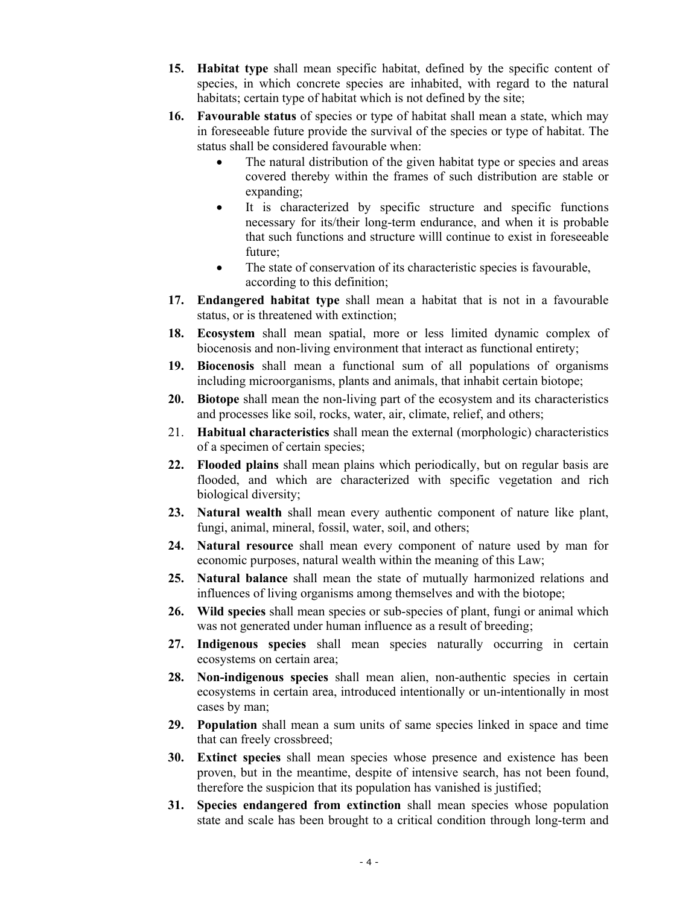- **15. Habitat type** shall mean specific habitat, defined by the specific content of species, in which concrete species are inhabited, with regard to the natural habitats; certain type of habitat which is not defined by the site;
- **16. Favourable status** of species or type of habitat shall mean a state, which may in foreseeable future provide the survival of the species or type of habitat. The status shall be considered favourable when:
	- The natural distribution of the given habitat type or species and areas covered thereby within the frames of such distribution are stable or expanding;
	- It is characterized by specific structure and specific functions necessary for its/their long-term endurance, and when it is probable that such functions and structure willl continue to exist in foreseeable future;
	- The state of conservation of its characteristic species is favourable, according to this definition;
- **17. Endangered habitat type** shall mean a habitat that is not in a favourable status, or is threatened with extinction;
- **18. Ecosystem** shall mean spatial, more or less limited dynamic complex of biocenosis and non-living environment that interact as functional entirety;
- **19. Biocenosis** shall mean a functional sum of all populations of organisms including microorganisms, plants and animals, that inhabit certain biotope;
- **20. Biotope** shall mean the non-living part of the ecosystem and its characteristics and processes like soil, rocks, water, air, climate, relief, and others;
- 21. **Habitual characteristics** shall mean the external (morphologic) characteristics of a specimen of certain species;
- **22. Flooded plains** shall mean plains which periodically, but on regular basis are flooded, and which are characterized with specific vegetation and rich biological diversity;
- **23. Natural wealth** shall mean every authentic component of nature like plant, fungi, animal, mineral, fossil, water, soil, and others;
- **24. Natural resource** shall mean every component of nature used by man for economic purposes, natural wealth within the meaning of this Law;
- **25. Natural balance** shall mean the state of mutually harmonized relations and influences of living organisms among themselves and with the biotope;
- **26. Wild species** shall mean species or sub-species of plant, fungi or animal which was not generated under human influence as a result of breeding;
- **27. Indigenous species** shall mean species naturally occurring in certain ecosystems on certain area;
- **28. Non-indigenous species** shall mean alien, non-authentic species in certain ecosystems in certain area, introduced intentionally or un-intentionally in most cases by man;
- **29. Population** shall mean a sum units of same species linked in space and time that can freely crossbreed;
- **30. Extinct species** shall mean species whose presence and existence has been proven, but in the meantime, despite of intensive search, has not been found, therefore the suspicion that its population has vanished is justified;
- **31. Species endangered from extinction** shall mean species whose population state and scale has been brought to a critical condition through long-term and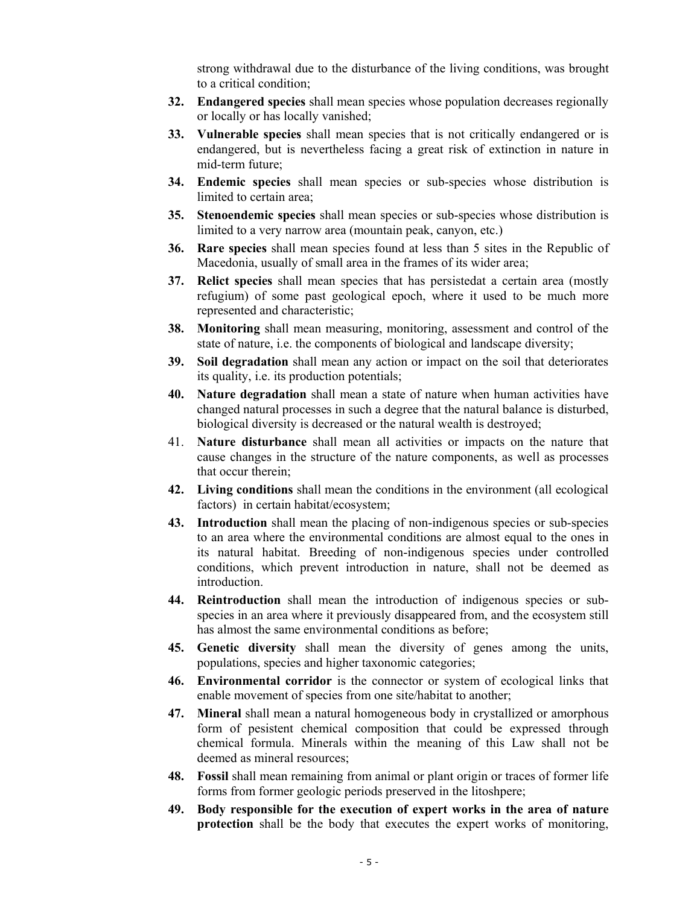strong withdrawal due to the disturbance of the living conditions, was brought to a critical condition;

- **32. Endangered species** shall mean species whose population decreases regionally or locally or has locally vanished;
- **33. Vulnerable species** shall mean species that is not critically endangered or is endangered, but is nevertheless facing a great risk of extinction in nature in mid-term future;
- **34. Endemic species** shall mean species or sub-species whose distribution is limited to certain area;
- **35. Stenoendemic species** shall mean species or sub-species whose distribution is limited to a very narrow area (mountain peak, canyon, etc.)
- **36. Rare species** shall mean species found at less than 5 sites in the Republic of Macedonia, usually of small area in the frames of its wider area;
- **37. Relict species** shall mean species that has persistedat a certain area (mostly refugium) of some past geological epoch, where it used to be much more represented and characteristic;
- **38. Monitoring** shall mean measuring, monitoring, assessment and control of the state of nature, i.e. the components of biological and landscape diversity;
- **39. Soil degradation** shall mean any action or impact on the soil that deteriorates its quality, i.e. its production potentials;
- **40. Nature degradation** shall mean a state of nature when human activities have changed natural processes in such a degree that the natural balance is disturbed, biological diversity is decreased or the natural wealth is destroyed;
- 41. **Nature disturbance** shall mean all activities or impacts on the nature that cause changes in the structure of the nature components, as well as processes that occur therein;
- **42. Living conditions** shall mean the conditions in the environment (all ecological factors) in certain habitat/ecosystem;
- **43. Introduction** shall mean the placing of non-indigenous species or sub-species to an area where the environmental conditions are almost equal to the ones in its natural habitat. Breeding of non-indigenous species under controlled conditions, which prevent introduction in nature, shall not be deemed as introduction.
- **44. Reintroduction** shall mean the introduction of indigenous species or subspecies in an area where it previously disappeared from, and the ecosystem still has almost the same environmental conditions as before;
- **45. Genetic diversity** shall mean the diversity of genes among the units, populations, species and higher taxonomic categories;
- **46. Environmental corridor** is the connector or system of ecological links that enable movement of species from one site/habitat to another;
- **47. Mineral** shall mean a natural homogeneous body in crystallized or amorphous form of pesistent chemical composition that could be expressed through chemical formula. Minerals within the meaning of this Law shall not be deemed as mineral resources;
- **48. Fossil** shall mean remaining from animal or plant origin or traces of former life forms from former geologic periods preserved in the litoshpere;
- **49. Body responsible for the execution of expert works in the area of nature protection** shall be the body that executes the expert works of monitoring,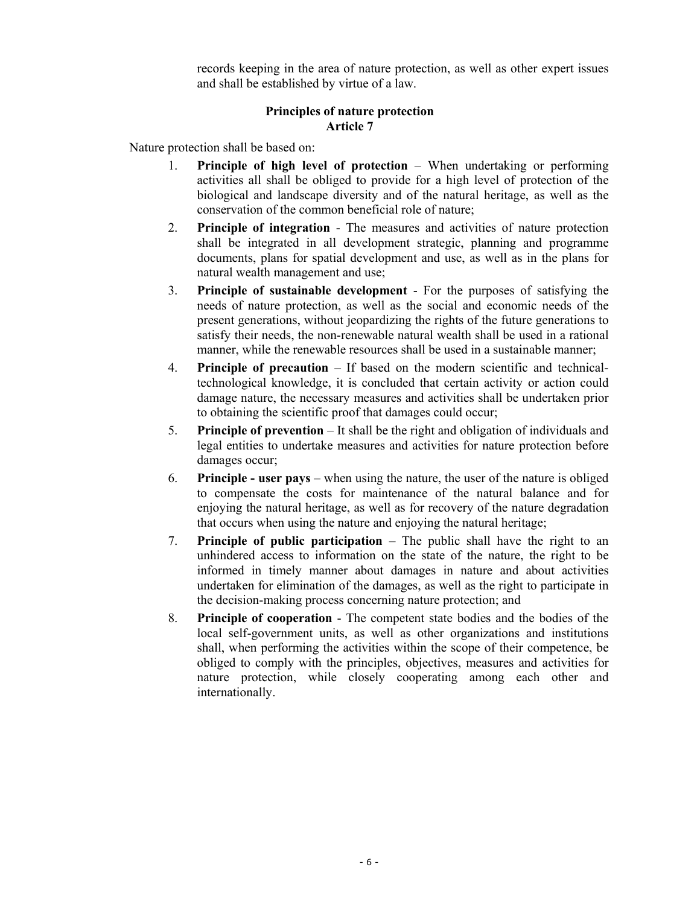records keeping in the area of nature protection, as well as other expert issues and shall be established by virtue of a law.

# **Principles of nature protection Article 7**

Nature protection shall be based on:

- 1. **Principle of high level of protection**  When undertaking or performing activities all shall be obliged to provide for a high level of protection of the biological and landscape diversity and of the natural heritage, as well as the conservation of the common beneficial role of nature;
- 2. **Principle of integration**  The measures and activities of nature protection shall be integrated in all development strategic, planning and programme documents, plans for spatial development and use, as well as in the plans for natural wealth management and use;
- 3. **Principle of sustainable development**  For the purposes of satisfying the needs of nature protection, as well as the social and economic needs of the present generations, without jeopardizing the rights of the future generations to satisfy their needs, the non-renewable natural wealth shall be used in a rational manner, while the renewable resources shall be used in a sustainable manner;
- 4. **Principle of precaution**  If based on the modern scientific and technicaltechnological knowledge, it is concluded that certain activity or action could damage nature, the necessary measures and activities shall be undertaken prior to obtaining the scientific proof that damages could occur;
- 5. **Principle of prevention**  It shall be the right and obligation of individuals and legal entities to undertake measures and activities for nature protection before damages occur;
- 6. **Principle user pays**  when using the nature, the user of the nature is obliged to compensate the costs for maintenance of the natural balance and for enjoying the natural heritage, as well as for recovery of the nature degradation that occurs when using the nature and enjoying the natural heritage;
- 7. **Principle of public participation**  The public shall have the right to an unhindered access to information on the state of the nature, the right to be informed in timely manner about damages in nature and about activities undertaken for elimination of the damages, as well as the right to participate in the decision-making process concerning nature protection; and
- 8. **Principle of cooperation**  The competent state bodies and the bodies of the local self-government units, as well as other organizations and institutions shall, when performing the activities within the scope of their competence, be obliged to comply with the principles, objectives, measures and activities for nature protection, while closely cooperating among each other and internationally.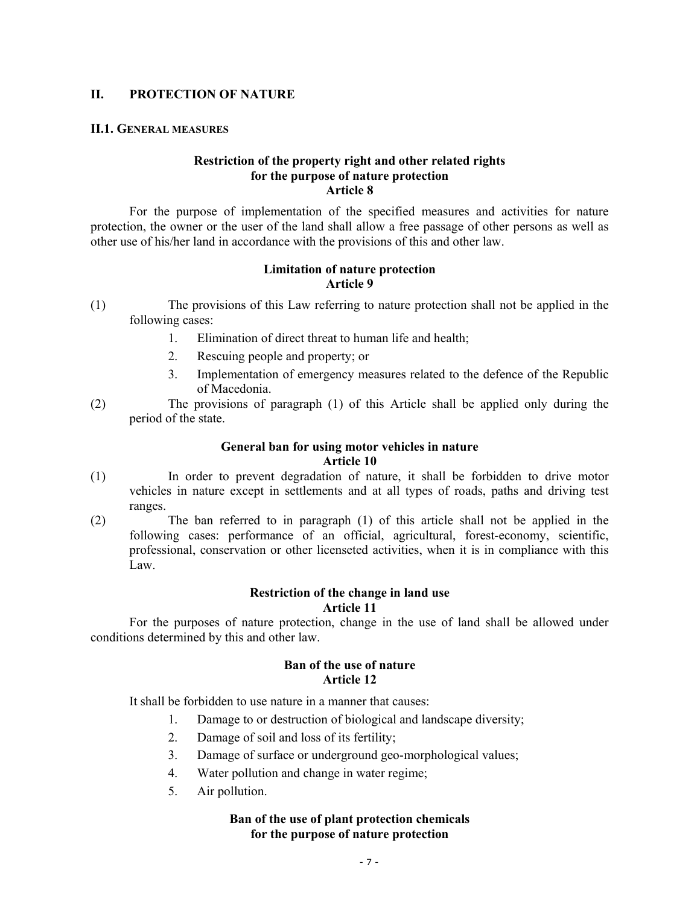### **II. PROTECTION OF NATURE**

#### **II.1. GENERAL MEASURES**

### **Restriction of the property right and other related rights for the purpose of nature protection Article 8**

For the purpose of implementation of the specified measures and activities for nature protection, the owner or the user of the land shall allow a free passage of other persons as well as other use of his/her land in accordance with the provisions of this and other law.

#### **Limitation of nature protection Article 9**

- (1) The provisions of this Law referring to nature protection shall not be applied in the following cases:
	- 1. Elimination of direct threat to human life and health;
	- 2. Rescuing people and property; or
	- 3. Implementation of emergency measures related to the defence of the Republic of Macedonia.
- (2) The provisions of paragraph (1) of this Article shall be applied only during the period of the state.

# **General ban for using motor vehicles in nature Article 10**

- (1) In order to prevent degradation of nature, it shall be forbidden to drive motor vehicles in nature except in settlements and at all types of roads, paths and driving test ranges.
- (2) The ban referred to in paragraph (1) of this article shall not be applied in the following cases: performance of an official, agricultural, forest-economy, scientific, professional, conservation or other licenseted activities, when it is in compliance with this Law.

#### **Restriction of the change in land use Article 11**

For the purposes of nature protection, change in the use of land shall be allowed under conditions determined by this and other law.

# **Ban of the use of nature Article 12**

It shall be forbidden to use nature in a manner that causes:

- 1. Damage to or destruction of biological and landscape diversity;
- 2. Damage of soil and loss of its fertility;
- 3. Damage of surface or underground geo-morphological values;
- 4. Water pollution and change in water regime;
- 5. Air pollution.

### **Ban of the use of plant protection chemicals for the purpose of nature protection**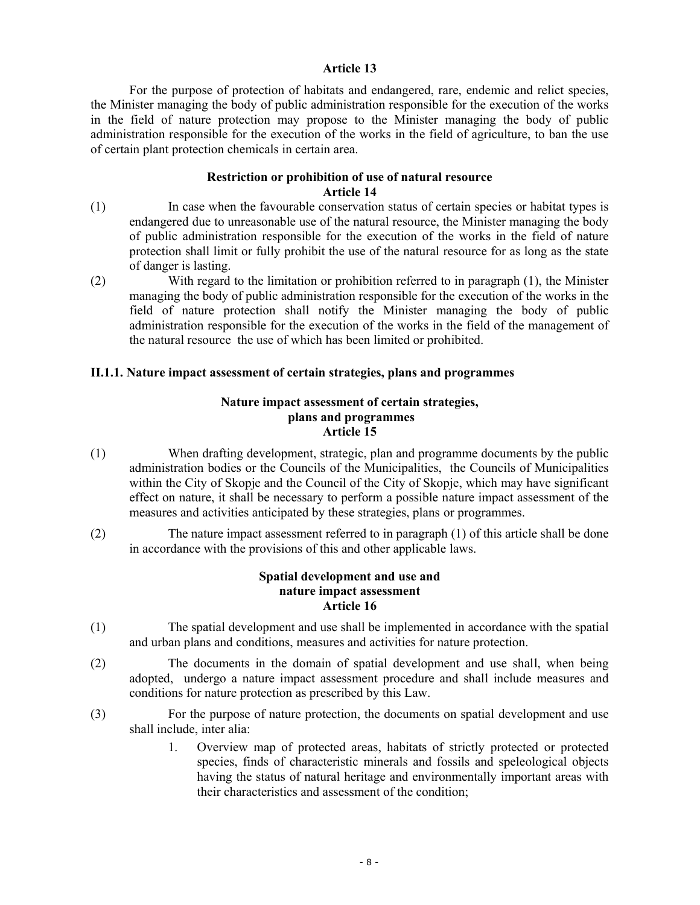### **Article 13**

For the purpose of protection of habitats and endangered, rare, endemic and relict species, the Minister managing the body of public administration responsible for the execution of the works in the field of nature protection may propose to the Minister managing the body of public administration responsible for the execution of the works in the field of agriculture, to ban the use of certain plant protection chemicals in certain area.

### **Restriction or prohibition of use of natural resource Article 14**

- (1) In case when the favourable conservation status of certain species or habitat types is endangered due to unreasonable use of the natural resource, the Minister managing the body of public administration responsible for the execution of the works in the field of nature protection shall limit or fully prohibit the use of the natural resource for as long as the state of danger is lasting.
- (2) With regard to the limitation or prohibition referred to in paragraph (1), the Minister managing the body of public administration responsible for the execution of the works in the field of nature protection shall notify the Minister managing the body of public administration responsible for the execution of the works in the field of the management of the natural resource the use of which has been limited or prohibited.

### **II.1.1. Nature impact assessment of certain strategies, plans and programmes**

### **Nature impact assessment of certain strategies, plans and programmes Article 15**

- (1) When drafting development, strategic, plan and programme documents by the public administration bodies or the Councils of the Municipalities, the Councils of Municipalities within the City of Skopje and the Council of the City of Skopje, which may have significant effect on nature, it shall be necessary to perform a possible nature impact assessment of the measures and activities anticipated by these strategies, plans or programmes.
- (2) The nature impact assessment referred to in paragraph (1) of this article shall be done in accordance with the provisions of this and other applicable laws.

### **Spatial development and use and nature impact assessment Article 16**

- (1) The spatial development and use shall be implemented in accordance with the spatial and urban plans and conditions, measures and activities for nature protection.
- (2) The documents in the domain of spatial development and use shall, when being adopted, undergo a nature impact assessment procedure and shall include measures and conditions for nature protection as prescribed by this Law.
- (3) For the purpose of nature protection, the documents on spatial development and use shall include, inter alia:
	- 1. Overview map of protected areas, habitats of strictly protected or protected species, finds of characteristic minerals and fossils and speleological objects having the status of natural heritage and environmentally important areas with their characteristics and assessment of the condition;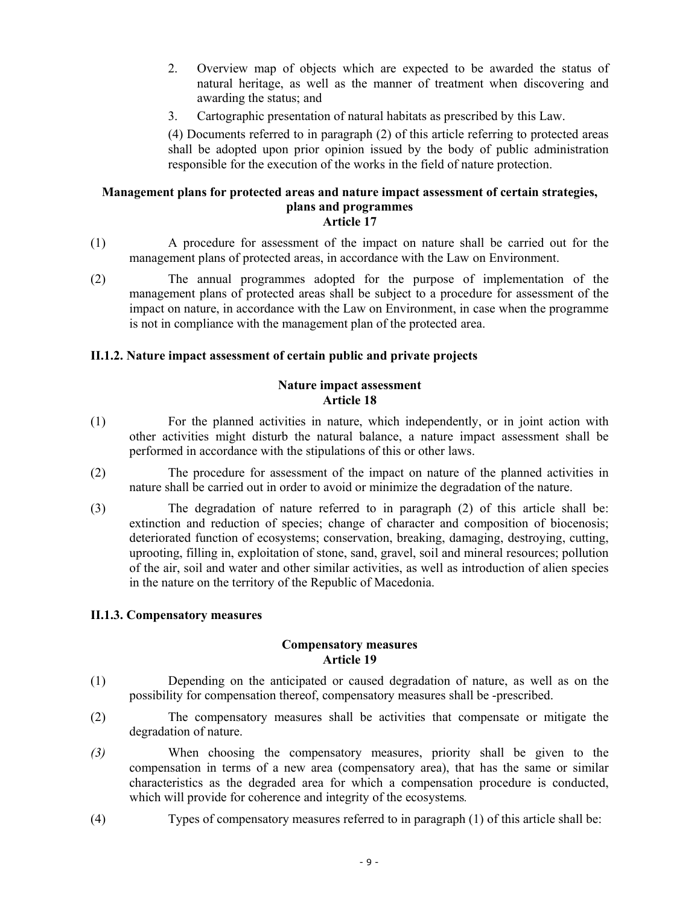- 2. Overview map of objects which are expected to be awarded the status of natural heritage, as well as the manner of treatment when discovering and awarding the status; and
- 3. Cartographic presentation of natural habitats as prescribed by this Law.

(4) Documents referred to in paragraph (2) of this article referring to protected areas shall be adopted upon prior opinion issued by the body of public administration responsible for the execution of the works in the field of nature protection.

#### **Management plans for protected areas and nature impact assessment of certain strategies, plans and programmes Article 17**

- (1) A procedure for assessment of the impact on nature shall be carried out for the management plans of protected areas, in accordance with the Law on Environment.
- (2) The annual programmes adopted for the purpose of implementation of the management plans of protected areas shall be subject to a procedure for assessment of the impact on nature, in accordance with the Law on Environment, in case when the programme is not in compliance with the management plan of the protected area.

# **II.1.2. Nature impact assessment of certain public and private projects**

### **Nature impact assessment Article 18**

- (1) For the planned activities in nature, which independently, or in joint action with other activities might disturb the natural balance, a nature impact assessment shall be performed in accordance with the stipulations of this or other laws.
- (2) The procedure for assessment of the impact on nature of the planned activities in nature shall be carried out in order to avoid or minimize the degradation of the nature.
- (3) The degradation of nature referred to in paragraph (2) of this article shall be: extinction and reduction of species; change of character and composition of biocenosis; deteriorated function of ecosystems; conservation, breaking, damaging, destroying, cutting, uprooting, filling in, exploitation of stone, sand, gravel, soil and mineral resources; pollution of the air, soil and water and other similar activities, as well as introduction of alien species in the nature on the territory of the Republic of Macedonia.

### **II.1.3. Compensatory measures**

#### **Compensatory measures Article 19**

- (1) Depending on the anticipated or caused degradation of nature, as well as on the possibility for compensation thereof, compensatory measures shall be -prescribed.
- (2) The compensatory measures shall be activities that compensate or mitigate the degradation of nature.
- *(3)* When choosing the compensatory measures, priority shall be given to the compensation in terms of a new area (compensatory area), that has the same or similar characteristics as the degraded area for which a compensation procedure is conducted, which will provide for coherence and integrity of the ecosystems*.*
- (4) Types of compensatory measures referred to in paragraph (1) of this article shall be: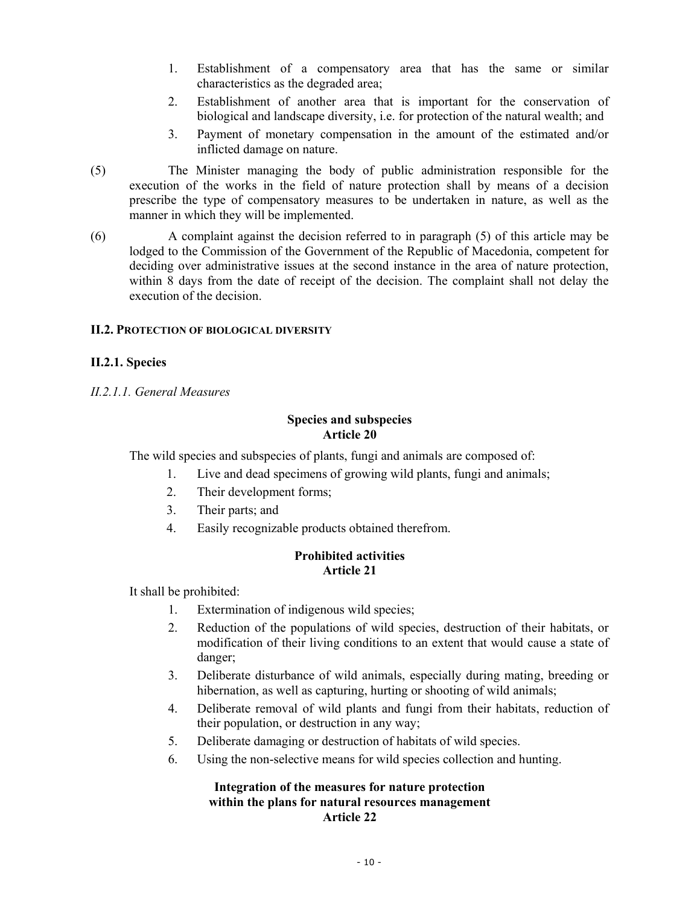- 1. Establishment of a compensatory area that has the same or similar characteristics as the degraded area;
- 2. Establishment of another area that is important for the conservation of biological and landscape diversity, i.e. for protection of the natural wealth; and
- 3. Payment of monetary compensation in the amount of the estimated and/or inflicted damage on nature.
- (5) The Minister managing the body of public administration responsible for the execution of the works in the field of nature protection shall by means of a decision prescribe the type of compensatory measures to be undertaken in nature, as well as the manner in which they will be implemented.
- (6) A complaint against the decision referred to in paragraph (5) of this article may be lodged to the Commission of the Government of the Republic of Macedonia, competent for deciding over administrative issues at the second instance in the area of nature protection, within 8 days from the date of receipt of the decision. The complaint shall not delay the execution of the decision.

### **II.2. PROTECTION OF BIOLOGICAL DIVERSITY**

# **II.2.1. Species**

*II.2.1.1. General Measures* 

### **Species and subspecies Article 20**

The wild species and subspecies of plants, fungi and animals are composed of:

- 1. Live and dead specimens of growing wild plants, fungi and animals;
- 2. Their development forms;
- 3. Their parts; and
- 4. Easily recognizable products obtained therefrom.

### **Prohibited activities Article 21**

It shall be prohibited:

- 1. Extermination of indigenous wild species;
- 2. Reduction of the populations of wild species, destruction of their habitats, or modification of their living conditions to an extent that would cause a state of danger;
- 3. Deliberate disturbance of wild animals, especially during mating, breeding or hibernation, as well as capturing, hurting or shooting of wild animals;
- 4. Deliberate removal of wild plants and fungi from their habitats, reduction of their population, or destruction in any way;
- 5. Deliberate damaging or destruction of habitats of wild species.
- 6. Using the non-selective means for wild species collection and hunting.

### **Integration of the measures for nature protection within the plans for natural resources management Article 22**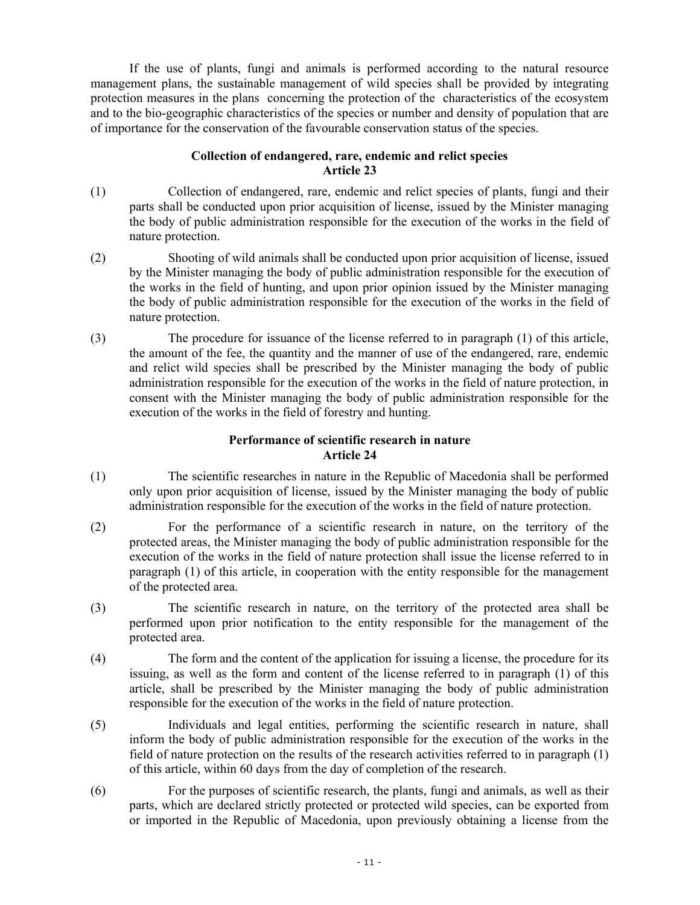If the use of plants, fungi and animals is performed according to the natural resource management plans, the sustainable management of wild species shall be provided by integrating protection measures in the plans concerning the protection of the characteristics of the ecosystem and to the bio-geographic characteristics of the species or number and density of population that are of importance for the conservation of the favourable conservation status of the species.

# **Collection of endangered, rare, endemic and relict species Article 23**

- (1) Collection of endangered, rare, endemic and relict species of plants, fungi and their parts shall be conducted upon prior acquisition of license, issued by the Minister managing the body of public administration responsible for the execution of the works in the field of nature protection.
- (2) Shooting of wild animals shall be conducted upon prior acquisition of license, issued by the Minister managing the body of public administration responsible for the execution of the works in the field of hunting, and upon prior opinion issued by the Minister managing the body of public administration responsible for the execution of the works in the field of nature protection.
- (3) The procedure for issuance of the license referred to in paragraph (1) of this article, the amount of the fee, the quantity and the manner of use of the endangered, rare, endemic and relict wild species shall be prescribed by the Minister managing the body of public administration responsible for the execution of the works in the field of nature protection, in consent with the Minister managing the body of public administration responsible for the execution of the works in the field of forestry and hunting.

# **Performance of scientific research in nature Article 24**

- (1) The scientific researches in nature in the Republic of Macedonia shall be performed only upon prior acquisition of license, issued by the Minister managing the body of public administration responsible for the execution of the works in the field of nature protection.
- (2) For the performance of a scientific research in nature, on the territory of the protected areas, the Minister managing the body of public administration responsible for the execution of the works in the field of nature protection shall issue the license referred to in paragraph (1) of this article, in cooperation with the entity responsible for the management of the protected area.
- (3) The scientific research in nature, on the territory of the protected area shall be performed upon prior notification to the entity responsible for the management of the protected area.
- (4) The form and the content of the application for issuing a license, the procedure for its issuing, as well as the form and content of the license referred to in paragraph (1) of this article, shall be prescribed by the Minister managing the body of public administration responsible for the execution of the works in the field of nature protection.
- (5) Individuals and legal entities, performing the scientific research in nature, shall inform the body of public administration responsible for the execution of the works in the field of nature protection on the results of the research activities referred to in paragraph (1) of this article, within 60 days from the day of completion of the research.
- (6) For the purposes of scientific research, the plants, fungi and animals, as well as their parts, which are declared strictly protected or protected wild species, can be exported from or imported in the Republic of Macedonia, upon previously obtaining a license from the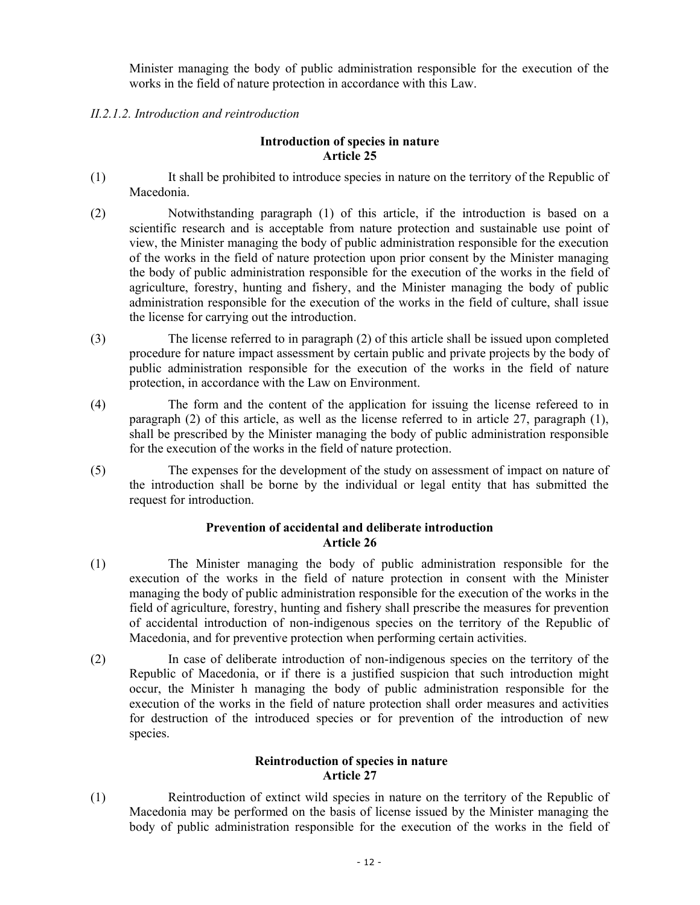Minister managing the body of public administration responsible for the execution of the works in the field of nature protection in accordance with this Law.

# *II.2.1.2. Introduction and reintroduction*

### **Introduction of species in nature Article 25**

- (1) It shall be prohibited to introduce species in nature on the territory of the Republic of Macedonia.
- (2) Notwithstanding paragraph (1) of this article, if the introduction is based on a scientific research and is acceptable from nature protection and sustainable use point of view, the Minister managing the body of public administration responsible for the execution of the works in the field of nature protection upon prior consent by the Minister managing the body of public administration responsible for the execution of the works in the field of agriculture, forestry, hunting and fishery, and the Minister managing the body of public administration responsible for the execution of the works in the field of culture, shall issue the license for carrying out the introduction.
- (3) The license referred to in paragraph (2) of this article shall be issued upon completed procedure for nature impact assessment by certain public and private projects by the body of public administration responsible for the execution of the works in the field of nature protection, in accordance with the Law on Environment.
- (4) The form and the content of the application for issuing the license refereed to in paragraph (2) of this article, as well as the license referred to in article 27, paragraph (1), shall be prescribed by the Minister managing the body of public administration responsible for the execution of the works in the field of nature protection.
- (5) The expenses for the development of the study on assessment of impact on nature of the introduction shall be borne by the individual or legal entity that has submitted the request for introduction.

# **Prevention of accidental and deliberate introduction Article 26**

- (1) The Minister managing the body of public administration responsible for the execution of the works in the field of nature protection in consent with the Minister managing the body of public administration responsible for the execution of the works in the field of agriculture, forestry, hunting and fishery shall prescribe the measures for prevention of accidental introduction of non-indigenous species on the territory of the Republic of Macedonia, and for preventive protection when performing certain activities.
- (2) In case of deliberate introduction of non-indigenous species on the territory of the Republic of Macedonia, or if there is a justified suspicion that such introduction might occur, the Minister h managing the body of public administration responsible for the execution of the works in the field of nature protection shall order measures and activities for destruction of the introduced species or for prevention of the introduction of new species.

# **Reintroduction of species in nature Article 27**

(1) Reintroduction of extinct wild species in nature on the territory of the Republic of Macedonia may be performed on the basis of license issued by the Minister managing the body of public administration responsible for the execution of the works in the field of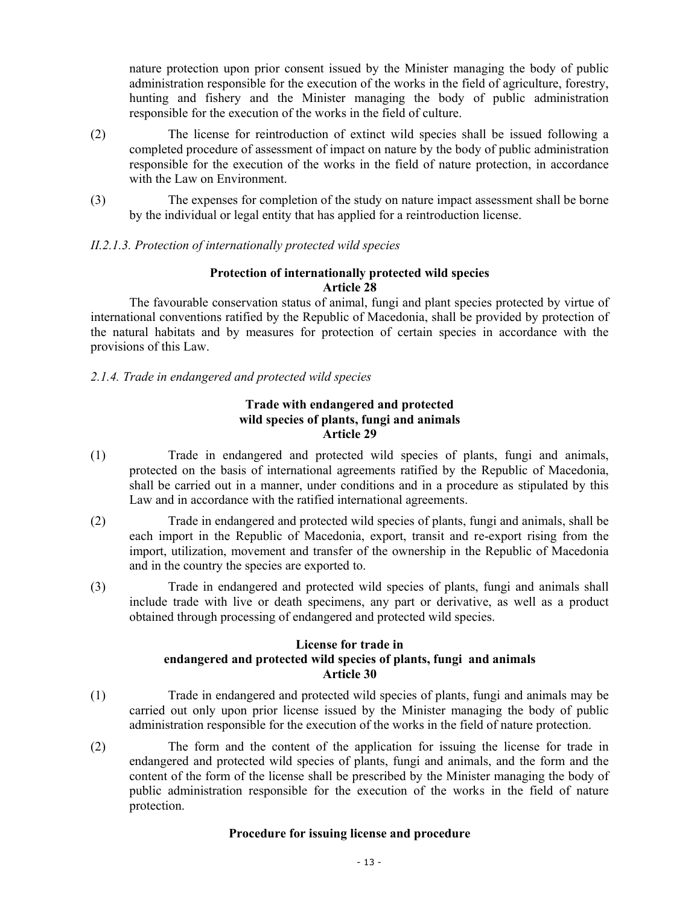nature protection upon prior consent issued by the Minister managing the body of public administration responsible for the execution of the works in the field of agriculture, forestry, hunting and fishery and the Minister managing the body of public administration responsible for the execution of the works in the field of culture.

- (2) The license for reintroduction of extinct wild species shall be issued following a completed procedure of assessment of impact on nature by the body of public administration responsible for the execution of the works in the field of nature protection, in accordance with the Law on Environment.
- (3) The expenses for completion of the study on nature impact assessment shall be borne by the individual or legal entity that has applied for a reintroduction license.

# *II.2.1.3. Protection of internationally protected wild species*

# **Protection of internationally protected wild species Article 28**

The favourable conservation status of animal, fungi and plant species protected by virtue of international conventions ratified by the Republic of Macedonia, shall be provided by protection of the natural habitats and by measures for protection of certain species in accordance with the provisions of this Law.

# *2.1.4. Trade in endangered and protected wild species*

# **Trade with endangered and protected wild species of plants, fungi and animals Article 29**

- (1) Trade in endangered and protected wild species of plants, fungi and animals, protected on the basis of international agreements ratified by the Republic of Macedonia, shall be carried out in a manner, under conditions and in a procedure as stipulated by this Law and in accordance with the ratified international agreements.
- (2) Trade in endangered and protected wild species of plants, fungi and animals, shall be each import in the Republic of Macedonia, export, transit and re-export rising from the import, utilization, movement and transfer of the ownership in the Republic of Macedonia and in the country the species are exported to.
- (3) Trade in endangered and protected wild species of plants, fungi and animals shall include trade with live or death specimens, any part or derivative, as well as a product obtained through processing of endangered and protected wild species.

# **License for trade in endangered and protected wild species of plants, fungi and animals Article 30**

- (1) Trade in endangered and protected wild species of plants, fungi and animals may be carried out only upon prior license issued by the Minister managing the body of public administration responsible for the execution of the works in the field of nature protection.
- (2) The form and the content of the application for issuing the license for trade in endangered and protected wild species of plants, fungi and animals, and the form and the content of the form of the license shall be prescribed by the Minister managing the body of public administration responsible for the execution of the works in the field of nature protection.

### **Procedure for issuing license and procedure**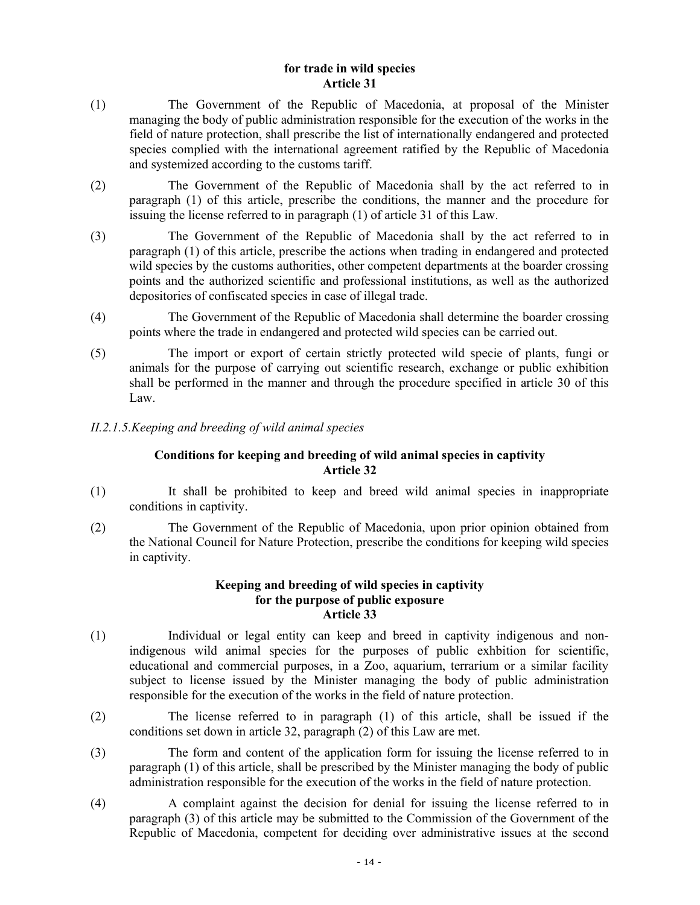### **for trade in wild species Article 31**

- (1) The Government of the Republic of Macedonia, at proposal of the Minister managing the body of public administration responsible for the execution of the works in the field of nature protection, shall prescribe the list of internationally endangered and protected species complied with the international agreement ratified by the Republic of Macedonia and systemized according to the customs tariff.
- (2) The Government of the Republic of Macedonia shall by the act referred to in paragraph (1) of this article, prescribe the conditions, the manner and the procedure for issuing the license referred to in paragraph (1) of article 31 of this Law.
- (3) The Government of the Republic of Macedonia shall by the act referred to in paragraph (1) of this article, prescribe the actions when trading in endangered and protected wild species by the customs authorities, other competent departments at the boarder crossing points and the authorized scientific and professional institutions, as well as the authorized depositories of confiscated species in case of illegal trade.
- (4) The Government of the Republic of Macedonia shall determine the boarder crossing points where the trade in endangered and protected wild species can be carried out.
- (5) The import or export of certain strictly protected wild specie of plants, fungi or animals for the purpose of carrying out scientific research, exchange or public exhibition shall be performed in the manner and through the procedure specified in article 30 of this Law.
- *II.2.1.5.Keeping and breeding of wild animal species*

# **Conditions for keeping and breeding of wild animal species in captivity Article 32**

- (1) It shall be prohibited to keep and breed wild animal species in inappropriate conditions in captivity.
- (2) The Government of the Republic of Macedonia, upon prior opinion obtained from the National Council for Nature Protection, prescribe the conditions for keeping wild species in captivity.

### **Keeping and breeding of wild species in captivity for the purpose of public exposure Article 33**

- (1) Individual or legal entity can keep and breed in captivity indigenous and nonindigenous wild animal species for the purposes of public exhbition for scientific, educational and commercial purposes, in a Zoo, aquarium, terrarium or a similar facility subject to license issued by the Minister managing the body of public administration responsible for the execution of the works in the field of nature protection.
- (2) The license referred to in paragraph (1) of this article, shall be issued if the conditions set down in article 32, paragraph (2) of this Law are met.
- (3) The form and content of the application form for issuing the license referred to in paragraph (1) of this article, shall be prescribed by the Minister managing the body of public administration responsible for the execution of the works in the field of nature protection.
- (4) A complaint against the decision for denial for issuing the license referred to in paragraph (3) of this article may be submitted to the Commission of the Government of the Republic of Macedonia, competent for deciding over administrative issues at the second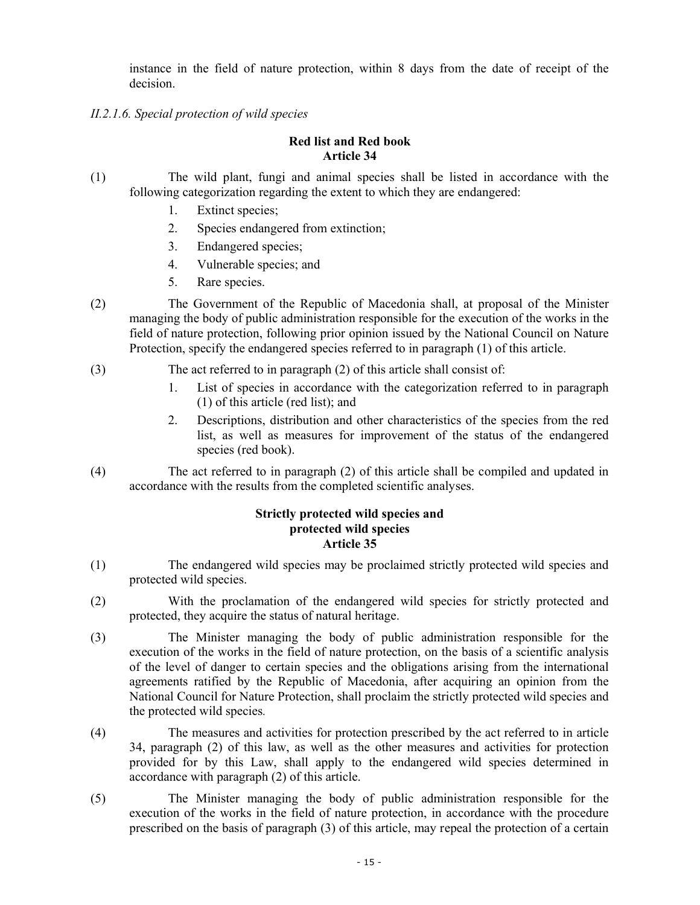instance in the field of nature protection, within 8 days from the date of receipt of the decision.

*II.2.1.6. Special protection of wild species* 

# **Red list and Red book Article 34**

- (1) The wild plant, fungi and animal species shall be listed in accordance with the following categorization regarding the extent to which they are endangered:
	- 1. Extinct species;
	- 2. Species endangered from extinction;
	- 3. Endangered species;
	- 4. Vulnerable species; and
	- 5. Rare species.
- (2) The Government of the Republic of Macedonia shall, at proposal of the Minister managing the body of public administration responsible for the execution of the works in the field of nature protection, following prior opinion issued by the National Council on Nature Protection, specify the endangered species referred to in paragraph (1) of this article.
- (3) The act referred to in paragraph (2) of this article shall consist of:
	- 1. List of species in accordance with the categorization referred to in paragraph (1) of this article (red list); and
	- 2. Descriptions, distribution and other characteristics of the species from the red list, as well as measures for improvement of the status of the endangered species (red book).
- (4) The act referred to in paragraph (2) of this article shall be compiled and updated in accordance with the results from the completed scientific analyses.

### **Strictly protected wild species and protected wild species Article 35**

- (1) The endangered wild species may be proclaimed strictly protected wild species and protected wild species.
- (2) With the proclamation of the endangered wild species for strictly protected and protected, they acquire the status of natural heritage.
- (3) The Minister managing the body of public administration responsible for the execution of the works in the field of nature protection, on the basis of a scientific analysis of the level of danger to certain species and the obligations arising from the international agreements ratified by the Republic of Macedonia, after acquiring an opinion from the National Council for Nature Protection, shall proclaim the strictly protected wild species and the protected wild species*.*
- (4) The measures and activities for protection prescribed by the act referred to in article 34, paragraph (2) of this law, as well as the other measures and activities for protection provided for by this Law, shall apply to the endangered wild species determined in accordance with paragraph (2) of this article.
- (5) The Minister managing the body of public administration responsible for the execution of the works in the field of nature protection, in accordance with the procedure prescribed on the basis of paragraph (3) of this article, may repeal the protection of a certain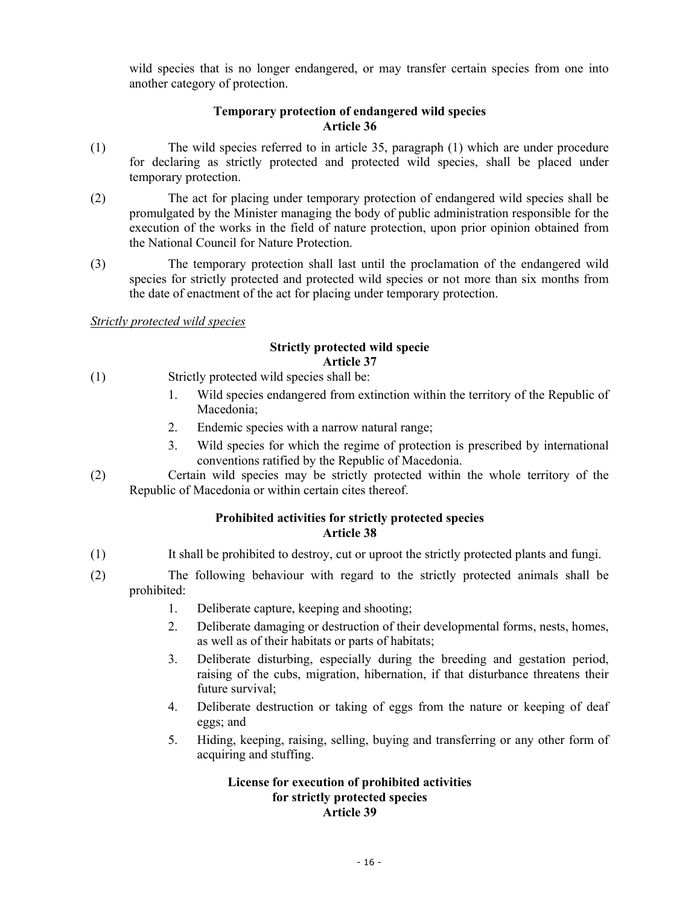wild species that is no longer endangered, or may transfer certain species from one into another category of protection.

# **Temporary protection of endangered wild species Article 36**

- (1) The wild species referred to in article 35, paragraph (1) which are under procedure for declaring as strictly protected and protected wild species, shall be placed under temporary protection.
- (2) The act for placing under temporary protection of endangered wild species shall be promulgated by the Minister managing the body of public administration responsible for the execution of the works in the field of nature protection, upon prior opinion obtained from the National Council for Nature Protection.
- (3) The temporary protection shall last until the proclamation of the endangered wild species for strictly protected and protected wild species or not more than six months from the date of enactment of the act for placing under temporary protection.

# *Strictly protected wild species*

### **Strictly protected wild specie Article 37**

- (1) Strictly protected wild species shall be:
	- 1. Wild species endangered from extinction within the territory of the Republic of Macedonia;
	- 2. Endemic species with a narrow natural range;
	- 3. Wild species for which the regime of protection is prescribed by international conventions ratified by the Republic of Macedonia.
- (2) Certain wild species may be strictly protected within the whole territory of the Republic of Macedonia or within certain cites thereof.

# **Prohibited activities for strictly protected species Article 38**

- (1) It shall be prohibited to destroy, cut or uproot the strictly protected plants and fungi.
- (2) The following behaviour with regard to the strictly protected animals shall be prohibited:
	- 1. Deliberate capture, keeping and shooting;
	- 2. Deliberate damaging or destruction of their developmental forms, nests, homes, as well as of their habitats or parts of habitats;
	- 3. Deliberate disturbing, especially during the breeding and gestation period, raising of the cubs, migration, hibernation, if that disturbance threatens their future survival;
	- 4. Deliberate destruction or taking of eggs from the nature or keeping of deaf eggs; and
	- 5. Hiding, keeping, raising, selling, buying and transferring or any other form of acquiring and stuffing.

#### **License for execution of prohibited activities for strictly protected species Article 39**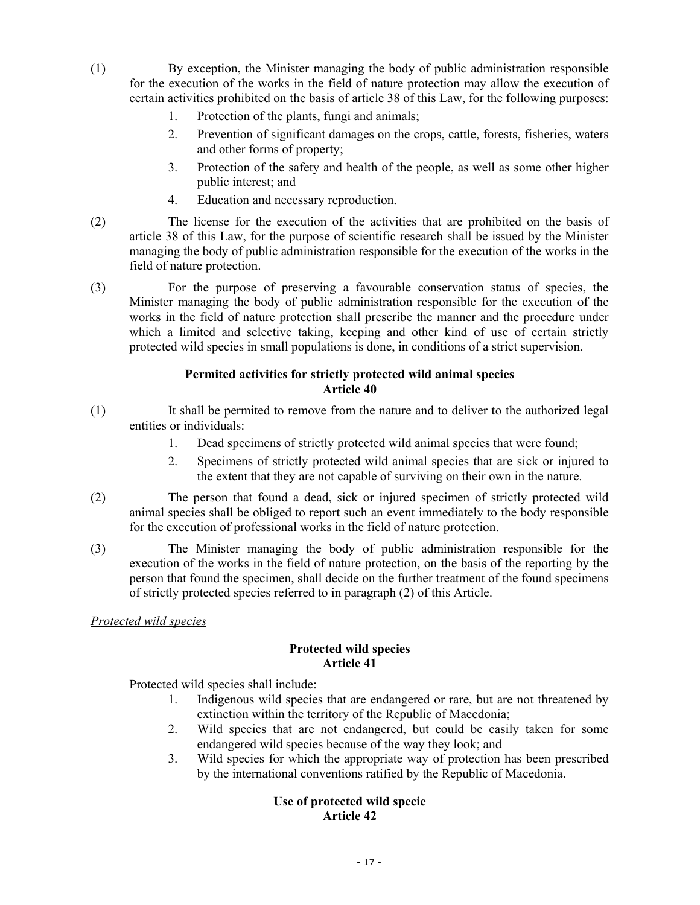- (1) By exception, the Minister managing the body of public administration responsible for the execution of the works in the field of nature protection may allow the execution of certain activities prohibited on the basis of article 38 of this Law, for the following purposes:
	- 1. Protection of the plants, fungi and animals;
	- 2. Prevention of significant damages on the crops, cattle, forests, fisheries, waters and other forms of property;
	- 3. Protection of the safety and health of the people, as well as some other higher public interest; and
	- 4. Education and necessary reproduction.
- (2) The license for the execution of the activities that are prohibited on the basis of article 38 of this Law, for the purpose of scientific research shall be issued by the Minister managing the body of public administration responsible for the execution of the works in the field of nature protection.
- (3) For the purpose of preserving a favourable conservation status of species, the Minister managing the body of public administration responsible for the execution of the works in the field of nature protection shall prescribe the manner and the procedure under which a limited and selective taking, keeping and other kind of use of certain strictly protected wild species in small populations is done, in conditions of a strict supervision.

# **Permited activities for strictly protected wild animal species Article 40**

- (1) It shall be permited to remove from the nature and to deliver to the authorized legal entities or individuals:
	- 1. Dead specimens of strictly protected wild animal species that were found;
	- 2. Specimens of strictly protected wild animal species that are sick or injured to the extent that they are not capable of surviving on their own in the nature.
- (2) The person that found a dead, sick or injured specimen of strictly protected wild animal species shall be obliged to report such an event immediately to the body responsible for the execution of professional works in the field of nature protection.
- (3) The Minister managing the body of public administration responsible for the execution of the works in the field of nature protection, on the basis of the reporting by the person that found the specimen, shall decide on the further treatment of the found specimens of strictly protected species referred to in paragraph (2) of this Article.

# *Protected wild species*

# **Protected wild species Article 41**

Protected wild species shall include:

- 1. Indigenous wild species that are endangered or rare, but are not threatened by extinction within the territory of the Republic of Macedonia;
- 2. Wild species that are not endangered, but could be easily taken for some endangered wild species because of the way they look; and
- 3. Wild species for which the appropriate way of protection has been prescribed by the international conventions ratified by the Republic of Macedonia.

# **Use of protected wild specie Article 42**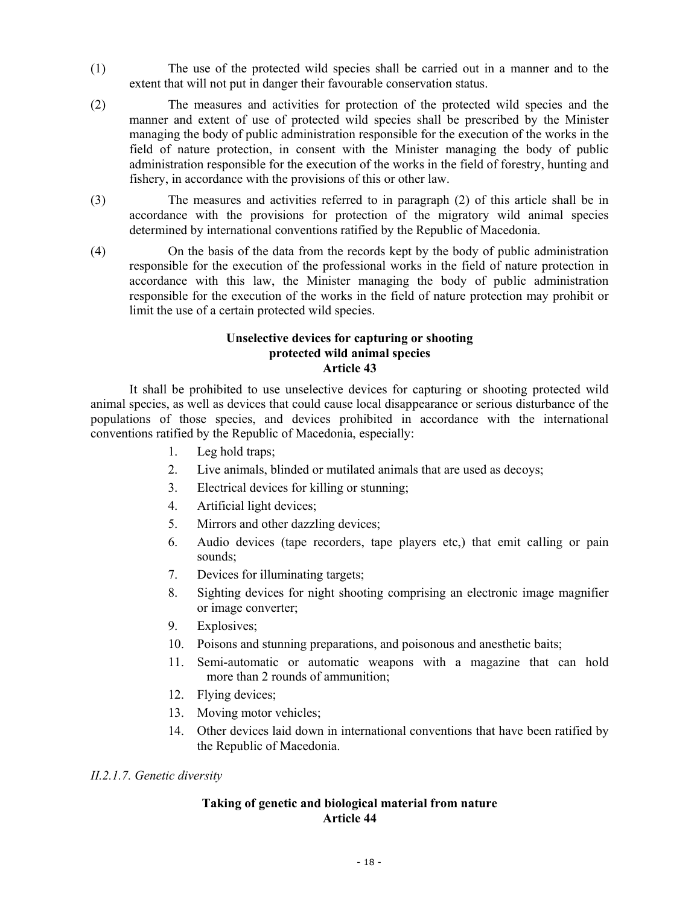- (1) The use of the protected wild species shall be carried out in a manner and to the extent that will not put in danger their favourable conservation status.
- (2) The measures and activities for protection of the protected wild species and the manner and extent of use of protected wild species shall be prescribed by the Minister managing the body of public administration responsible for the execution of the works in the field of nature protection, in consent with the Minister managing the body of public administration responsible for the execution of the works in the field of forestry, hunting and fishery, in accordance with the provisions of this or other law.
- (3) The measures and activities referred to in paragraph (2) of this article shall be in accordance with the provisions for protection of the migratory wild animal species determined by international conventions ratified by the Republic of Macedonia.
- (4) On the basis of the data from the records kept by the body of public administration responsible for the execution of the professional works in the field of nature protection in accordance with this law, the Minister managing the body of public administration responsible for the execution of the works in the field of nature protection may prohibit or limit the use of a certain protected wild species.

### **Unselective devices for capturing or shooting protected wild animal species Article 43**

 It shall be prohibited to use unselective devices for capturing or shooting protected wild animal species, as well as devices that could cause local disappearance or serious disturbance of the populations of those species, and devices prohibited in accordance with the international conventions ratified by the Republic of Macedonia, especially:

- 1. Leg hold traps;
- 2. Live animals, blinded or mutilated animals that are used as decoys;
- 3. Electrical devices for killing or stunning;
- 4. Artificial light devices;
- 5. Mirrors and other dazzling devices;
- 6. Audio devices (tape recorders, tape players etc,) that emit calling or pain sounds;
- 7. Devices for illuminating targets;
- 8. Sighting devices for night shooting comprising an electronic image magnifier or image converter;
- 9. Explosives;
- 10. Poisons and stunning preparations, and poisonous and anesthetic baits;
- 11. Semi-automatic or automatic weapons with a magazine that can hold more than 2 rounds of ammunition;
- 12. Flying devices;
- 13. Moving motor vehicles;
- 14. Other devices laid down in international conventions that have been ratified by the Republic of Macedonia.

# *II.2.1.7. Genetic diversity*

# **Taking of genetic and biological material from nature Article 44**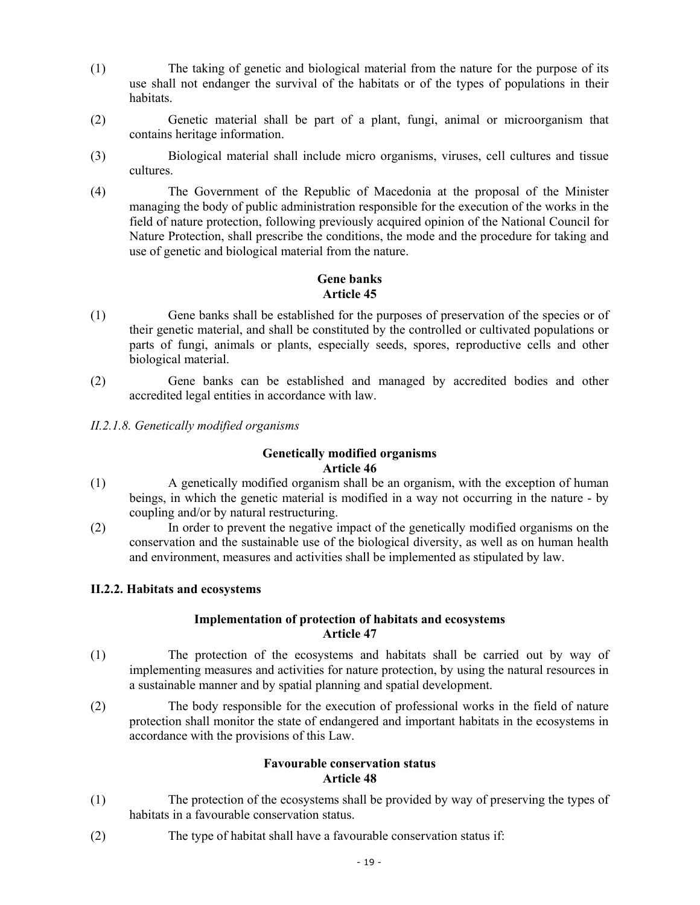- (1) The taking of genetic and biological material from the nature for the purpose of its use shall not endanger the survival of the habitats or of the types of populations in their habitats.
- (2) Genetic material shall be part of a plant, fungi, animal or microorganism that contains heritage information.
- (3) Biological material shall include micro organisms, viruses, cell cultures and tissue cultures.
- (4) The Government of the Republic of Macedonia at the proposal of the Minister managing the body of public administration responsible for the execution of the works in the field of nature protection, following previously acquired opinion of the National Council for Nature Protection, shall prescribe the conditions, the mode and the procedure for taking and use of genetic and biological material from the nature.

# **Gene banks Article 45**

- (1) Gene banks shall be established for the purposes of preservation of the species or of their genetic material, and shall be constituted by the controlled or cultivated populations or parts of fungi, animals or plants, especially seeds, spores, reproductive cells and other biological material.
- (2) Gene banks can be established and managed by accredited bodies and other accredited legal entities in accordance with law.
- *II.2.1.8. Genetically modified organisms*

### **Genetically modified organisms Article 46**

- (1) A genetically modified organism shall be an organism, with the exception of human beings, in which the genetic material is modified in a way not occurring in the nature - by coupling and/or by natural restructuring.
- (2) In order to prevent the negative impact of the genetically modified organisms on the conservation and the sustainable use of the biological diversity, as well as on human health and environment, measures and activities shall be implemented as stipulated by law.

# **II.2.2. Habitats and ecosystems**

# **Implementation of protection of habitats and ecosystems Article 47**

- (1) The protection of the ecosystems and habitats shall be carried out by way of implementing measures and activities for nature protection, by using the natural resources in a sustainable manner and by spatial planning and spatial development.
- (2) The body responsible for the execution of professional works in the field of nature protection shall monitor the state of endangered and important habitats in the ecosystems in accordance with the provisions of this Law.

# **Favourable conservation status Article 48**

- (1) The protection of the ecosystems shall be provided by way of preserving the types of habitats in a favourable conservation status.
- (2) The type of habitat shall have a favourable conservation status if: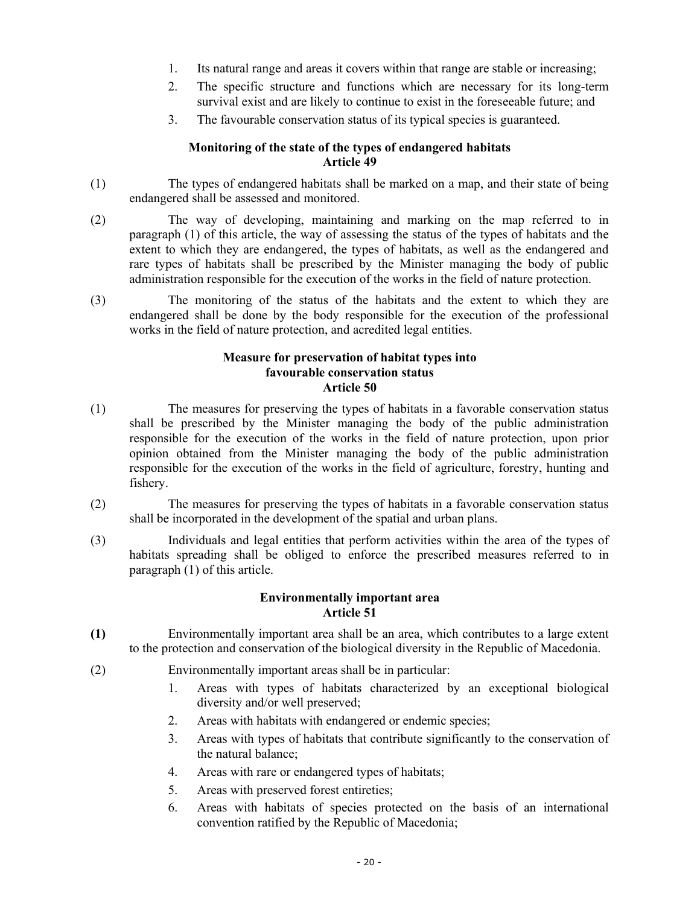- 1. Its natural range and areas it covers within that range are stable or increasing;
- 2. The specific structure and functions which are necessary for its long-term survival exist and are likely to continue to exist in the foreseeable future; and
- 3. The favourable conservation status of its typical species is guaranteed.

### **Monitoring of the state of the types of endangered habitats Article 49**

- (1) The types of endangered habitats shall be marked on a map, and their state of being endangered shall be assessed and monitored.
- (2) The way of developing, maintaining and marking on the map referred to in paragraph (1) of this article, the way of assessing the status of the types of habitats and the extent to which they are endangered, the types of habitats, as well as the endangered and rare types of habitats shall be prescribed by the Minister managing the body of public administration responsible for the execution of the works in the field of nature protection.
- (3) The monitoring of the status of the habitats and the extent to which they are endangered shall be done by the body responsible for the execution of the professional works in the field of nature protection, and acredited legal entities.

### **Measure for preservation of habitat types into favourable conservation status Article 50**

- (1) The measures for preserving the types of habitats in a favorable conservation status shall be prescribed by the Minister managing the body of the public administration responsible for the execution of the works in the field of nature protection, upon prior opinion obtained from the Minister managing the body of the public administration responsible for the execution of the works in the field of agriculture, forestry, hunting and fishery.
- (2) The measures for preserving the types of habitats in a favorable conservation status shall be incorporated in the development of the spatial and urban plans.
- (3) Individuals and legal entities that perform activities within the area of the types of habitats spreading shall be obliged to enforce the prescribed measures referred to in paragraph (1) of this article.

# **Environmentally important area Article 51**

- **(1)** Environmentally important area shall be an area, which contributes to a large extent to the protection and conservation of the biological diversity in the Republic of Macedonia.
- (2) Environmentally important areas shall be in particular:
	- 1. Areas with types of habitats characterized by an exceptional biological diversity and/or well preserved;
	- 2. Areas with habitats with endangered or endemic species;
	- 3. Areas with types of habitats that contribute significantly to the conservation of the natural balance;
	- 4. Areas with rare or endangered types of habitats;
	- 5. Areas with preserved forest entireties;
	- 6. Areas with habitats of species protected on the basis of an international convention ratified by the Republic of Macedonia;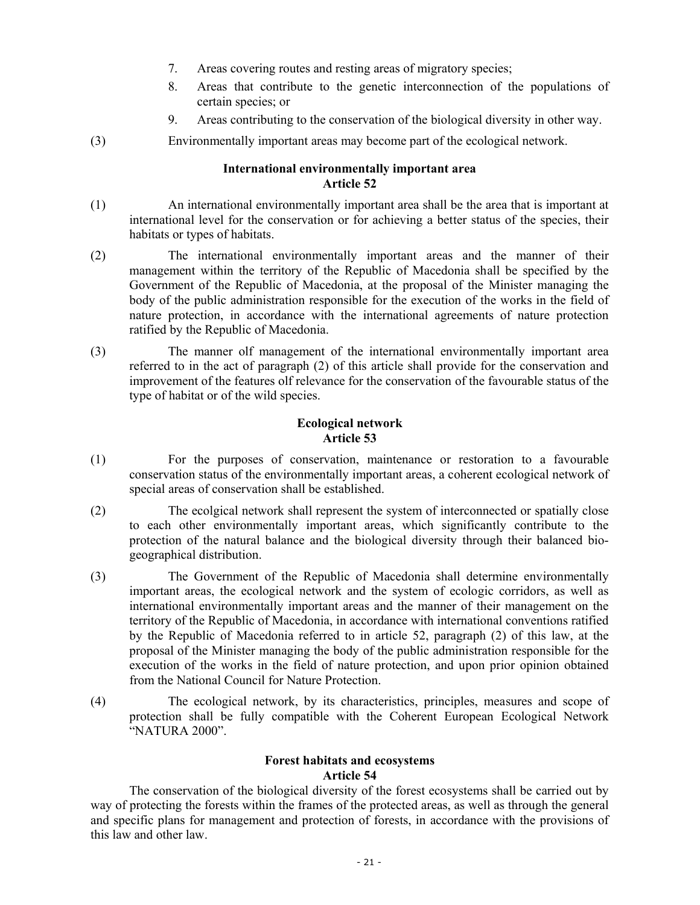- 7. Areas covering routes and resting areas of migratory species;
- 8. Areas that contribute to the genetic interconnection of the populations of certain species; or
- 9. Areas contributing to the conservation of the biological diversity in other way.
- (3) Environmentally important areas may become part of the ecological network.

### **International environmentally important area Article 52**

- (1) An international environmentally important area shall be the area that is important at international level for the conservation or for achieving a better status of the species, their habitats or types of habitats.
- (2) The international environmentally important areas and the manner of their management within the territory of the Republic of Macedonia shall be specified by the Government of the Republic of Macedonia, at the proposal of the Minister managing the body of the public administration responsible for the execution of the works in the field of nature protection, in accordance with the international agreements of nature protection ratified by the Republic of Macedonia.
- (3) The manner olf management of the international environmentally important area referred to in the act of paragraph (2) of this article shall provide for the conservation and improvement of the features olf relevance for the conservation of the favourable status of the type of habitat or of the wild species.

# **Ecological network Article 53**

- (1) For the purposes of conservation, maintenance or restoration to a favourable conservation status of the environmentally important areas, a coherent ecological network of special areas of conservation shall be established.
- (2) The ecolgical network shall represent the system of interconnected or spatially close to each other environmentally important areas, which significantly contribute to the protection of the natural balance and the biological diversity through their balanced biogeographical distribution.
- (3) The Government of the Republic of Macedonia shall determine environmentally important areas, the ecological network and the system of ecologic corridors, as well as international environmentally important areas and the manner of their management on the territory of the Republic of Macedonia, in accordance with international conventions ratified by the Republic of Macedonia referred to in article 52, paragraph (2) of this law, at the proposal of the Minister managing the body of the public administration responsible for the execution of the works in the field of nature protection, and upon prior opinion obtained from the National Council for Nature Protection.
- (4) The ecological network, by its characteristics, principles, measures and scope of protection shall be fully compatible with the Coherent European Ecological Network "NATURA 2000".

# **Forest habitats and ecosystems Article 54**

 The conservation of the biological diversity of the forest ecosystems shall be carried out by way of protecting the forests within the frames of the protected areas, as well as through the general and specific plans for management and protection of forests, in accordance with the provisions of this law and other law.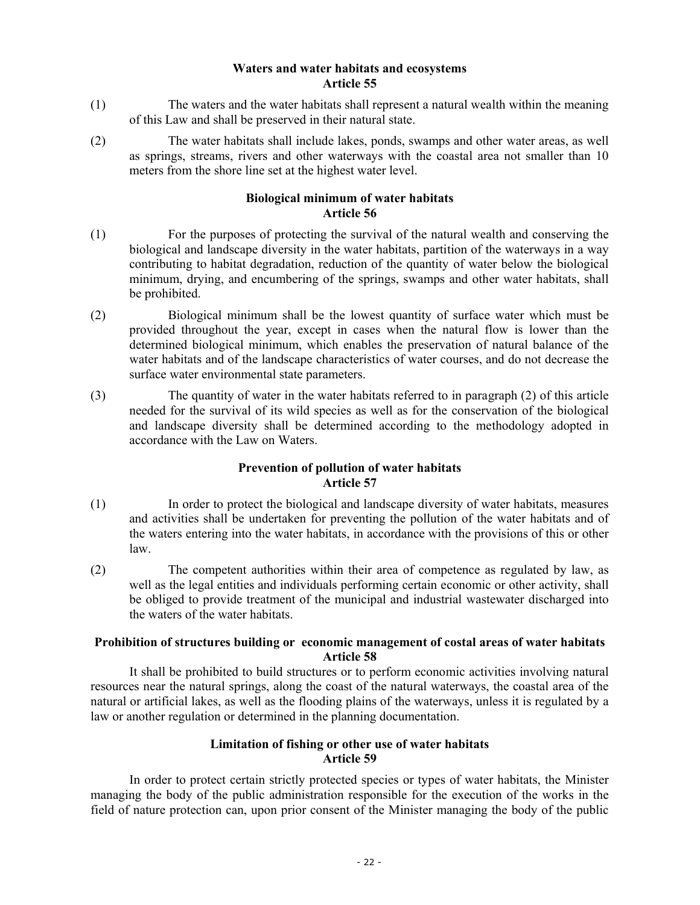### **Waters and water habitats and ecosystems Article 55**

- (1) The waters and the water habitats shall represent a natural wealth within the meaning of this Law and shall be preserved in their natural state.
- (2) The water habitats shall include lakes, ponds, swamps and other water areas, as well as springs, streams, rivers and other waterways with the coastal area not smaller than 10 meters from the shore line set at the highest water level.

# **Biological minimum of water habitats Article 56**

- (1) For the purposes of protecting the survival of the natural wealth and conserving the biological and landscape diversity in the water habitats, partition of the waterways in a way contributing to habitat degradation, reduction of the quantity of water below the biological minimum, drying, and encumbering of the springs, swamps and other water habitats, shall be prohibited.
- (2) Biological minimum shall be the lowest quantity of surface water which must be provided throughout the year, except in cases when the natural flow is lower than the determined biological minimum, which enables the preservation of natural balance of the water habitats and of the landscape characteristics of water courses, and do not decrease the surface water environmental state parameters.
- (3) The quantity of water in the water habitats referred to in paragraph (2) of this article needed for the survival of its wild species as well as for the conservation of the biological and landscape diversity shall be determined according to the methodology adopted in accordance with the Law on Waters.

# **Prevention of pollution of water habitats Article 57**

- (1) In order to protect the biological and landscape diversity of water habitats, measures and activities shall be undertaken for preventing the pollution of the water habitats and of the waters entering into the water habitats, in accordance with the provisions of this or other law.
- (2) The competent authorities within their area of competence as regulated by law, as well as the legal entities and individuals performing certain economic or other activity, shall be obliged to provide treatment of the municipal and industrial wastewater discharged into the waters of the water habitats.

# **Prohibition of structures building or economic management of costal areas of water habitats Article 58**

 It shall be prohibited to build structures or to perform economic activities involving natural resources near the natural springs, along the coast of the natural waterways, the coastal area of the natural or artificial lakes, as well as the flooding plains of the waterways, unless it is regulated by a law or another regulation or determined in the planning documentation.

# **Limitation of fishing or other use of water habitats Article 59**

 In order to protect certain strictly protected species or types of water habitats, the Minister managing the body of the public administration responsible for the execution of the works in the field of nature protection can, upon prior consent of the Minister managing the body of the public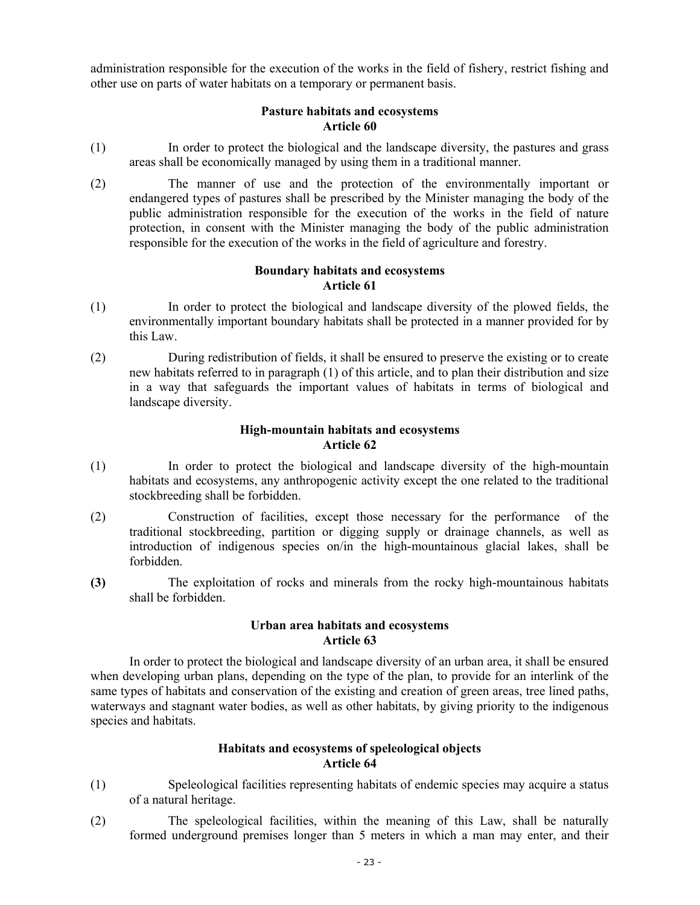administration responsible for the execution of the works in the field of fishery, restrict fishing and other use on parts of water habitats on a temporary or permanent basis.

### **Pasture habitats and ecosystems Article 60**

- (1) In order to protect the biological and the landscape diversity, the pastures and grass areas shall be economically managed by using them in a traditional manner.
- (2) The manner of use and the protection of the environmentally important or endangered types of pastures shall be prescribed by the Minister managing the body of the public administration responsible for the execution of the works in the field of nature protection, in consent with the Minister managing the body of the public administration responsible for the execution of the works in the field of agriculture and forestry.

### **Boundary habitats and ecosystems Article 61**

- (1) In order to protect the biological and landscape diversity of the plowed fields, the environmentally important boundary habitats shall be protected in a manner provided for by this Law.
- (2) During redistribution of fields, it shall be ensured to preserve the existing or to create new habitats referred to in paragraph (1) of this article, and to plan their distribution and size in a way that safeguards the important values of habitats in terms of biological and landscape diversity.

### **High-mountain habitats and ecosystems Article 62**

- (1) In order to protect the biological and landscape diversity of the high-mountain habitats and ecosystems, any anthropogenic activity except the one related to the traditional stockbreeding shall be forbidden.
- (2) Construction of facilities, except those necessary for the performance of the traditional stockbreeding, partition or digging supply or drainage channels, as well as introduction of indigenous species on/in the high-mountainous glacial lakes, shall be forbidden.
- **(3)** The exploitation of rocks and minerals from the rocky high-mountainous habitats shall be forbidden.

# **Urban area habitats and ecosystems Article 63**

In order to protect the biological and landscape diversity of an urban area, it shall be ensured when developing urban plans, depending on the type of the plan, to provide for an interlink of the same types of habitats and conservation of the existing and creation of green areas, tree lined paths, waterways and stagnant water bodies, as well as other habitats, by giving priority to the indigenous species and habitats.

# **Habitats and ecosystems of speleological objects Article 64**

- (1) Speleological facilities representing habitats of endemic species may acquire a status of a natural heritage.
- (2) The speleological facilities, within the meaning of this Law, shall be naturally formed underground premises longer than 5 meters in which a man may enter, and their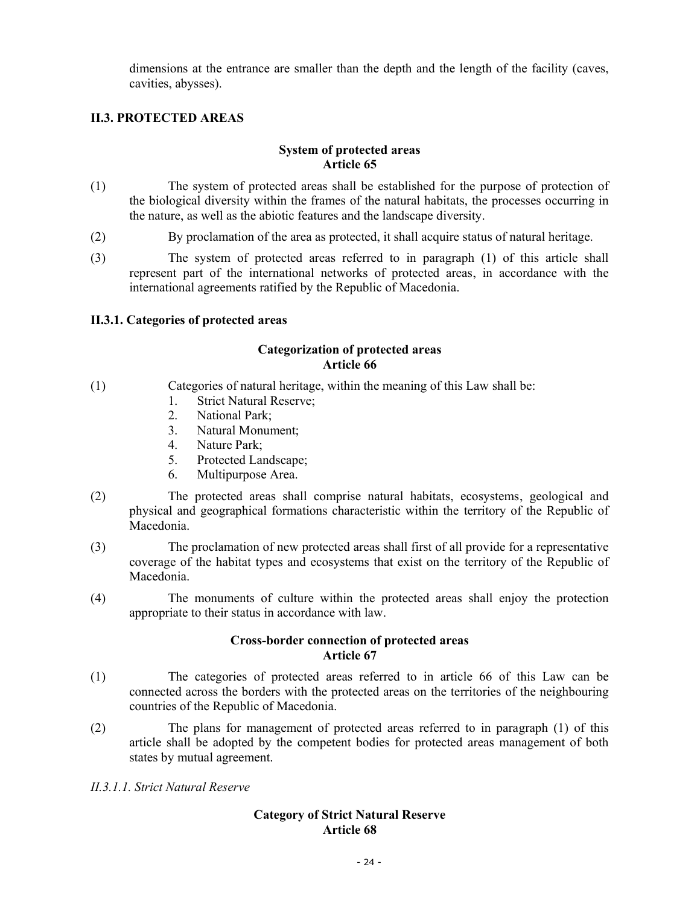dimensions at the entrance are smaller than the depth and the length of the facility (caves, cavities, abysses).

# **II.3. PROTECTED AREAS**

#### **System of protected areas Article 65**

- (1) The system of protected areas shall be established for the purpose of protection of the biological diversity within the frames of the natural habitats, the processes occurring in the nature, as well as the abiotic features and the landscape diversity.
- (2) By proclamation of the area as protected, it shall acquire status of natural heritage.
- (3) The system of protected areas referred to in paragraph (1) of this article shall represent part of the international networks of protected areas, in accordance with the international agreements ratified by the Republic of Macedonia.

# **II.3.1. Categories of protected areas**

### **Categorization of protected areas Article 66**

- (1) Categories of natural heritage, within the meaning of this Law shall be:
	- 1. Strict Natural Reserve;
	- 2. National Park;
	- 3. Natural Monument;
	- 4. Nature Park;
	- 5. Protected Landscape;
	- 6. Multipurpose Area.
- (2) The protected areas shall comprise natural habitats, ecosystems, geological and physical and geographical formations characteristic within the territory of the Republic of Macedonia.
- (3) The proclamation of new protected areas shall first of all provide for a representative coverage of the habitat types and ecosystems that exist on the territory of the Republic of Macedonia.
- (4) The monuments of culture within the protected areas shall enjoy the protection appropriate to their status in accordance with law.

#### **Cross-border connection of protected areas Article 67**

- (1) The categories of protected areas referred to in article 66 of this Law can be connected across the borders with the protected areas on the territories of the neighbouring countries of the Republic of Macedonia.
- (2) The plans for management of protected areas referred to in paragraph (1) of this article shall be adopted by the competent bodies for protected areas management of both states by mutual agreement.
- *II.3.1.1. Strict Natural Reserve*

# **Category of Strict Natural Reserve Article 68**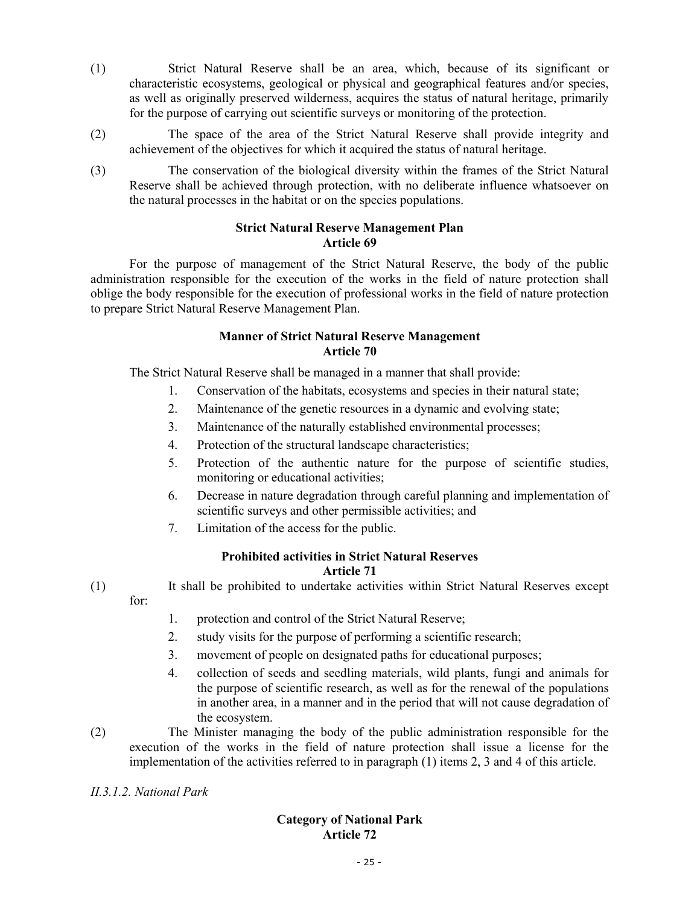- (1) Strict Natural Reserve shall be an area, which, because of its significant or characteristic ecosystems, geological or physical and geographical features and/or species, as well as originally preserved wilderness, acquires the status of natural heritage, primarily for the purpose of carrying out scientific surveys or monitoring of the protection.
- (2) The space of the area of the Strict Natural Reserve shall provide integrity and achievement of the objectives for which it acquired the status of natural heritage.
- (3) The conservation of the biological diversity within the frames of the Strict Natural Reserve shall be achieved through protection, with no deliberate influence whatsoever on the natural processes in the habitat or on the species populations.

### **Strict Natural Reserve Management Plan Article 69**

For the purpose of management of the Strict Natural Reserve, the body of the public administration responsible for the execution of the works in the field of nature protection shall oblige the body responsible for the execution of professional works in the field of nature protection to prepare Strict Natural Reserve Management Plan.

# **Manner of Strict Natural Reserve Management Article 70**

The Strict Natural Reserve shall be managed in a manner that shall provide:

- 1. Conservation of the habitats, ecosystems and species in their natural state;
- 2. Maintenance of the genetic resources in a dynamic and evolving state;
- 3. Maintenance of the naturally established environmental processes;
- 4. Protection of the structural landscape characteristics;
- 5. Protection of the authentic nature for the purpose of scientific studies, monitoring or educational activities;
- 6. Decrease in nature degradation through careful planning and implementation of scientific surveys and other permissible activities; and
- 7. Limitation of the access for the public.

# **Prohibited activities in Strict Natural Reserves Article 71**

- (1) It shall be prohibited to undertake activities within Strict Natural Reserves except for:
	- 1. protection and control of the Strict Natural Reserve;
	- 2. study visits for the purpose of performing a scientific research;
	- 3. movement of people on designated paths for educational purposes;
	- 4. collection of seeds and seedling materials, wild plants, fungi and animals for the purpose of scientific research, as well as for the renewal of the populations in another area, in a manner and in the period that will not cause degradation of the ecosystem.
- (2) The Minister managing the body of the public administration responsible for the execution of the works in the field of nature protection shall issue a license for the implementation of the activities referred to in paragraph (1) items 2, 3 and 4 of this article.

# *II.3.1.2. National Park*

# **Category of National Park Article 72**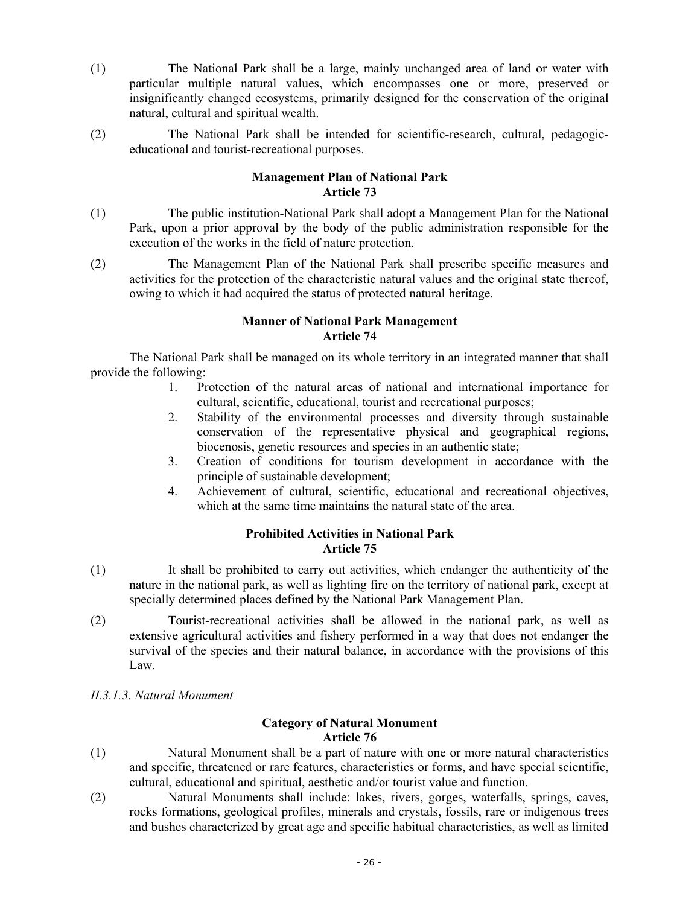- (1) The National Park shall be a large, mainly unchanged area of land or water with particular multiple natural values, which encompasses one or more, preserved or insignificantly changed ecosystems, primarily designed for the conservation of the original natural, cultural and spiritual wealth.
- (2) The National Park shall be intended for scientific-research, cultural, pedagogiceducational and tourist-recreational purposes.

### **Management Plan of National Park Article 73**

- (1) The public institution-National Park shall adopt a Management Plan for the National Park, upon a prior approval by the body of the public administration responsible for the execution of the works in the field of nature protection.
- (2) The Management Plan of the National Park shall prescribe specific measures and activities for the protection of the characteristic natural values and the original state thereof, owing to which it had acquired the status of protected natural heritage.

### **Manner of National Park Management Article 74**

The National Park shall be managed on its whole territory in an integrated manner that shall provide the following:

- 1. Protection of the natural areas of national and international importance for cultural, scientific, educational, tourist and recreational purposes;
- 2. Stability of the environmental processes and diversity through sustainable conservation of the representative physical and geographical regions, biocenosis, genetic resources and species in an authentic state;
- 3. Creation of conditions for tourism development in accordance with the principle of sustainable development;
- 4. Achievement of cultural, scientific, educational and recreational objectives, which at the same time maintains the natural state of the area.

# **Prohibited Activities in National Park Article 75**

- (1) It shall be prohibited to carry out activities, which endanger the authenticity of the nature in the national park, as well as lighting fire on the territory of national park, except at specially determined places defined by the National Park Management Plan.
- (2) Tourist-recreational activities shall be allowed in the national park, as well as extensive agricultural activities and fishery performed in a way that does not endanger the survival of the species and their natural balance, in accordance with the provisions of this Law.
- *II.3.1.3. Natural Monument*

# **Category of Natural Monument Article 76**

- (1) Natural Monument shall be a part of nature with one or more natural characteristics and specific, threatened or rare features, characteristics or forms, and have special scientific, cultural, educational and spiritual, aesthetic and/or tourist value and function.
- (2) Natural Monuments shall include: lakes, rivers, gorges, waterfalls, springs, caves, rocks formations, geological profiles, minerals and crystals, fossils, rare or indigenous trees and bushes characterized by great age and specific habitual characteristics, as well as limited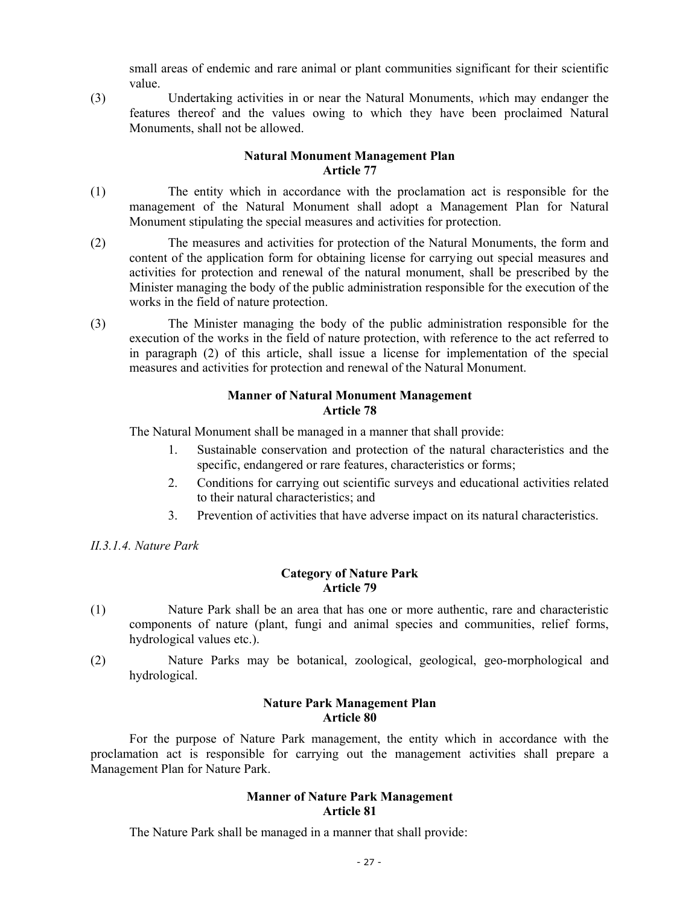small areas of endemic and rare animal or plant communities significant for their scientific value.

(3) Undertaking activities in or near the Natural Monuments, *w*hich may endanger the features thereof and the values owing to which they have been proclaimed Natural Monuments, shall not be allowed.

### **Natural Monument Management Plan Article 77**

- (1) The entity which in accordance with the proclamation act is responsible for the management of the Natural Monument shall adopt a Management Plan for Natural Monument stipulating the special measures and activities for protection.
- (2) The measures and activities for protection of the Natural Monuments, the form and content of the application form for obtaining license for carrying out special measures and activities for protection and renewal of the natural monument, shall be prescribed by the Minister managing the body of the public administration responsible for the execution of the works in the field of nature protection.
- (3) The Minister managing the body of the public administration responsible for the execution of the works in the field of nature protection, with reference to the act referred to in paragraph (2) of this article, shall issue a license for implementation of the special measures and activities for protection and renewal of the Natural Monument.

### **Manner of Natural Monument Management Article 78**

The Natural Monument shall be managed in a manner that shall provide:

- 1. Sustainable conservation and protection of the natural characteristics and the specific, endangered or rare features, characteristics or forms;
- 2. Conditions for carrying out scientific surveys and educational activities related to their natural characteristics; and
- 3. Prevention of activities that have adverse impact on its natural characteristics.

# *II.3.1.4. Nature Park*

### **Category of Nature Park Article 79**

- (1) Nature Park shall be an area that has one or more authentic, rare and characteristic components of nature (plant, fungi and animal species and communities, relief forms, hydrological values etc.).
- (2) Nature Parks may be botanical, zoological, geological, geo-morphological and hydrological.

### **Nature Park Management Plan Article 80**

 For the purpose of Nature Park management, the entity which in accordance with the proclamation act is responsible for carrying out the management activities shall prepare a Management Plan for Nature Park.

# **Manner of Nature Park Management Article 81**

The Nature Park shall be managed in a manner that shall provide: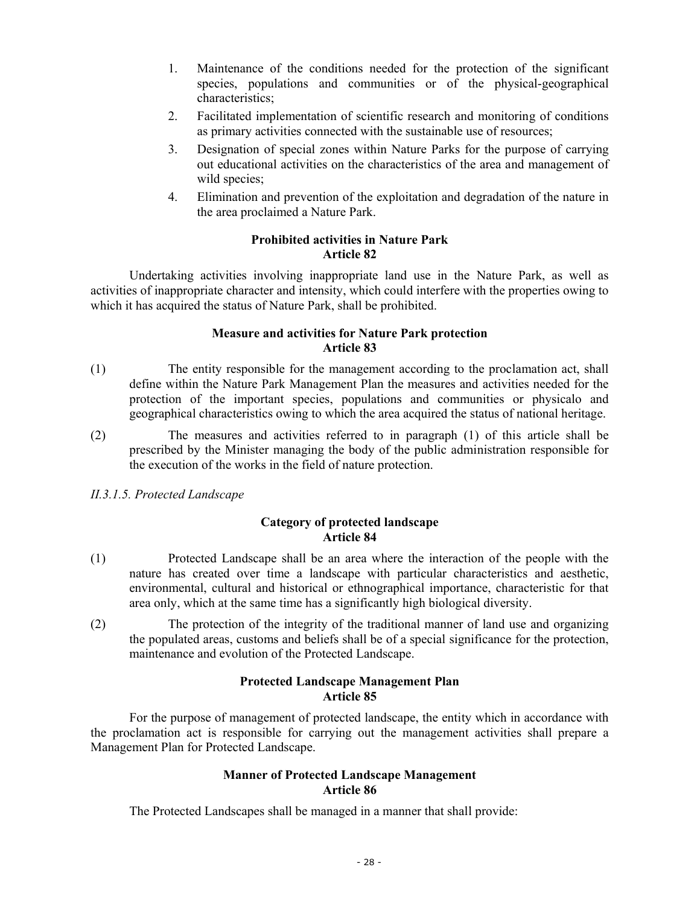- 1. Maintenance of the conditions needed for the protection of the significant species, populations and communities or of the physical-geographical characteristics;
- 2. Facilitated implementation of scientific research and monitoring of conditions as primary activities connected with the sustainable use of resources;
- 3. Designation of special zones within Nature Parks for the purpose of carrying out educational activities on the characteristics of the area and management of wild species:
- 4. Elimination and prevention of the exploitation and degradation of the nature in the area proclaimed a Nature Park.

### **Prohibited activities in Nature Park Article 82**

Undertaking activities involving inappropriate land use in the Nature Park, as well as activities of inappropriate character and intensity, which could interfere with the properties owing to which it has acquired the status of Nature Park, shall be prohibited.

# **Measure and activities for Nature Park protection Article 83**

- (1) The entity responsible for the management according to the proclamation act, shall define within the Nature Park Management Plan the measures and activities needed for the protection of the important species, populations and communities or physicalo and geographical characteristics owing to which the area acquired the status of national heritage.
- (2) The measures and activities referred to in paragraph (1) of this article shall be prescribed by the Minister managing the body of the public administration responsible for the execution of the works in the field of nature protection.
- *II.3.1.5. Protected Landscape*

# **Category of protected landscape Article 84**

- (1) Protected Landscape shall be an area where the interaction of the people with the nature has created over time a landscape with particular characteristics and aesthetic, environmental, cultural and historical or ethnographical importance, characteristic for that area only, which at the same time has a significantly high biological diversity.
- (2) The protection of the integrity of the traditional manner of land use and organizing the populated areas, customs and beliefs shall be of a special significance for the protection, maintenance and evolution of the Protected Landscape.

# **Protected Landscape Management Plan Article 85**

 For the purpose of management of protected landscape, the entity which in accordance with the proclamation act is responsible for carrying out the management activities shall prepare a Management Plan for Protected Landscape.

# **Manner of Protected Landscape Management Article 86**

The Protected Landscapes shall be managed in a manner that shall provide: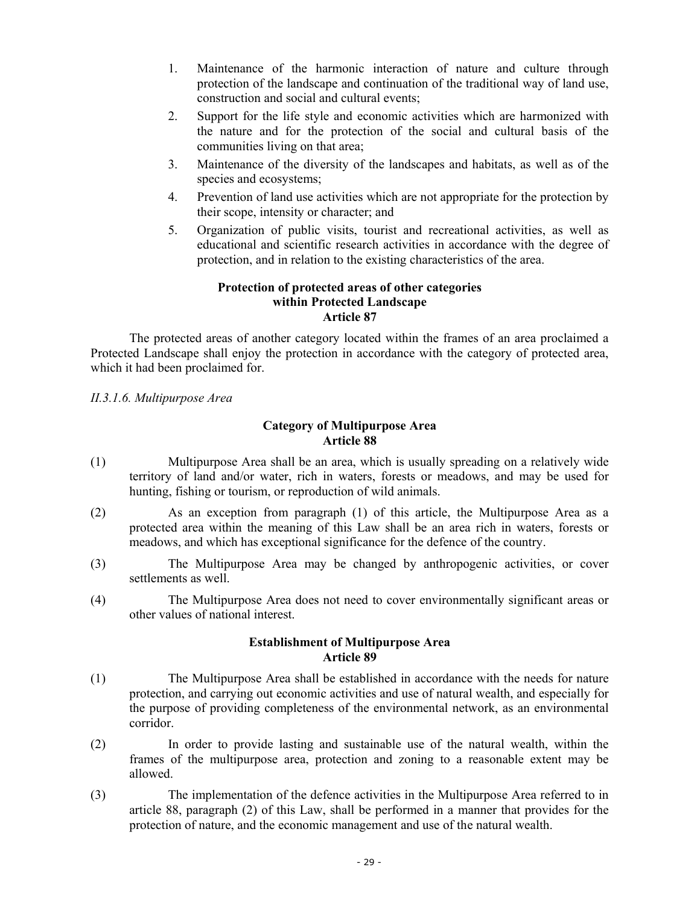- 1. Maintenance of the harmonic interaction of nature and culture through protection of the landscape and continuation of the traditional way of land use, construction and social and cultural events;
- 2. Support for the life style and economic activities which are harmonized with the nature and for the protection of the social and cultural basis of the communities living on that area;
- 3. Maintenance of the diversity of the landscapes and habitats, as well as of the species and ecosystems;
- 4. Prevention of land use activities which are not appropriate for the protection by their scope, intensity or character; and
- 5. Organization of public visits, tourist and recreational activities, as well as educational and scientific research activities in accordance with the degree of protection, and in relation to the existing characteristics of the area.

### **Protection of protected areas of other categories within Protected Landscape Article 87**

The protected areas of another category located within the frames of an area proclaimed a Protected Landscape shall enjoy the protection in accordance with the category of protected area, which it had been proclaimed for.

# *II.3.1.6. Multipurpose Area*

# **Category of Multipurpose Area Article 88**

- (1) Multipurpose Area shall be an area, which is usually spreading on a relatively wide territory of land and/or water, rich in waters, forests or meadows, and may be used for hunting, fishing or tourism, or reproduction of wild animals.
- (2) As an exception from paragraph (1) of this article, the Multipurpose Area as a protected area within the meaning of this Law shall be an area rich in waters, forests or meadows, and which has exceptional significance for the defence of the country.
- (3) The Multipurpose Area may be changed by anthropogenic activities, or cover settlements as well.
- (4) The Multipurpose Area does not need to cover environmentally significant areas or other values of national interest.

### **Establishment of Multipurpose Area Article 89**

- (1) The Multipurpose Area shall be established in accordance with the needs for nature protection, and carrying out economic activities and use of natural wealth, and especially for the purpose of providing completeness of the environmental network, as an environmental corridor.
- (2) In order to provide lasting and sustainable use of the natural wealth, within the frames of the multipurpose area, protection and zoning to a reasonable extent may be allowed.
- (3) The implementation of the defence activities in the Multipurpose Area referred to in article 88, paragraph (2) of this Law, shall be performed in a manner that provides for the protection of nature, and the economic management and use of the natural wealth.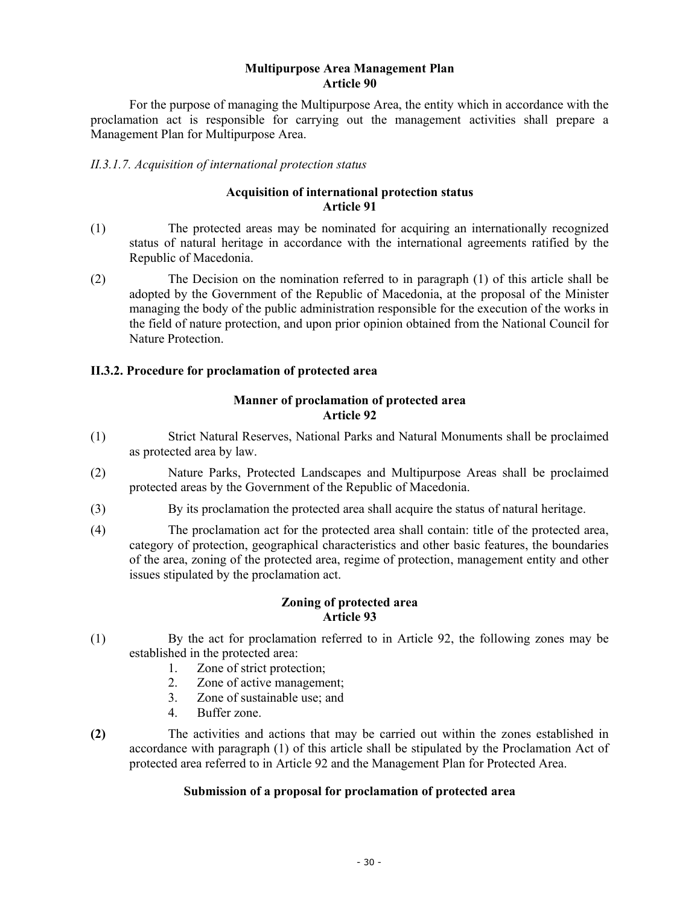### **Multipurpose Area Management Plan Article 90**

 For the purpose of managing the Multipurpose Area, the entity which in accordance with the proclamation act is responsible for carrying out the management activities shall prepare a Management Plan for Multipurpose Area.

### *II.3.1.7. Acquisition of international protection status*

### **Acquisition of international protection status Article 91**

- (1) The protected areas may be nominated for acquiring an internationally recognized status of natural heritage in accordance with the international agreements ratified by the Republic of Macedonia.
- (2) The Decision on the nomination referred to in paragraph (1) of this article shall be adopted by the Government of the Republic of Macedonia, at the proposal of the Minister managing the body of the public administration responsible for the execution of the works in the field of nature protection, and upon prior opinion obtained from the National Council for Nature Protection.

# **II.3.2. Procedure for proclamation of protected area**

# **Manner of proclamation of protected area Article 92**

- (1) Strict Natural Reserves, National Parks and Natural Monuments shall be proclaimed as protected area by law.
- (2) Nature Parks, Protected Landscapes and Multipurpose Areas shall be proclaimed protected areas by the Government of the Republic of Macedonia.
- (3) By its proclamation the protected area shall acquire the status of natural heritage.
- (4) The proclamation act for the protected area shall contain: title of the protected area, category of protection, geographical characteristics and other basic features, the boundaries of the area, zoning of the protected area, regime of protection, management entity and other issues stipulated by the proclamation act.

### **Zoning of protected area Article 93**

- (1) By the act for proclamation referred to in Article 92, the following zones may be established in the protected area:
	- 1. Zone of strict protection;
	- 2. Zone of active management;
	- 3. Zone of sustainable use; and
	- 4. Buffer zone.
- **(2)** The activities and actions that may be carried out within the zones established in accordance with paragraph (1) of this article shall be stipulated by the Proclamation Act of protected area referred to in Article 92 and the Management Plan for Protected Area.

### **Submission of a proposal for proclamation of protected area**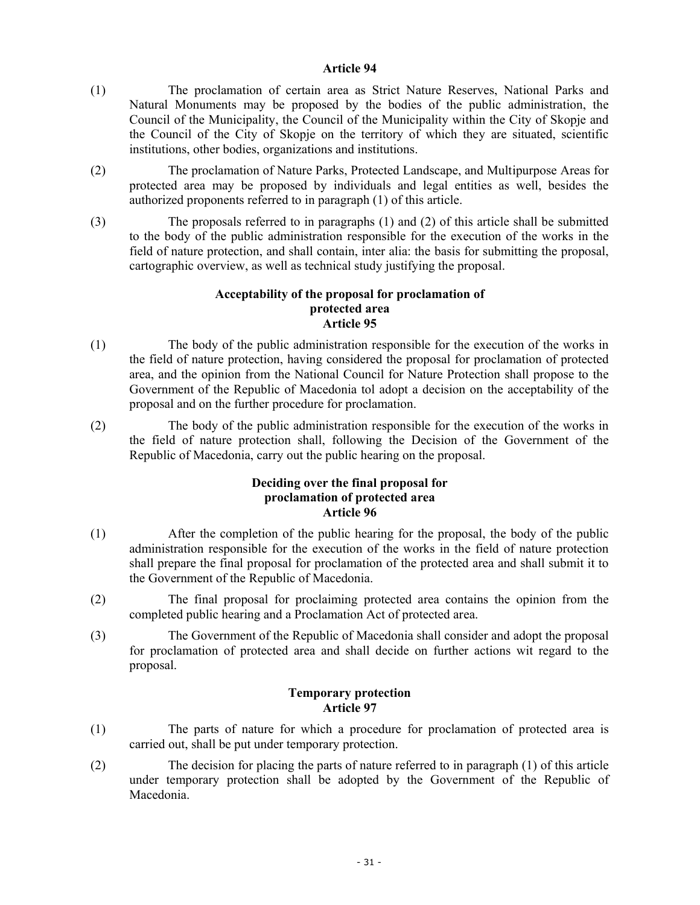#### **Article 94**

- (1) The proclamation of certain area as Strict Nature Reserves, National Parks and Natural Monuments may be proposed by the bodies of the public administration, the Council of the Municipality, the Council of the Municipality within the City of Skopje and the Council of the City of Skopje on the territory of which they are situated, scientific institutions, other bodies, organizations and institutions.
- (2) The proclamation of Nature Parks, Protected Landscape, and Multipurpose Areas for protected area may be proposed by individuals and legal entities as well, besides the authorized proponents referred to in paragraph (1) of this article.
- (3) The proposals referred to in paragraphs (1) and (2) of this article shall be submitted to the body of the public administration responsible for the execution of the works in the field of nature protection, and shall contain, inter alia: the basis for submitting the proposal, cartographic overview, as well as technical study justifying the proposal.

### **Acceptability of the proposal for proclamation of protected area Article 95**

- (1) The body of the public administration responsible for the execution of the works in the field of nature protection, having considered the proposal for proclamation of protected area, and the opinion from the National Council for Nature Protection shall propose to the Government of the Republic of Macedonia tol adopt a decision on the acceptability of the proposal and on the further procedure for proclamation.
- (2) The body of the public administration responsible for the execution of the works in the field of nature protection shall, following the Decision of the Government of the Republic of Macedonia, carry out the public hearing on the proposal.

### **Deciding over the final proposal for proclamation of protected area Article 96**

- (1) After the completion of the public hearing for the proposal, the body of the public administration responsible for the execution of the works in the field of nature protection shall prepare the final proposal for proclamation of the protected area and shall submit it to the Government of the Republic of Macedonia.
- (2) The final proposal for proclaiming protected area contains the opinion from the completed public hearing and a Proclamation Act of protected area.
- (3) The Government of the Republic of Macedonia shall consider and adopt the proposal for proclamation of protected area and shall decide on further actions wit regard to the proposal.

# **Temporary protection Article 97**

- (1) The parts of nature for which a procedure for proclamation of protected area is carried out, shall be put under temporary protection.
- (2) The decision for placing the parts of nature referred to in paragraph (1) of this article under temporary protection shall be adopted by the Government of the Republic of Macedonia.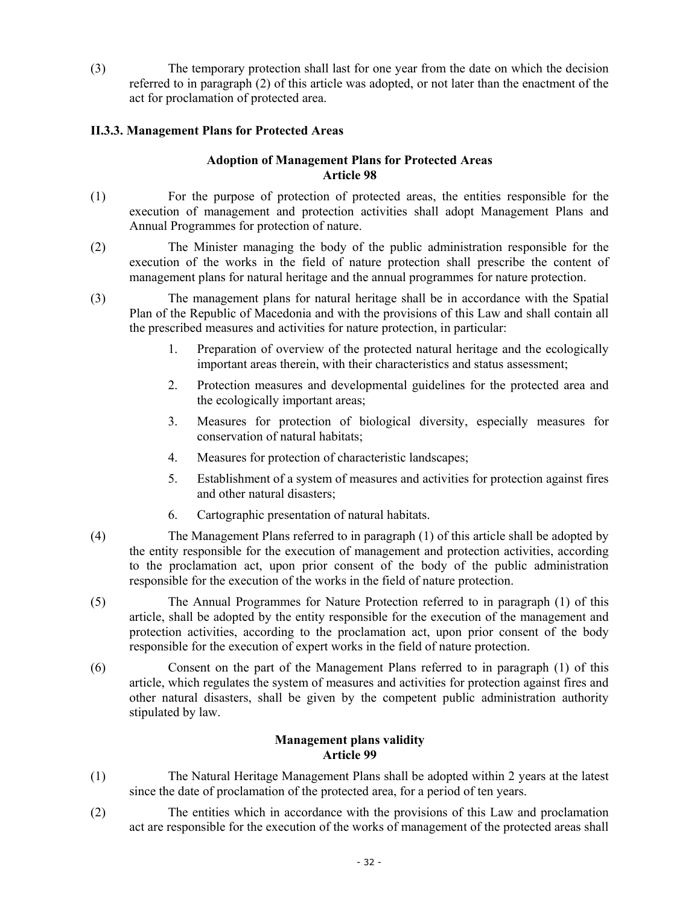(3) The temporary protection shall last for one year from the date on which the decision referred to in paragraph (2) of this article was adopted, or not later than the enactment of the act for proclamation of protected area.

# **II.3.3. Management Plans for Protected Areas**

# **Adoption of Management Plans for Protected Areas Article 98**

- (1) For the purpose of protection of protected areas, the entities responsible for the execution of management and protection activities shall adopt Management Plans and Annual Programmes for protection of nature.
- (2) The Minister managing the body of the public administration responsible for the execution of the works in the field of nature protection shall prescribe the content of management plans for natural heritage and the annual programmes for nature protection.
- (3) The management plans for natural heritage shall be in accordance with the Spatial Plan of the Republic of Macedonia and with the provisions of this Law and shall contain all the prescribed measures and activities for nature protection, in particular:
	- 1. Preparation of overview of the protected natural heritage and the ecologically important areas therein, with their characteristics and status assessment;
	- 2. Protection measures and developmental guidelines for the protected area and the ecologically important areas;
	- 3. Measures for protection of biological diversity, especially measures for conservation of natural habitats;
	- 4. Measures for protection of characteristic landscapes;
	- 5. Establishment of a system of measures and activities for protection against fires and other natural disasters;
	- 6. Cartographic presentation of natural habitats.
- (4) The Management Plans referred to in paragraph (1) of this article shall be adopted by the entity responsible for the execution of management and protection activities, according to the proclamation act, upon prior consent of the body of the public administration responsible for the execution of the works in the field of nature protection.
- (5) The Annual Programmes for Nature Protection referred to in paragraph (1) of this article, shall be adopted by the entity responsible for the execution of the management and protection activities, according to the proclamation act, upon prior consent of the body responsible for the execution of expert works in the field of nature protection.
- (6) Consent on the part of the Management Plans referred to in paragraph (1) of this article, which regulates the system of measures and activities for protection against fires and other natural disasters, shall be given by the competent public administration authority stipulated by law.

# **Management plans validity Article 99**

- (1) The Natural Heritage Management Plans shall be adopted within 2 years at the latest since the date of proclamation of the protected area, for a period of ten years.
- (2) The entities which in accordance with the provisions of this Law and proclamation act are responsible for the execution of the works of management of the protected areas shall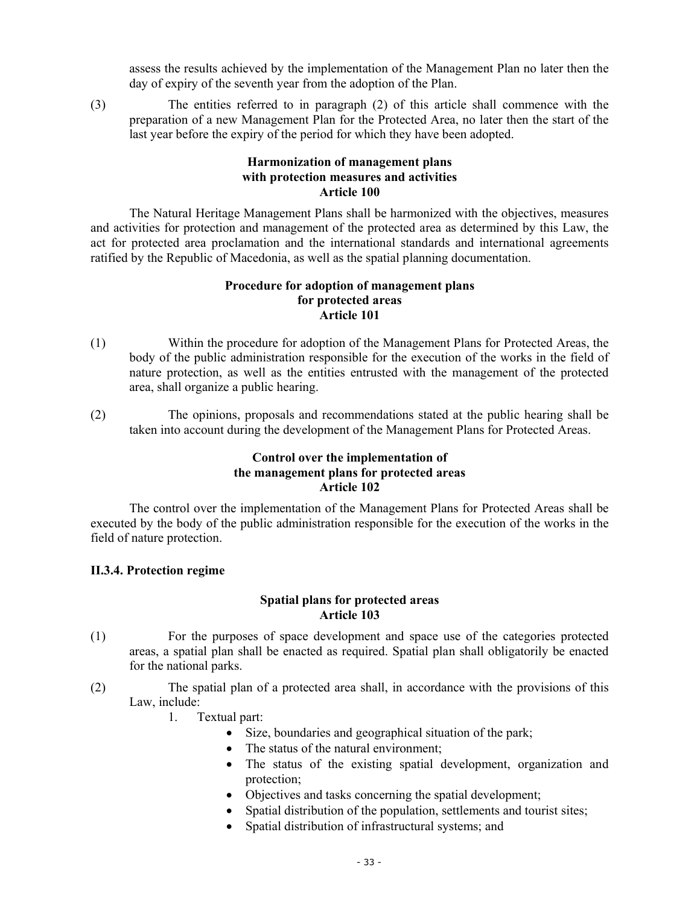assess the results achieved by the implementation of the Management Plan no later then the day of expiry of the seventh year from the adoption of the Plan.

(3) The entities referred to in paragraph (2) of this article shall commence with the preparation of a new Management Plan for the Protected Area, no later then the start of the last year before the expiry of the period for which they have been adopted.

# **Harmonization of management plans with protection measures and activities Article 100**

The Natural Heritage Management Plans shall be harmonized with the objectives, measures and activities for protection and management of the protected area as determined by this Law, the act for protected area proclamation and the international standards and international agreements ratified by the Republic of Macedonia, as well as the spatial planning documentation.

# **Procedure for adoption of management plans for protected areas Article 101**

- (1) Within the procedure for adoption of the Management Plans for Protected Areas, the body of the public administration responsible for the execution of the works in the field of nature protection, as well as the entities entrusted with the management of the protected area, shall organize a public hearing.
- (2) The opinions, proposals and recommendations stated at the public hearing shall be taken into account during the development of the Management Plans for Protected Areas.

### **Control over the implementation of the management plans for protected areas Article 102**

The control over the implementation of the Management Plans for Protected Areas shall be executed by the body of the public administration responsible for the execution of the works in the field of nature protection.

### **II.3.4. Protection regime**

# **Spatial plans for protected areas Article 103**

- (1) For the purposes of space development and space use of the categories protected areas, a spatial plan shall be enacted as required. Spatial plan shall obligatorily be enacted for the national parks.
- (2) The spatial plan of a protected area shall, in accordance with the provisions of this Law, include:
	- 1. Textual part:
		- Size, boundaries and geographical situation of the park;
		- The status of the natural environment;
		- The status of the existing spatial development, organization and protection;
		- Objectives and tasks concerning the spatial development;
		- Spatial distribution of the population, settlements and tourist sites;
		- Spatial distribution of infrastructural systems; and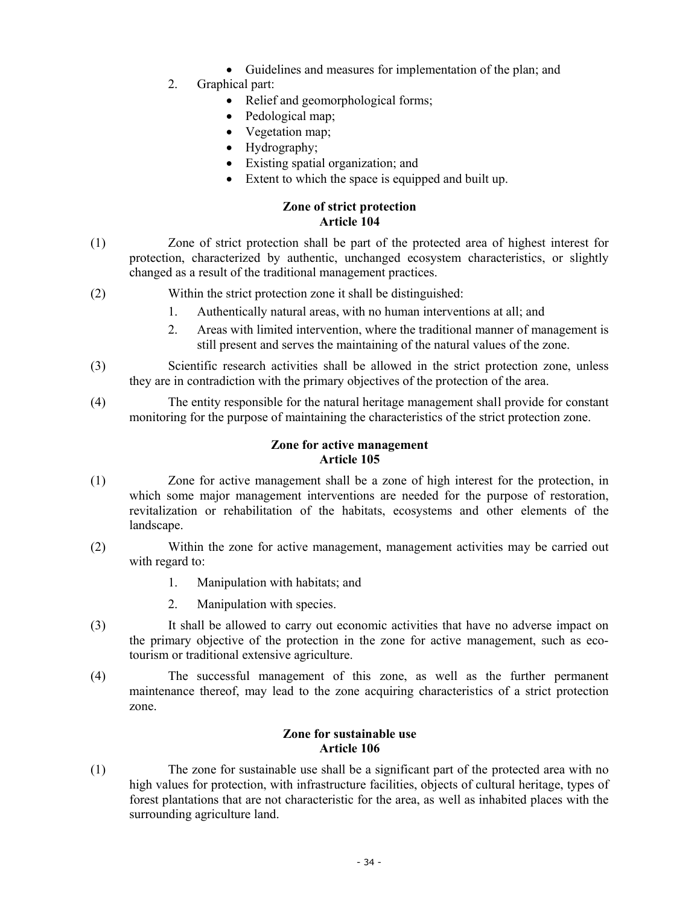- Guidelines and measures for implementation of the plan; and
- 2. Graphical part:
	- Relief and geomorphological forms;
	- Pedological map;
	- Vegetation map;
	- Hydrography;
	- Existing spatial organization; and
	- Extent to which the space is equipped and built up.

### **Zone of strict protection Article 104**

- (1) Zone of strict protection shall be part of the protected area of highest interest for protection, characterized by authentic, unchanged ecosystem characteristics, or slightly changed as a result of the traditional management practices.
- (2) Within the strict protection zone it shall be distinguished:
	- 1. Authentically natural areas, with no human interventions at all; and
	- 2. Areas with limited intervention, where the traditional manner of management is still present and serves the maintaining of the natural values of the zone.
- (3) Scientific research activities shall be allowed in the strict protection zone, unless they are in contradiction with the primary objectives of the protection of the area.
- (4) The entity responsible for the natural heritage management shall provide for constant monitoring for the purpose of maintaining the characteristics of the strict protection zone.

# **Zone for active management Article 105**

- (1) Zone for active management shall be a zone of high interest for the protection, in which some major management interventions are needed for the purpose of restoration, revitalization or rehabilitation of the habitats, ecosystems and other elements of the landscape.
- (2) Within the zone for active management, management activities may be carried out with regard to:
	- 1. Manipulation with habitats; and
	- 2. Manipulation with species.
- (3) It shall be allowed to carry out economic activities that have no adverse impact on the primary objective of the protection in the zone for active management, such as ecotourism or traditional extensive agriculture.
- (4) The successful management of this zone, as well as the further permanent maintenance thereof, may lead to the zone acquiring characteristics of a strict protection zone.

### **Zone for sustainable use Article 106**

(1) The zone for sustainable use shall be a significant part of the protected area with no high values for protection, with infrastructure facilities, objects of cultural heritage, types of forest plantations that are not characteristic for the area, as well as inhabited places with the surrounding agriculture land.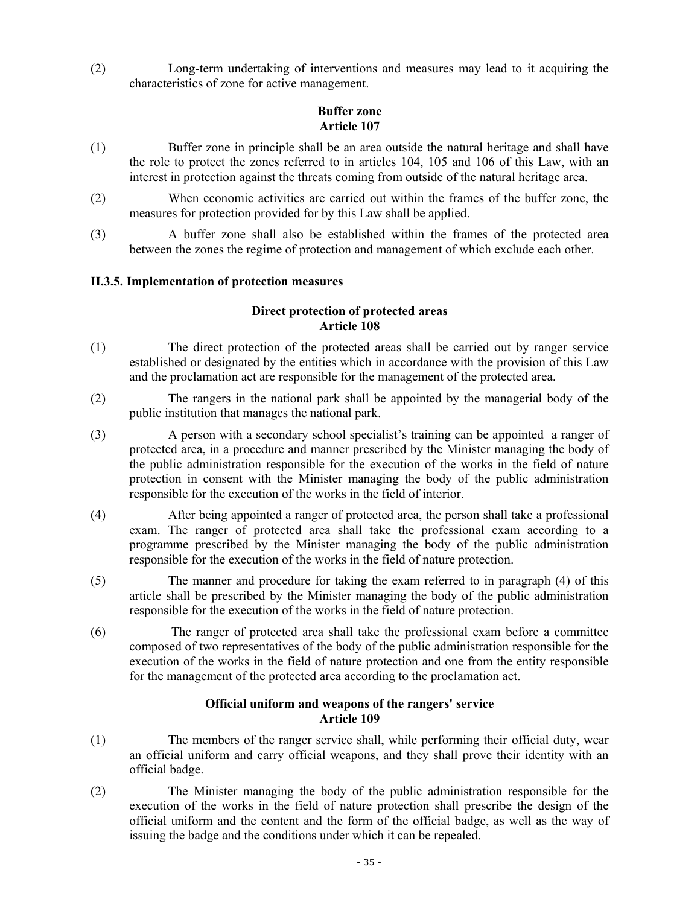(2) Long-term undertaking of interventions and measures may lead to it acquiring the characteristics of zone for active management.

# **Buffer zone Article 107**

- (1) Buffer zone in principle shall be an area outside the natural heritage and shall have the role to protect the zones referred to in articles 104, 105 and 106 of this Law, with an interest in protection against the threats coming from outside of the natural heritage area.
- (2) When economic activities are carried out within the frames of the buffer zone, the measures for protection provided for by this Law shall be applied.
- (3) A buffer zone shall also be established within the frames of the protected area between the zones the regime of protection and management of which exclude each other.

# **II.3.5. Implementation of protection measures**

# **Direct protection of protected areas Article 108**

- (1) The direct protection of the protected areas shall be carried out by ranger service established or designated by the entities which in accordance with the provision of this Law and the proclamation act are responsible for the management of the protected area.
- (2) The rangers in the national park shall be appointed by the managerial body of the public institution that manages the national park.
- (3) A person with a secondary school specialist's training can be appointed a ranger of protected area, in a procedure and manner prescribed by the Minister managing the body of the public administration responsible for the execution of the works in the field of nature protection in consent with the Minister managing the body of the public administration responsible for the execution of the works in the field of interior.
- (4) After being appointed a ranger of protected area, the person shall take a professional exam. The ranger of protected area shall take the professional exam according to a programme prescribed by the Minister managing the body of the public administration responsible for the execution of the works in the field of nature protection.
- (5) The manner and procedure for taking the exam referred to in paragraph (4) of this article shall be prescribed by the Minister managing the body of the public administration responsible for the execution of the works in the field of nature protection.
- (6) The ranger of protected area shall take the professional exam before a committee composed of two representatives of the body of the public administration responsible for the execution of the works in the field of nature protection and one from the entity responsible for the management of the protected area according to the proclamation act.

# **Official uniform and weapons of the rangers' service Article 109**

- (1) The members of the ranger service shall, while performing their official duty, wear an official uniform and carry official weapons, and they shall prove their identity with an official badge.
- (2) The Minister managing the body of the public administration responsible for the execution of the works in the field of nature protection shall prescribe the design of the official uniform and the content and the form of the official badge, as well as the way of issuing the badge and the conditions under which it can be repealed.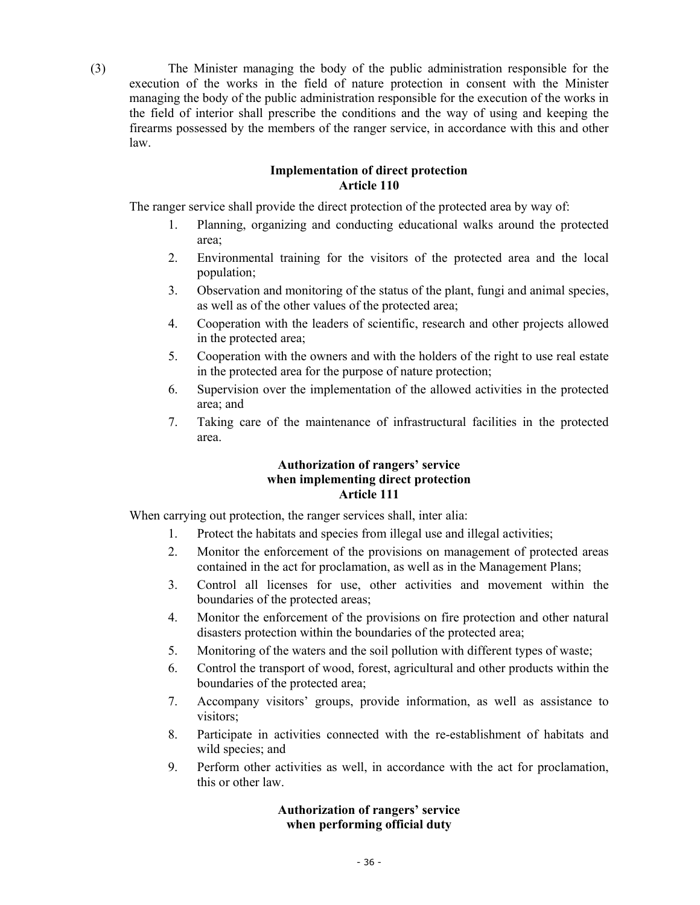(3) The Minister managing the body of the public administration responsible for the execution of the works in the field of nature protection in consent with the Minister managing the body of the public administration responsible for the execution of the works in the field of interior shall prescribe the conditions and the way of using and keeping the firearms possessed by the members of the ranger service, in accordance with this and other law.

### **Implementation of direct protection Article 110**

The ranger service shall provide the direct protection of the protected area by way of:

- 1. Planning, organizing and conducting educational walks around the protected area;
- 2. Environmental training for the visitors of the protected area and the local population;
- 3. Observation and monitoring of the status of the plant, fungi and animal species, as well as of the other values of the protected area;
- 4. Cooperation with the leaders of scientific, research and other projects allowed in the protected area;
- 5. Cooperation with the owners and with the holders of the right to use real estate in the protected area for the purpose of nature protection;
- 6. Supervision over the implementation of the allowed activities in the protected area; and
- 7. Taking care of the maintenance of infrastructural facilities in the protected area.

# **Authorization of rangers' service when implementing direct protection Article 111**

When carrying out protection, the ranger services shall, inter alia:

- 1. Protect the habitats and species from illegal use and illegal activities;
- 2. Monitor the enforcement of the provisions on management of protected areas contained in the act for proclamation, as well as in the Management Plans;
- 3. Control all licenses for use, other activities and movement within the boundaries of the protected areas;
- 4. Monitor the enforcement of the provisions on fire protection and other natural disasters protection within the boundaries of the protected area;
- 5. Monitoring of the waters and the soil pollution with different types of waste;
- 6. Control the transport of wood, forest, agricultural and other products within the boundaries of the protected area;
- 7. Accompany visitors' groups, provide information, as well as assistance to visitors;
- 8. Participate in activities connected with the re-establishment of habitats and wild species; and
- 9. Perform other activities as well, in accordance with the act for proclamation, this or other law.

# **Authorization of rangers' service when performing official duty**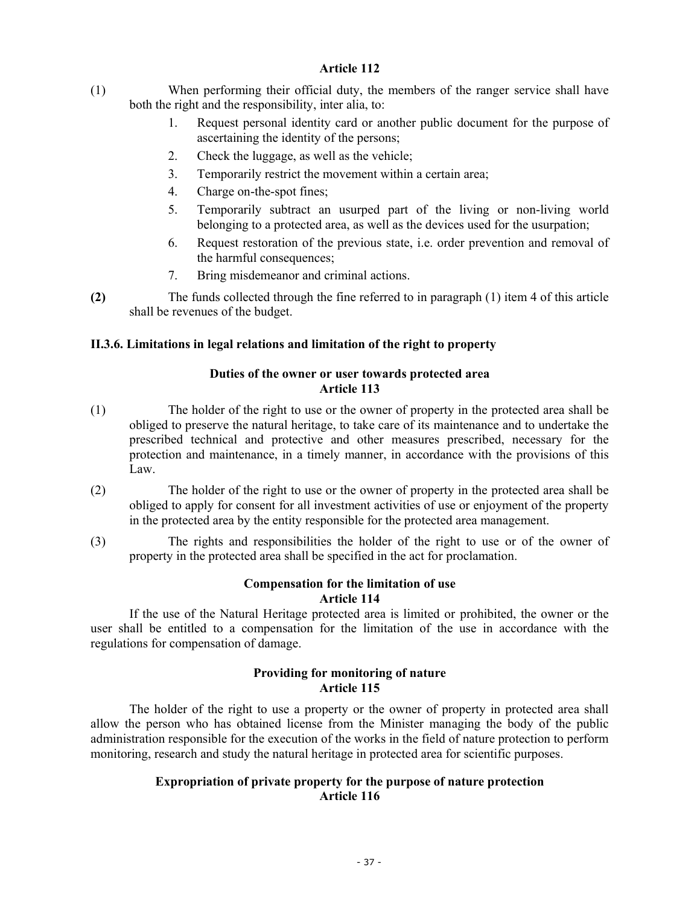# **Article 112**

- (1) When performing their official duty, the members of the ranger service shall have both the right and the responsibility, inter alia, to:
	- 1. Request personal identity card or another public document for the purpose of ascertaining the identity of the persons;
	- 2. Check the luggage, as well as the vehicle;
	- 3. Temporarily restrict the movement within a certain area;
	- 4. Charge on-the-spot fines;
	- 5. Temporarily subtract an usurped part of the living or non-living world belonging to a protected area, as well as the devices used for the usurpation;
	- 6. Request restoration of the previous state, i.e. order prevention and removal of the harmful consequences;
	- 7. Bring misdemeanor and criminal actions.
- **(2)** The funds collected through the fine referred to in paragraph (1) item 4 of this article shall be revenues of the budget.

# **II.3.6. Limitations in legal relations and limitation of the right to property**

# **Duties of the owner or user towards protected area Article 113**

- (1) The holder of the right to use or the owner of property in the protected area shall be obliged to preserve the natural heritage, to take care of its maintenance and to undertake the prescribed technical and protective and other measures prescribed, necessary for the protection and maintenance, in a timely manner, in accordance with the provisions of this Law.
- (2) The holder of the right to use or the owner of property in the protected area shall be obliged to apply for consent for all investment activities of use or enjoyment of the property in the protected area by the entity responsible for the protected area management.
- (3) The rights and responsibilities the holder of the right to use or of the owner of property in the protected area shall be specified in the act for proclamation.

# **Compensation for the limitation of use Article 114**

If the use of the Natural Heritage protected area is limited or prohibited, the owner or the user shall be entitled to a compensation for the limitation of the use in accordance with the regulations for compensation of damage.

# **Providing for monitoring of nature Article 115**

The holder of the right to use a property or the owner of property in protected area shall allow the person who has obtained license from the Minister managing the body of the public administration responsible for the execution of the works in the field of nature protection to perform monitoring, research and study the natural heritage in protected area for scientific purposes.

# **Expropriation of private property for the purpose of nature protection Article 116**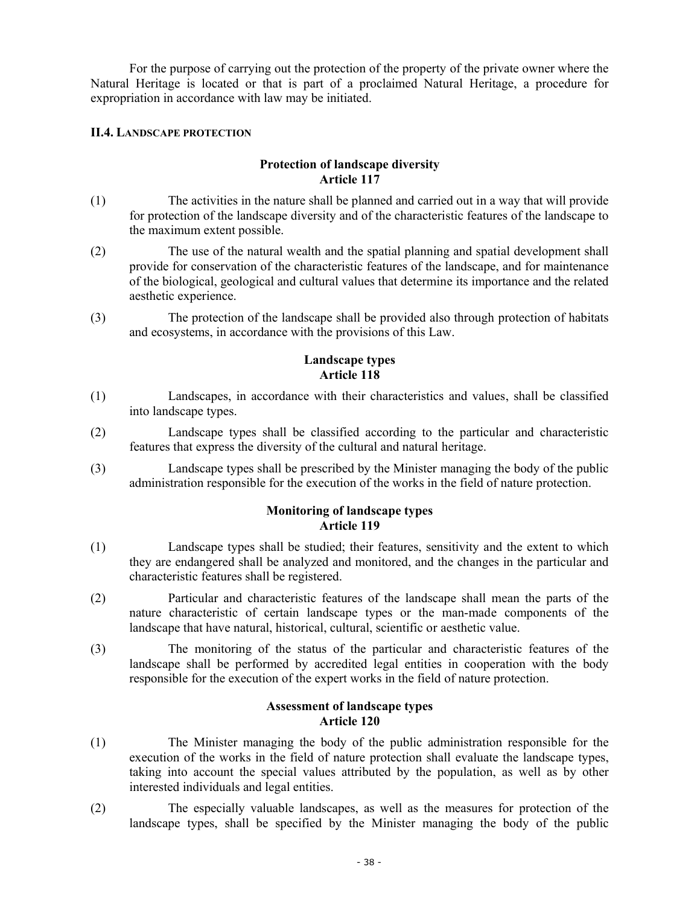For the purpose of carrying out the protection of the property of the private owner where the Natural Heritage is located or that is part of a proclaimed Natural Heritage, a procedure for expropriation in accordance with law may be initiated.

# **II.4. LANDSCAPE PROTECTION**

# **Protection of landscape diversity Article 117**

- (1) The activities in the nature shall be planned and carried out in a way that will provide for protection of the landscape diversity and of the characteristic features of the landscape to the maximum extent possible.
- (2) The use of the natural wealth and the spatial planning and spatial development shall provide for conservation of the characteristic features of the landscape, and for maintenance of the biological, geological and cultural values that determine its importance and the related aesthetic experience.
- (3) The protection of the landscape shall be provided also through protection of habitats and ecosystems, in accordance with the provisions of this Law.

### **Landscape types Article 118**

- (1) Landscapes, in accordance with their characteristics and values, shall be classified into landscape types.
- (2) Landscape types shall be classified according to the particular and characteristic features that express the diversity of the cultural and natural heritage.
- (3) Landscape types shall be prescribed by the Minister managing the body of the public administration responsible for the execution of the works in the field of nature protection.

### **Monitoring of landscape types Article 119**

- (1) Landscape types shall be studied; their features, sensitivity and the extent to which they are endangered shall be analyzed and monitored, and the changes in the particular and characteristic features shall be registered.
- (2) Particular and characteristic features of the landscape shall mean the parts of the nature characteristic of certain landscape types or the man-made components of the landscape that have natural, historical, cultural, scientific or aesthetic value.
- (3) The monitoring of the status of the particular and characteristic features of the landscape shall be performed by accredited legal entities in cooperation with the body responsible for the execution of the expert works in the field of nature protection.

# **Assessment of landscape types Article 120**

- (1) The Minister managing the body of the public administration responsible for the execution of the works in the field of nature protection shall evaluate the landscape types, taking into account the special values attributed by the population, as well as by other interested individuals and legal entities.
- (2) The especially valuable landscapes, as well as the measures for protection of the landscape types, shall be specified by the Minister managing the body of the public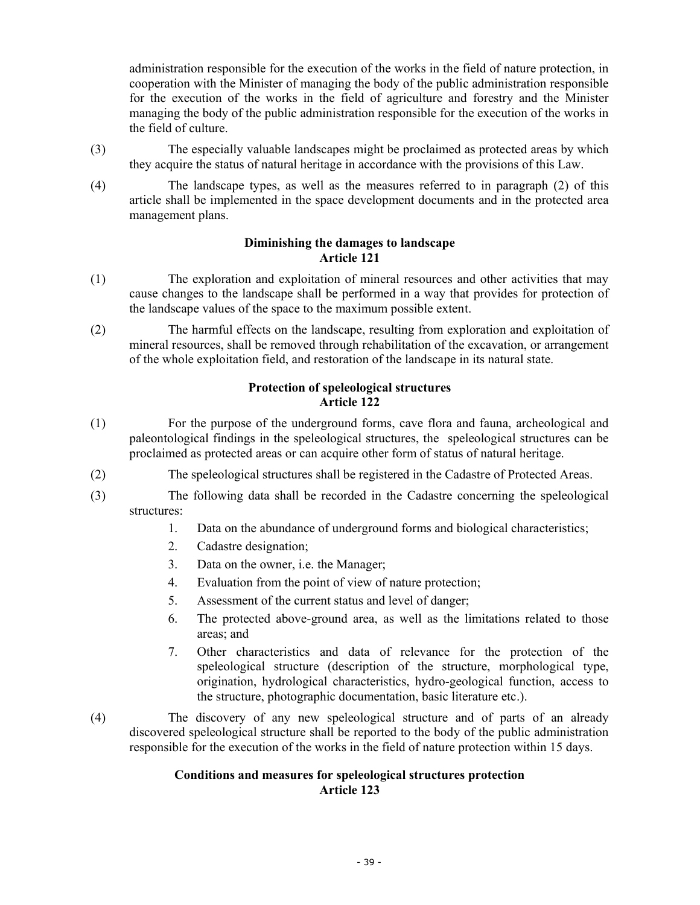administration responsible for the execution of the works in the field of nature protection, in cooperation with the Minister of managing the body of the public administration responsible for the execution of the works in the field of agriculture and forestry and the Minister managing the body of the public administration responsible for the execution of the works in the field of culture.

- (3) The especially valuable landscapes might be proclaimed as protected areas by which they acquire the status of natural heritage in accordance with the provisions of this Law.
- (4) The landscape types, as well as the measures referred to in paragraph (2) of this article shall be implemented in the space development documents and in the protected area management plans.

# **Diminishing the damages to landscape Article 121**

- (1) The exploration and exploitation of mineral resources and other activities that may cause changes to the landscape shall be performed in a way that provides for protection of the landscape values of the space to the maximum possible extent.
- (2) The harmful effects on the landscape, resulting from exploration and exploitation of mineral resources, shall be removed through rehabilitation of the excavation, or arrangement of the whole exploitation field, and restoration of the landscape in its natural state.

# **Protection of speleological structures Article 122**

- (1) For the purpose of the underground forms, cave flora and fauna, archeological and paleontological findings in the speleological structures, the speleological structures can be proclaimed as protected areas or can acquire other form of status of natural heritage.
- (2) The speleological structures shall be registered in the Cadastre of Protected Areas.
- (3) The following data shall be recorded in the Cadastre concerning the speleological structures:
	- 1. Data on the abundance of underground forms and biological characteristics;
	- 2. Cadastre designation;
	- 3. Data on the owner, i.e. the Manager;
	- 4. Evaluation from the point of view of nature protection;
	- 5. Assessment of the current status and level of danger;
	- 6. The protected above-ground area, as well as the limitations related to those areas; and
	- 7. Other characteristics and data of relevance for the protection of the speleological structure (description of the structure, morphological type, origination, hydrological characteristics, hydro-geological function, access to the structure, photographic documentation, basic literature etc.).
- (4) The discovery of any new speleological structure and of parts of an already discovered speleological structure shall be reported to the body of the public administration responsible for the execution of the works in the field of nature protection within 15 days.

# **Conditions and measures for speleological structures protection Article 123**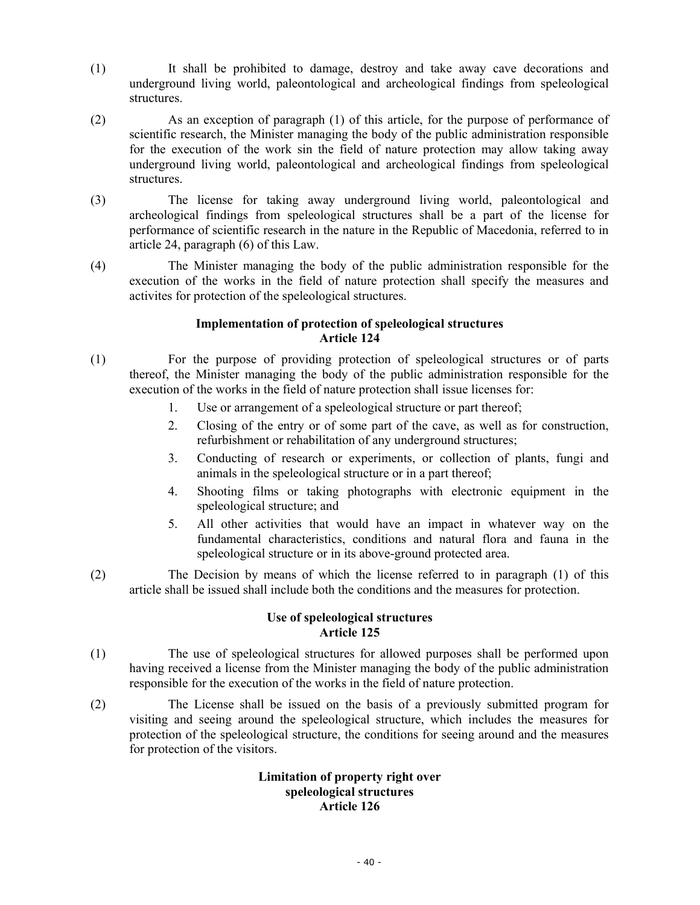- (1) It shall be prohibited to damage, destroy and take away cave decorations and underground living world, paleontological and archeological findings from speleological structures.
- (2) As an exception of paragraph (1) of this article, for the purpose of performance of scientific research, the Minister managing the body of the public administration responsible for the execution of the work sin the field of nature protection may allow taking away underground living world, paleontological and archeological findings from speleological structures.
- (3) The license for taking away underground living world, paleontological and archeological findings from speleological structures shall be a part of the license for performance of scientific research in the nature in the Republic of Macedonia, referred to in article 24, paragraph (6) of this Law.
- (4) The Minister managing the body of the public administration responsible for the execution of the works in the field of nature protection shall specify the measures and activites for protection of the speleological structures.

# **Implementation of protection of speleological structures Article 124**

- (1) For the purpose of providing protection of speleological structures or of parts thereof, the Minister managing the body of the public administration responsible for the execution of the works in the field of nature protection shall issue licenses for:
	- 1. Use or arrangement of a speleological structure or part thereof;
	- 2. Closing of the entry or of some part of the cave, as well as for construction, refurbishment or rehabilitation of any underground structures;
	- 3. Conducting of research or experiments, or collection of plants, fungi and animals in the speleological structure or in a part thereof;
	- 4. Shooting films or taking photographs with electronic equipment in the speleological structure; and
	- 5. All other activities that would have an impact in whatever way on the fundamental characteristics, conditions and natural flora and fauna in the speleological structure or in its above-ground protected area.
- (2) The Decision by means of which the license referred to in paragraph (1) of this article shall be issued shall include both the conditions and the measures for protection.

# **Use of speleological structures Article 125**

- (1) The use of speleological structures for allowed purposes shall be performed upon having received a license from the Minister managing the body of the public administration responsible for the execution of the works in the field of nature protection.
- (2) The License shall be issued on the basis of a previously submitted program for visiting and seeing around the speleological structure, which includes the measures for protection of the speleological structure, the conditions for seeing around and the measures for protection of the visitors.

### **Limitation of property right over speleological structures Article 126**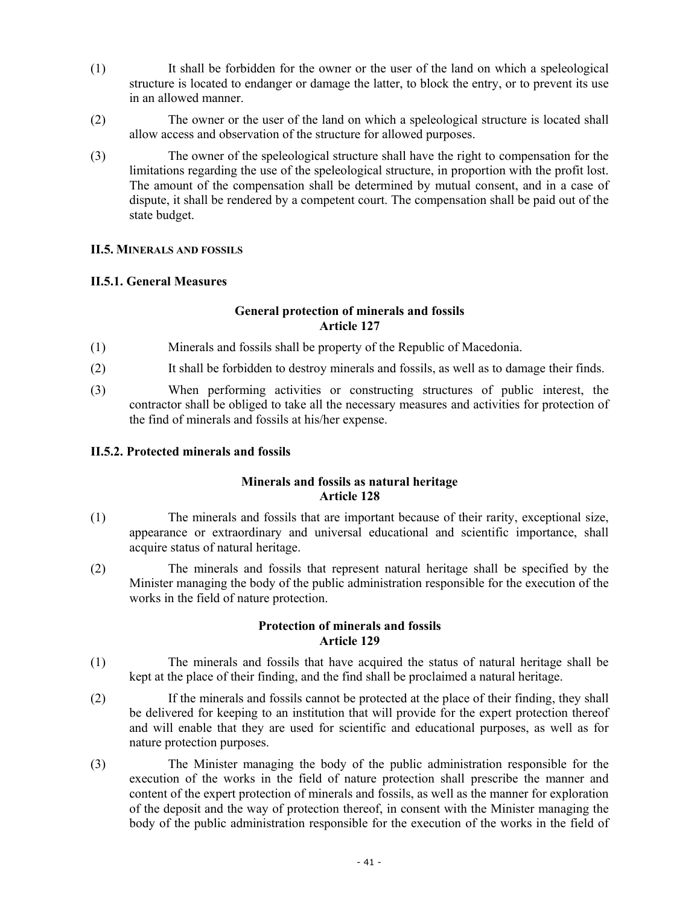- (1) It shall be forbidden for the owner or the user of the land on which a speleological structure is located to endanger or damage the latter, to block the entry, or to prevent its use in an allowed manner.
- (2) The owner or the user of the land on which a speleological structure is located shall allow access and observation of the structure for allowed purposes.
- (3) The owner of the speleological structure shall have the right to compensation for the limitations regarding the use of the speleological structure, in proportion with the profit lost. The amount of the compensation shall be determined by mutual consent, and in a case of dispute, it shall be rendered by a competent court. The compensation shall be paid out of the state budget.

### **II.5. MINERALS AND FOSSILS**

# **II.5.1. General Measures**

# **General protection of minerals and fossils Article 127**

- (1) Minerals and fossils shall be property of the Republic of Macedonia.
- (2) It shall be forbidden to destroy minerals and fossils, as well as to damage their finds.
- (3) When performing activities or constructing structures of public interest, the contractor shall be obliged to take all the necessary measures and activities for protection of the find of minerals and fossils at his/her expense.

# **II.5.2. Protected minerals and fossils**

# **Minerals and fossils as natural heritage Article 128**

- (1) The minerals and fossils that are important because of their rarity, exceptional size, appearance or extraordinary and universal educational and scientific importance, shall acquire status of natural heritage.
- (2) The minerals and fossils that represent natural heritage shall be specified by the Minister managing the body of the public administration responsible for the execution of the works in the field of nature protection.

# **Protection of minerals and fossils Article 129**

- (1) The minerals and fossils that have acquired the status of natural heritage shall be kept at the place of their finding, and the find shall be proclaimed a natural heritage.
- (2) If the minerals and fossils cannot be protected at the place of their finding, they shall be delivered for keeping to an institution that will provide for the expert protection thereof and will enable that they are used for scientific and educational purposes, as well as for nature protection purposes.
- (3) The Minister managing the body of the public administration responsible for the execution of the works in the field of nature protection shall prescribe the manner and content of the expert protection of minerals and fossils, as well as the manner for exploration of the deposit and the way of protection thereof, in consent with the Minister managing the body of the public administration responsible for the execution of the works in the field of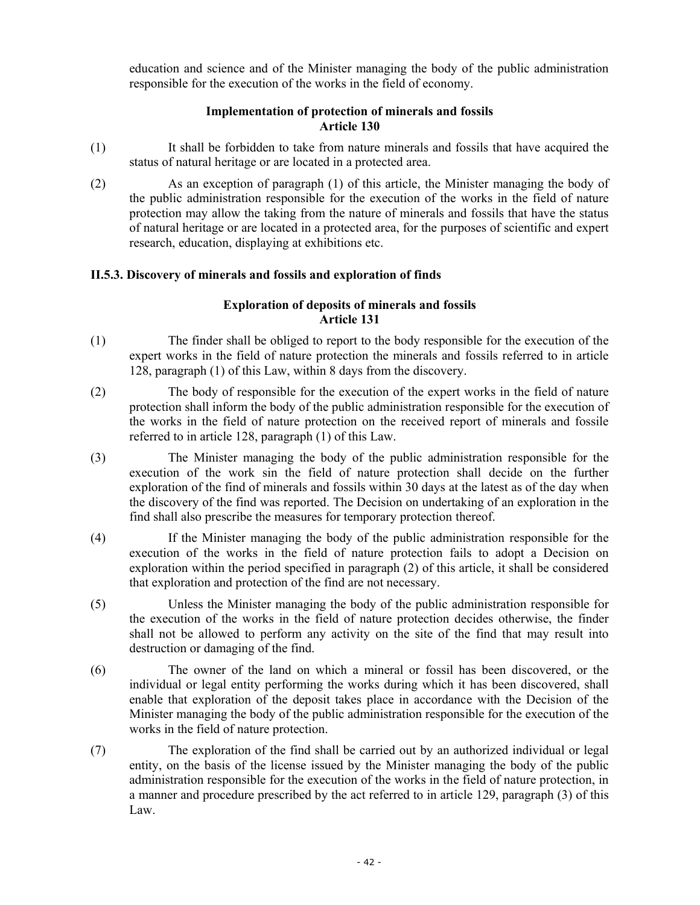education and science and of the Minister managing the body of the public administration responsible for the execution of the works in the field of economy.

# **Implementation of protection of minerals and fossils Article 130**

- (1) It shall be forbidden to take from nature minerals and fossils that have acquired the status of natural heritage or are located in a protected area.
- (2) As an exception of paragraph (1) of this article, the Minister managing the body of the public administration responsible for the execution of the works in the field of nature protection may allow the taking from the nature of minerals and fossils that have the status of natural heritage or are located in a protected area, for the purposes of scientific and expert research, education, displaying at exhibitions etc.

# **II.5.3. Discovery of minerals and fossils and exploration of finds**

# **Exploration of deposits of minerals and fossils Article 131**

- (1) The finder shall be obliged to report to the body responsible for the execution of the expert works in the field of nature protection the minerals and fossils referred to in article 128, paragraph (1) of this Law, within 8 days from the discovery.
- (2) The body of responsible for the execution of the expert works in the field of nature protection shall inform the body of the public administration responsible for the execution of the works in the field of nature protection on the received report of minerals and fossile referred to in article 128, paragraph (1) of this Law.
- (3) The Minister managing the body of the public administration responsible for the execution of the work sin the field of nature protection shall decide on the further exploration of the find of minerals and fossils within 30 days at the latest as of the day when the discovery of the find was reported. The Decision on undertaking of an exploration in the find shall also prescribe the measures for temporary protection thereof.
- (4) If the Minister managing the body of the public administration responsible for the execution of the works in the field of nature protection fails to adopt a Decision on exploration within the period specified in paragraph (2) of this article, it shall be considered that exploration and protection of the find are not necessary.
- (5) Unless the Minister managing the body of the public administration responsible for the execution of the works in the field of nature protection decides otherwise, the finder shall not be allowed to perform any activity on the site of the find that may result into destruction or damaging of the find.
- (6) The owner of the land on which a mineral or fossil has been discovered, or the individual or legal entity performing the works during which it has been discovered, shall enable that exploration of the deposit takes place in accordance with the Decision of the Minister managing the body of the public administration responsible for the execution of the works in the field of nature protection.
- (7) The exploration of the find shall be carried out by an authorized individual or legal entity, on the basis of the license issued by the Minister managing the body of the public administration responsible for the execution of the works in the field of nature protection, in a manner and procedure prescribed by the act referred to in article 129, paragraph (3) of this Law.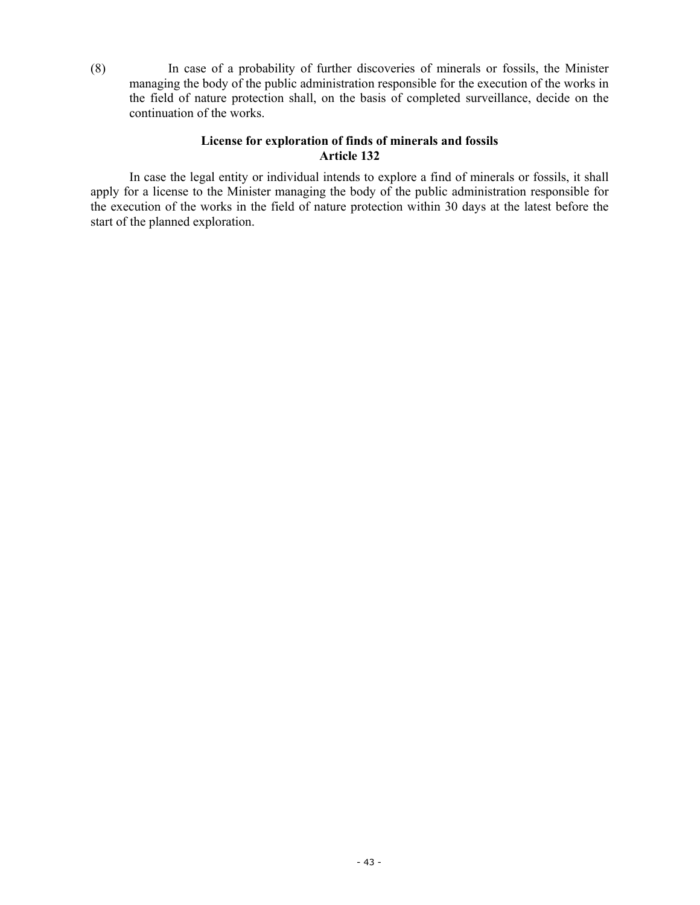(8) In case of a probability of further discoveries of minerals or fossils, the Minister managing the body of the public administration responsible for the execution of the works in the field of nature protection shall, on the basis of completed surveillance, decide on the continuation of the works.

# **License for exploration of finds of minerals and fossils Article 132**

 In case the legal entity or individual intends to explore a find of minerals or fossils, it shall apply for a license to the Minister managing the body of the public administration responsible for the execution of the works in the field of nature protection within 30 days at the latest before the start of the planned exploration.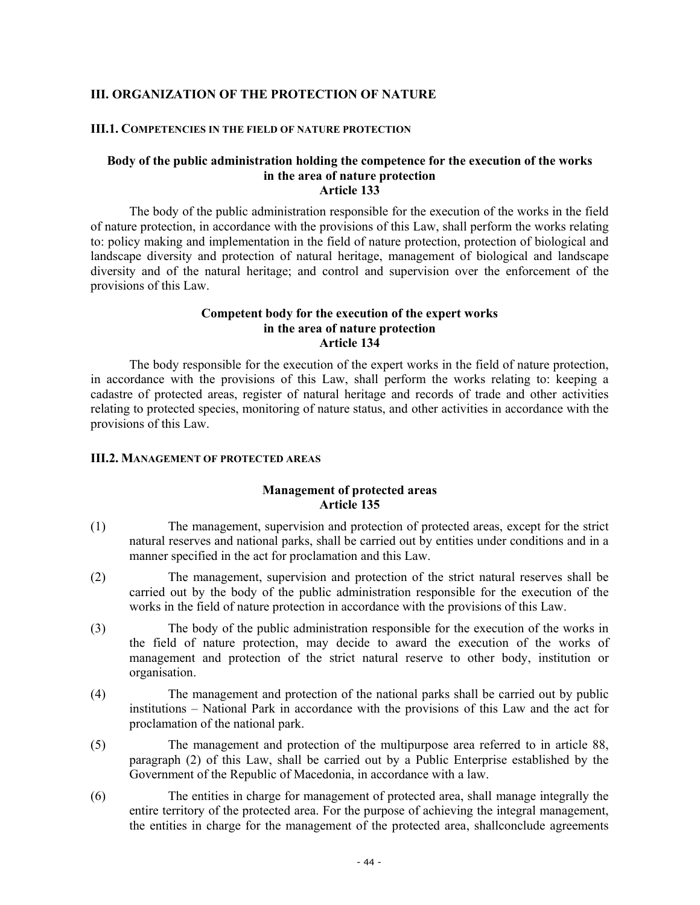# **III. ORGANIZATION OF THE PROTECTION OF NATURE**

#### **III.1. COMPETENCIES IN THE FIELD OF NATURE PROTECTION**

#### **Body of the public administration holding the competence for the execution of the works in the area of nature protection Article 133**

The body of the public administration responsible for the execution of the works in the field of nature protection, in accordance with the provisions of this Law, shall perform the works relating to: policy making and implementation in the field of nature protection, protection of biological and landscape diversity and protection of natural heritage, management of biological and landscape diversity and of the natural heritage; and control and supervision over the enforcement of the provisions of this Law.

### **Competent body for the execution of the expert works in the area of nature protection Article 134**

The body responsible for the execution of the expert works in the field of nature protection, in accordance with the provisions of this Law, shall perform the works relating to: keeping a cadastre of protected areas, register of natural heritage and records of trade and other activities relating to protected species, monitoring of nature status, and other activities in accordance with the provisions of this Law.

#### **III.2. MANAGEMENT OF PROTECTED AREAS**

#### **Management of protected areas Article 135**

- (1) The management, supervision and protection of protected areas, except for the strict natural reserves and national parks, shall be carried out by entities under conditions and in a manner specified in the act for proclamation and this Law.
- (2) The management, supervision and protection of the strict natural reserves shall be carried out by the body of the public administration responsible for the execution of the works in the field of nature protection in accordance with the provisions of this Law.
- (3) The body of the public administration responsible for the execution of the works in the field of nature protection, may decide to award the execution of the works of management and protection of the strict natural reserve to other body, institution or organisation.
- (4) The management and protection of the national parks shall be carried out by public institutions – National Park in accordance with the provisions of this Law and the act for proclamation of the national park.
- (5) The management and protection of the multipurpose area referred to in article 88, paragraph (2) of this Law, shall be carried out by a Public Enterprise established by the Government of the Republic of Macedonia, in accordance with a law.
- (6) The entities in charge for management of protected area, shall manage integrally the entire territory of the protected area. For the purpose of achieving the integral management, the entities in charge for the management of the protected area, shallconclude agreements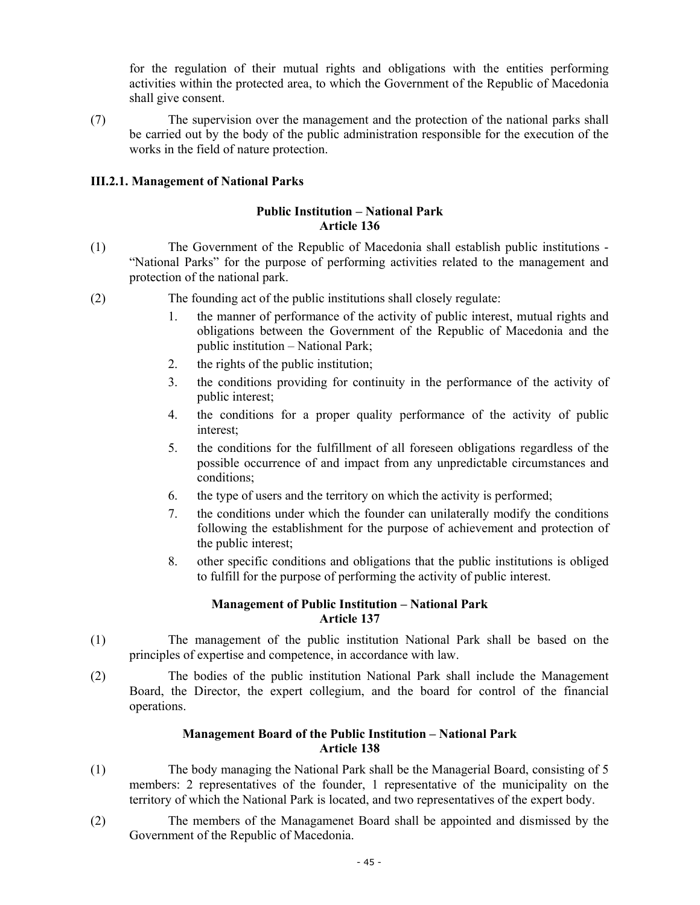for the regulation of their mutual rights and obligations with the entities performing activities within the protected area, to which the Government of the Republic of Macedonia shall give consent.

(7) The supervision over the management and the protection of the national parks shall be carried out by the body of the public administration responsible for the execution of the works in the field of nature protection.

# **III.2.1. Management of National Parks**

# **Public Institution – National Park Article 136**

- (1) The Government of the Republic of Macedonia shall establish public institutions "National Parks" for the purpose of performing activities related to the management and protection of the national park.
- (2) The founding act of the public institutions shall closely regulate:
	- 1. the manner of performance of the activity of public interest, mutual rights and obligations between the Government of the Republic of Macedonia and the public institution – National Park;
	- 2. the rights of the public institution;
	- 3. the conditions providing for continuity in the performance of the activity of public interest;
	- 4. the conditions for a proper quality performance of the activity of public interest;
	- 5. the conditions for the fulfillment of all foreseen obligations regardless of the possible occurrence of and impact from any unpredictable circumstances and conditions;
	- 6. the type of users and the territory on which the activity is performed;
	- 7. the conditions under which the founder can unilaterally modify the conditions following the establishment for the purpose of achievement and protection of the public interest;
	- 8. other specific conditions and obligations that the public institutions is obliged to fulfill for the purpose of performing the activity of public interest.

# **Management of Public Institution – National Park Article 137**

- (1) The management of the public institution National Park shall be based on the principles of expertise and competence, in accordance with law.
- (2) The bodies of the public institution National Park shall include the Management Board, the Director, the expert collegium, and the board for control of the financial operations.

# **Management Board of the Public Institution – National Park Article 138**

- (1) The body managing the National Park shall be the Managerial Board, consisting of 5 members: 2 representatives of the founder, 1 representative of the municipality on the territory of which the National Park is located, and two representatives of the expert body.
- (2) The members of the Managamenet Board shall be appointed and dismissed by the Government of the Republic of Macedonia.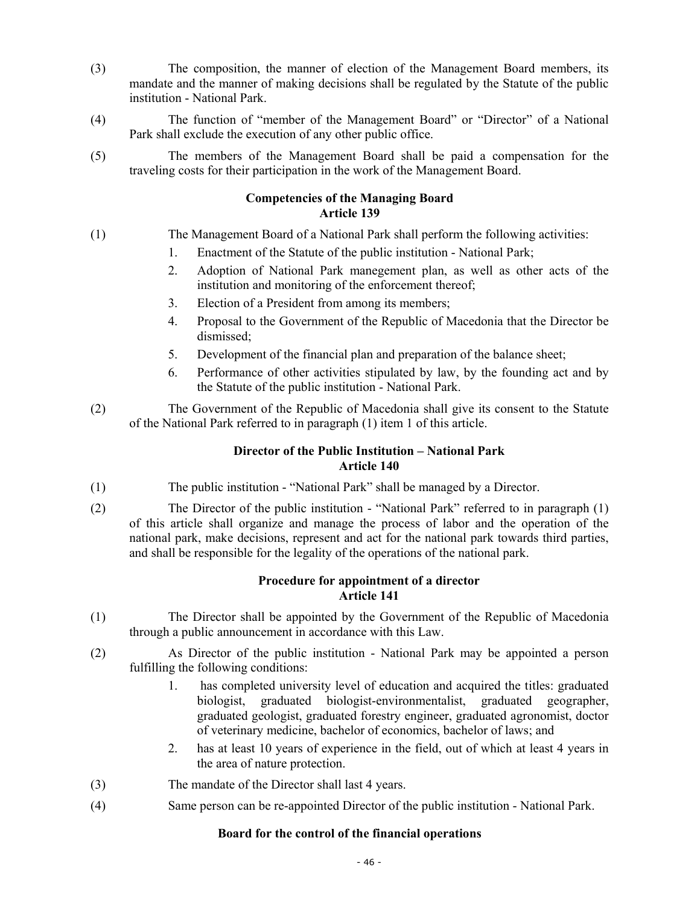- (3) The composition, the manner of election of the Management Board members, its mandate and the manner of making decisions shall be regulated by the Statute of the public institution - National Park.
- (4) The function of "member of the Management Board" or "Director" of a National Park shall exclude the execution of any other public office.
- (5) The members of the Management Board shall be paid a compensation for the traveling costs for their participation in the work of the Management Board.

# **Competencies of the Managing Board Article 139**

- (1) The Management Board of a National Park shall perform the following activities:
	- 1. Enactment of the Statute of the public institution National Park;
	- 2. Adoption of National Park manegement plan, as well as other acts of the institution and monitoring of the enforcement thereof;
	- 3. Election of a President from among its members;
	- 4. Proposal to the Government of the Republic of Macedonia that the Director be dismissed;
	- 5. Development of the financial plan and preparation of the balance sheet;
	- 6. Performance of other activities stipulated by law, by the founding act and by the Statute of the public institution - National Park.
- (2) The Government of the Republic of Macedonia shall give its consent to the Statute of the National Park referred to in paragraph (1) item 1 of this article.

# **Director of the Public Institution – National Park Article 140**

- (1) The public institution "National Park" shall be managed by a Director.
- (2) The Director of the public institution "National Park" referred to in paragraph (1) of this article shall organize and manage the process of labor and the operation of the national park, make decisions, represent and act for the national park towards third parties, and shall be responsible for the legality of the operations of the national park.

# **Procedure for appointment of a director Article 141**

- (1) The Director shall be appointed by the Government of the Republic of Macedonia through a public announcement in accordance with this Law.
- (2) As Director of the public institution National Park may be appointed a person fulfilling the following conditions:
	- 1. has completed university level of education and acquired the titles: graduated biologist, graduated biologist-environmentalist, graduated geographer, graduated geologist, graduated forestry engineer, graduated agronomist, doctor of veterinary medicine, bachelor of economics, bachelor of laws; and
	- 2. has at least 10 years of experience in the field, out of which at least 4 years in the area of nature protection.
- (3) The mandate of the Director shall last 4 years.
- (4) Same person can be re-appointed Director of the public institution National Park.

### **Board for the control of the financial operations**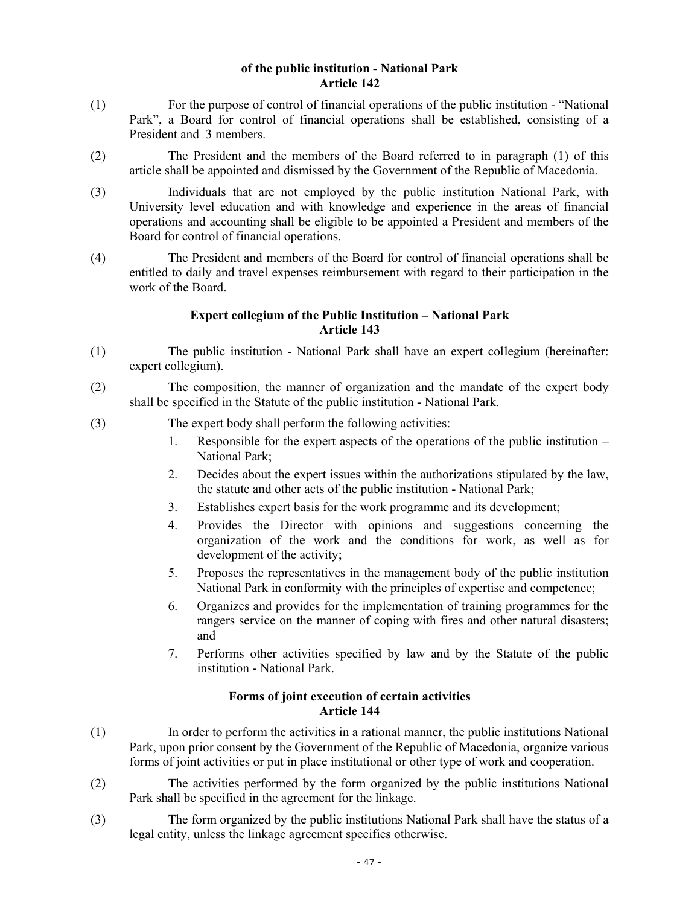### **of the public institution - National Park Article 142**

- (1) For the purpose of control of financial operations of the public institution "National Park", a Board for control of financial operations shall be established, consisting of a President and 3 members.
- (2) The President and the members of the Board referred to in paragraph (1) of this article shall be appointed and dismissed by the Government of the Republic of Macedonia.
- (3) Individuals that are not employed by the public institution National Park, with University level education and with knowledge and experience in the areas of financial operations and accounting shall be eligible to be appointed a President and members of the Board for control of financial operations.
- (4) The President and members of the Board for control of financial operations shall be entitled to daily and travel expenses reimbursement with regard to their participation in the work of the Board.

### **Expert collegium of the Public Institution – National Park Article 143**

- (1) The public institution National Park shall have an expert collegium (hereinafter: expert collegium).
- (2) The composition, the manner of organization and the mandate of the expert body shall be specified in the Statute of the public institution - National Park.
- (3) The expert body shall perform the following activities:
	- 1. Responsible for the expert aspects of the operations of the public institution National Park;
	- 2. Decides about the expert issues within the authorizations stipulated by the law, the statute and other acts of the public institution - National Park;
	- 3. Establishes expert basis for the work programme and its development;
	- 4. Provides the Director with opinions and suggestions concerning the organization of the work and the conditions for work, as well as for development of the activity;
	- 5. Proposes the representatives in the management body of the public institution National Park in conformity with the principles of expertise and competence;
	- 6. Organizes and provides for the implementation of training programmes for the rangers service on the manner of coping with fires and other natural disasters; and
	- 7. Performs other activities specified by law and by the Statute of the public institution - National Park.

### **Forms of joint execution of certain activities Article 144**

- (1) In order to perform the activities in a rational manner, the public institutions National Park, upon prior consent by the Government of the Republic of Macedonia, organize various forms of joint activities or put in place institutional or other type of work and cooperation.
- (2) The activities performed by the form organized by the public institutions National Park shall be specified in the agreement for the linkage.
- (3) The form organized by the public institutions National Park shall have the status of a legal entity, unless the linkage agreement specifies otherwise.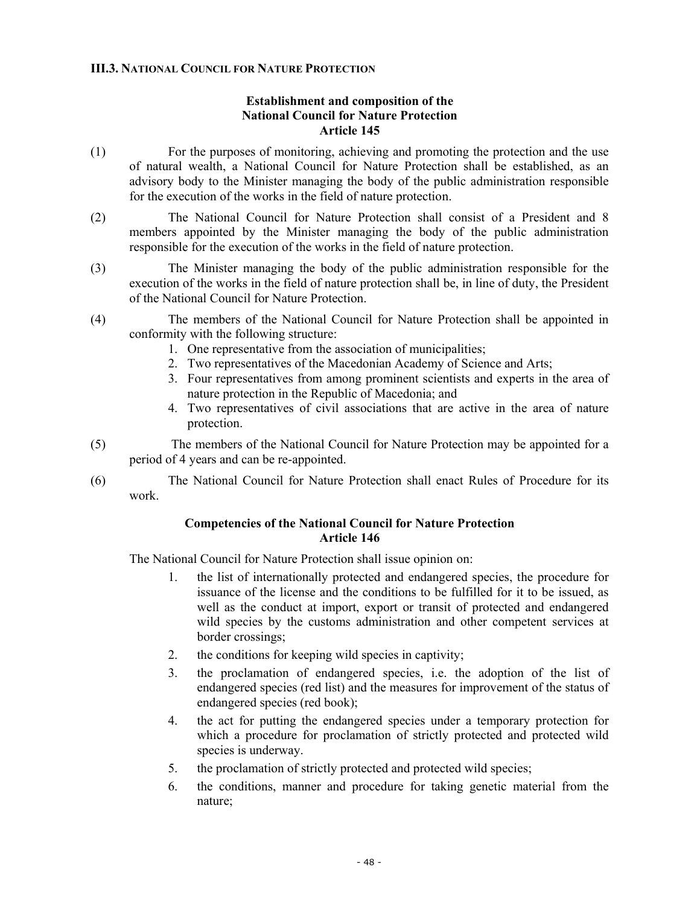# **III.3. NATIONAL COUNCIL FOR NATURE PROTECTION**

### **Establishment and composition of the National Council for Nature Protection Article 145**

- (1) For the purposes of monitoring, achieving and promoting the protection and the use of natural wealth, a National Council for Nature Protection shall be established, as an advisory body to the Minister managing the body of the public administration responsible for the execution of the works in the field of nature protection.
- (2) The National Council for Nature Protection shall consist of a President and 8 members appointed by the Minister managing the body of the public administration responsible for the execution of the works in the field of nature protection.
- (3) The Minister managing the body of the public administration responsible for the execution of the works in the field of nature protection shall be, in line of duty, the President of the National Council for Nature Protection.
- (4) The members of the National Council for Nature Protection shall be appointed in conformity with the following structure:
	- 1. One representative from the association of municipalities;
	- 2. Two representatives of the Macedonian Academy of Science and Arts;
	- 3. Four representatives from among prominent scientists and experts in the area of nature protection in the Republic of Macedonia; and
	- 4. Two representatives of civil associations that are active in the area of nature protection.
- (5) The members of the National Council for Nature Protection may be appointed for a period of 4 years and can be re-appointed.
- (6) The National Council for Nature Protection shall enact Rules of Procedure for its work.

# **Competencies of the National Council for Nature Protection Article 146**

The National Council for Nature Protection shall issue opinion on:

- 1. the list of internationally protected and endangered species, the procedure for issuance of the license and the conditions to be fulfilled for it to be issued, as well as the conduct at import, export or transit of protected and endangered wild species by the customs administration and other competent services at border crossings;
- 2. the conditions for keeping wild species in captivity;
- 3. the proclamation of endangered species, i.e. the adoption of the list of endangered species (red list) and the measures for improvement of the status of endangered species (red book);
- 4. the act for putting the endangered species under a temporary protection for which a procedure for proclamation of strictly protected and protected wild species is underway.
- 5. the proclamation of strictly protected and protected wild species;
- 6. the conditions, manner and procedure for taking genetic material from the nature;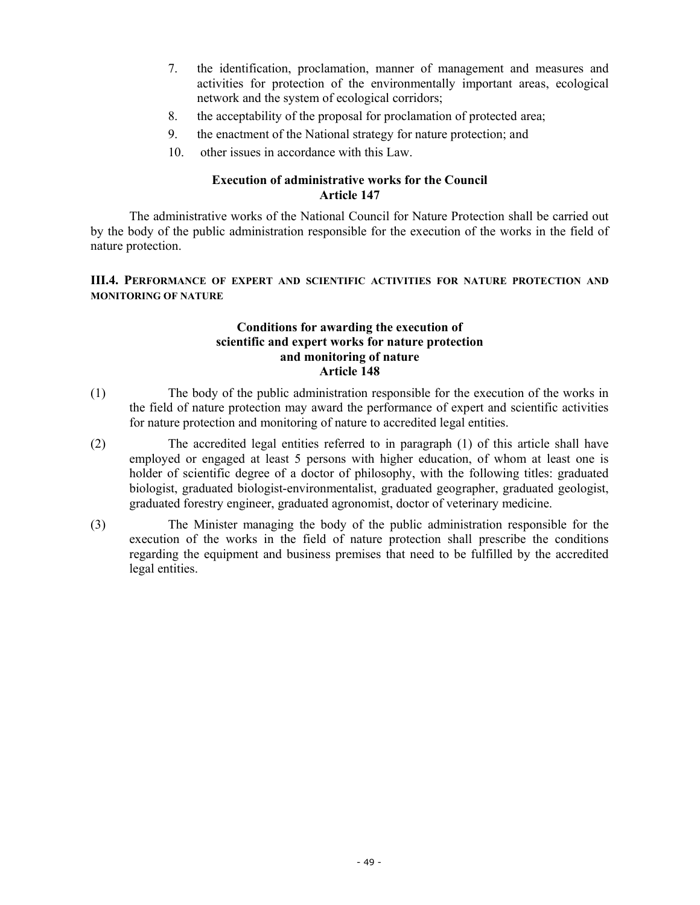- 7. the identification, proclamation, manner of management and measures and activities for protection of the environmentally important areas, ecological network and the system of ecological corridors;
- 8. the acceptability of the proposal for proclamation of protected area;
- 9. the enactment of the National strategy for nature protection; and
- 10. other issues in accordance with this Law.

# **Execution of administrative works for the Council Article 147**

The administrative works of the National Council for Nature Protection shall be carried out by the body of the public administration responsible for the execution of the works in the field of nature protection.

### **III.4. PERFORMANCE OF EXPERT AND SCIENTIFIC ACTIVITIES FOR NATURE PROTECTION AND MONITORING OF NATURE**

### **Conditions for awarding the execution of scientific and expert works for nature protection and monitoring of nature Article 148**

- (1) The body of the public administration responsible for the execution of the works in the field of nature protection may award the performance of expert and scientific activities for nature protection and monitoring of nature to accredited legal entities.
- (2) The accredited legal entities referred to in paragraph (1) of this article shall have employed or engaged at least 5 persons with higher education, of whom at least one is holder of scientific degree of a doctor of philosophy, with the following titles: graduated biologist, graduated biologist-environmentalist, graduated geographer, graduated geologist, graduated forestry engineer, graduated agronomist, doctor of veterinary medicine.
- (3) The Minister managing the body of the public administration responsible for the execution of the works in the field of nature protection shall prescribe the conditions regarding the equipment and business premises that need to be fulfilled by the accredited legal entities.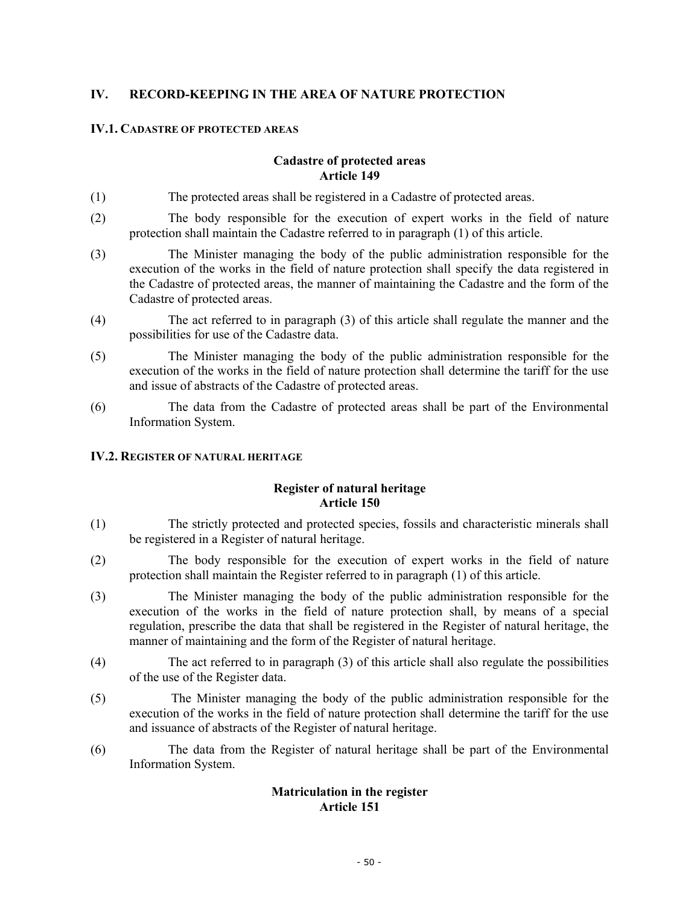# **IV. RECORD-KEEPING IN THE AREA OF NATURE PROTECTION**

# **IV.1. CADASTRE OF PROTECTED AREAS**

# **Cadastre of protected areas Article 149**

- (1) The protected areas shall be registered in a Cadastre of protected areas.
- (2) The body responsible for the execution of expert works in the field of nature protection shall maintain the Cadastre referred to in paragraph (1) of this article.
- (3) The Minister managing the body of the public administration responsible for the execution of the works in the field of nature protection shall specify the data registered in the Cadastre of protected areas, the manner of maintaining the Cadastre and the form of the Cadastre of protected areas.
- (4) The act referred to in paragraph (3) of this article shall regulate the manner and the possibilities for use of the Cadastre data.
- (5) The Minister managing the body of the public administration responsible for the execution of the works in the field of nature protection shall determine the tariff for the use and issue of abstracts of the Cadastre of protected areas.
- (6) The data from the Cadastre of protected areas shall be part of the Environmental Information System.

### **IV.2. REGISTER OF NATURAL HERITAGE**

# **Register of natural heritage Article 150**

- (1) The strictly protected and protected species, fossils and characteristic minerals shall be registered in a Register of natural heritage.
- (2) The body responsible for the execution of expert works in the field of nature protection shall maintain the Register referred to in paragraph (1) of this article.
- (3) The Minister managing the body of the public administration responsible for the execution of the works in the field of nature protection shall, by means of a special regulation, prescribe the data that shall be registered in the Register of natural heritage, the manner of maintaining and the form of the Register of natural heritage.
- (4) The act referred to in paragraph (3) of this article shall also regulate the possibilities of the use of the Register data.
- (5) The Minister managing the body of the public administration responsible for the execution of the works in the field of nature protection shall determine the tariff for the use and issuance of abstracts of the Register of natural heritage.
- (6) The data from the Register of natural heritage shall be part of the Environmental Information System.

# **Matriculation in the register Article 151**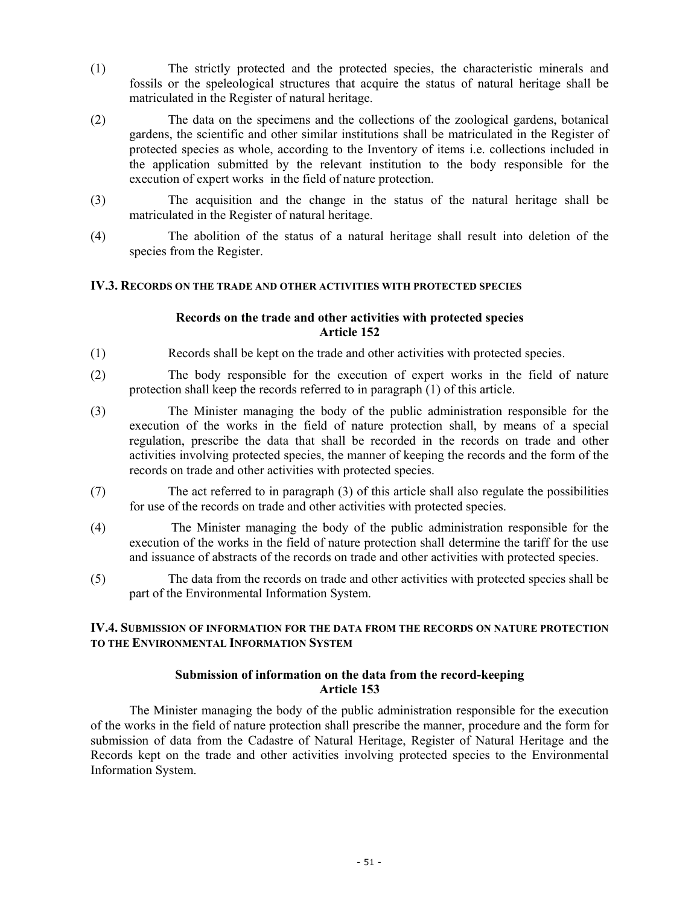- (1) The strictly protected and the protected species, the characteristic minerals and fossils or the speleological structures that acquire the status of natural heritage shall be matriculated in the Register of natural heritage.
- (2) The data on the specimens and the collections of the zoological gardens, botanical gardens, the scientific and other similar institutions shall be matriculated in the Register of protected species as whole, according to the Inventory of items i.e. collections included in the application submitted by the relevant institution to the body responsible for the execution of expert works in the field of nature protection.
- (3) The acquisition and the change in the status of the natural heritage shall be matriculated in the Register of natural heritage.
- (4) The abolition of the status of a natural heritage shall result into deletion of the species from the Register.

# **IV.3. RECORDS ON THE TRADE AND OTHER ACTIVITIES WITH PROTECTED SPECIES**

# **Records on the trade and other activities with protected species Article 152**

- (1) Records shall be kept on the trade and other activities with protected species.
- (2) The body responsible for the execution of expert works in the field of nature protection shall keep the records referred to in paragraph (1) of this article.
- (3) The Minister managing the body of the public administration responsible for the execution of the works in the field of nature protection shall, by means of a special regulation, prescribe the data that shall be recorded in the records on trade and other activities involving protected species, the manner of keeping the records and the form of the records on trade and other activities with protected species.
- (7) The act referred to in paragraph (3) of this article shall also regulate the possibilities for use of the records on trade and other activities with protected species.
- (4) The Minister managing the body of the public administration responsible for the execution of the works in the field of nature protection shall determine the tariff for the use and issuance of abstracts of the records on trade and other activities with protected species.
- (5) The data from the records on trade and other activities with protected species shall be part of the Environmental Information System.

# **IV.4. SUBMISSION OF INFORMATION FOR THE DATA FROM THE RECORDS ON NATURE PROTECTION TO THE ENVIRONMENTAL INFORMATION SYSTEM**

### **Submission of information on the data from the record-keeping Article 153**

 The Minister managing the body of the public administration responsible for the execution of the works in the field of nature protection shall prescribe the manner, procedure and the form for submission of data from the Cadastre of Natural Heritage, Register of Natural Heritage and the Records kept on the trade and other activities involving protected species to the Environmental Information System.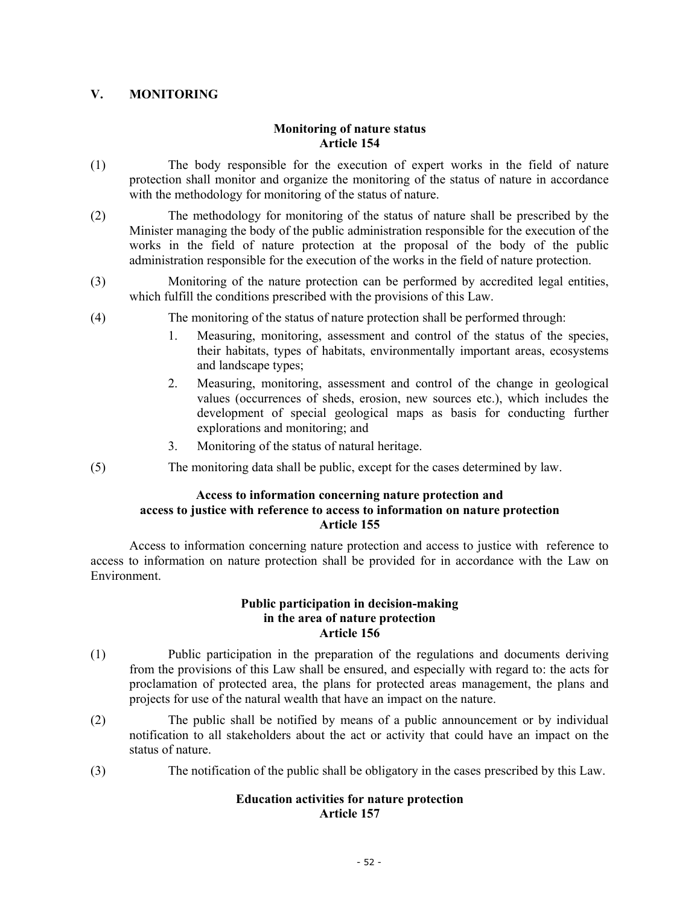# **V. MONITORING**

# **Monitoring of nature status Article 154**

- (1) The body responsible for the execution of expert works in the field of nature protection shall monitor and organize the monitoring of the status of nature in accordance with the methodology for monitoring of the status of nature.
- (2) The methodology for monitoring of the status of nature shall be prescribed by the Minister managing the body of the public administration responsible for the execution of the works in the field of nature protection at the proposal of the body of the public administration responsible for the execution of the works in the field of nature protection.
- (3) Monitoring of the nature protection can be performed by accredited legal entities, which fulfill the conditions prescribed with the provisions of this Law.
- (4) The monitoring of the status of nature protection shall be performed through:
	- 1. Measuring, monitoring, assessment and control of the status of the species, their habitats, types of habitats, environmentally important areas, ecosystems and landscape types;
	- 2. Measuring, monitoring, assessment and control of the change in geological values (occurrences of sheds, erosion, new sources etc.), which includes the development of special geological maps as basis for conducting further explorations and monitoring; and
	- 3. Monitoring of the status of natural heritage.
- (5) The monitoring data shall be public, except for the cases determined by law.

### **Access to information concerning nature protection and access to justice with reference to access to information on nature protection Article 155**

Access to information concerning nature protection and access to justice with reference to access to information on nature protection shall be provided for in accordance with the Law on Environment.

### **Public participation in decision-making in the area of nature protection Article 156**

- (1) Public participation in the preparation of the regulations and documents deriving from the provisions of this Law shall be ensured, and especially with regard to: the acts for proclamation of protected area, the plans for protected areas management, the plans and projects for use of the natural wealth that have an impact on the nature.
- (2) The public shall be notified by means of a public announcement or by individual notification to all stakeholders about the act or activity that could have an impact on the status of nature.
- (3) The notification of the public shall be obligatory in the cases prescribed by this Law.

# **Education activities for nature protection Article 157**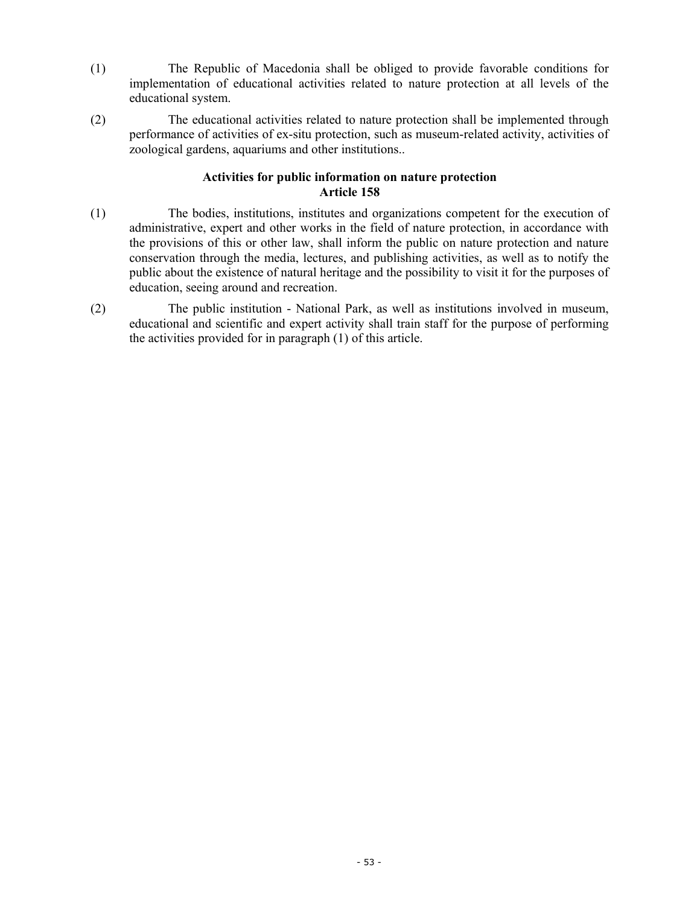- (1) The Republic of Macedonia shall be obliged to provide favorable conditions for implementation of educational activities related to nature protection at all levels of the educational system.
- (2) The educational activities related to nature protection shall be implemented through performance of activities of ex-situ protection, such as museum-related activity, activities of zoological gardens, aquariums and other institutions..

# **Activities for public information on nature protection Article 158**

- (1) The bodies, institutions, institutes and organizations competent for the execution of administrative, expert and other works in the field of nature protection, in accordance with the provisions of this or other law, shall inform the public on nature protection and nature conservation through the media, lectures, and publishing activities, as well as to notify the public about the existence of natural heritage and the possibility to visit it for the purposes of education, seeing around and recreation.
- (2) The public institution National Park, as well as institutions involved in museum, educational and scientific and expert activity shall train staff for the purpose of performing the activities provided for in paragraph (1) of this article.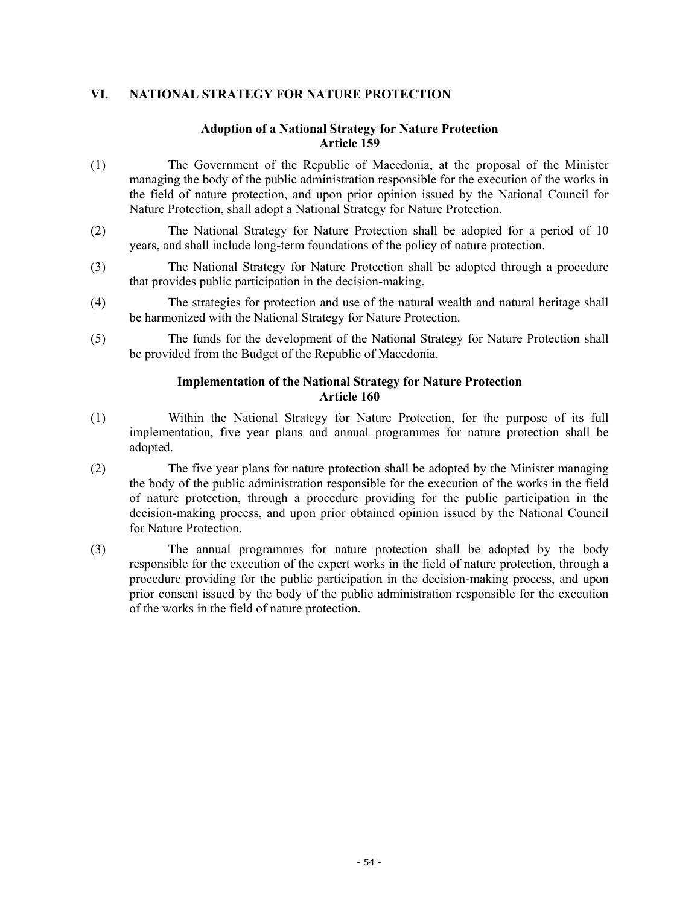# **VI. NATIONAL STRATEGY FOR NATURE PROTECTION**

### **Adoption of a National Strategy for Nature Protection Article 159**

- (1) The Government of the Republic of Macedonia, at the proposal of the Minister managing the body of the public administration responsible for the execution of the works in the field of nature protection, and upon prior opinion issued by the National Council for Nature Protection, shall adopt a National Strategy for Nature Protection.
- (2) The National Strategy for Nature Protection shall be adopted for a period of 10 years, and shall include long-term foundations of the policy of nature protection.
- (3) The National Strategy for Nature Protection shall be adopted through a procedure that provides public participation in the decision-making.
- (4) The strategies for protection and use of the natural wealth and natural heritage shall be harmonized with the National Strategy for Nature Protection.
- (5) The funds for the development of the National Strategy for Nature Protection shall be provided from the Budget of the Republic of Macedonia.

### **Implementation of the National Strategy for Nature Protection Article 160**

- (1) Within the National Strategy for Nature Protection, for the purpose of its full implementation, five year plans and annual programmes for nature protection shall be adopted.
- (2) The five year plans for nature protection shall be adopted by the Minister managing the body of the public administration responsible for the execution of the works in the field of nature protection, through a procedure providing for the public participation in the decision-making process, and upon prior obtained opinion issued by the National Council for Nature Protection.
- (3) The annual programmes for nature protection shall be adopted by the body responsible for the execution of the expert works in the field of nature protection, through a procedure providing for the public participation in the decision-making process, and upon prior consent issued by the body of the public administration responsible for the execution of the works in the field of nature protection.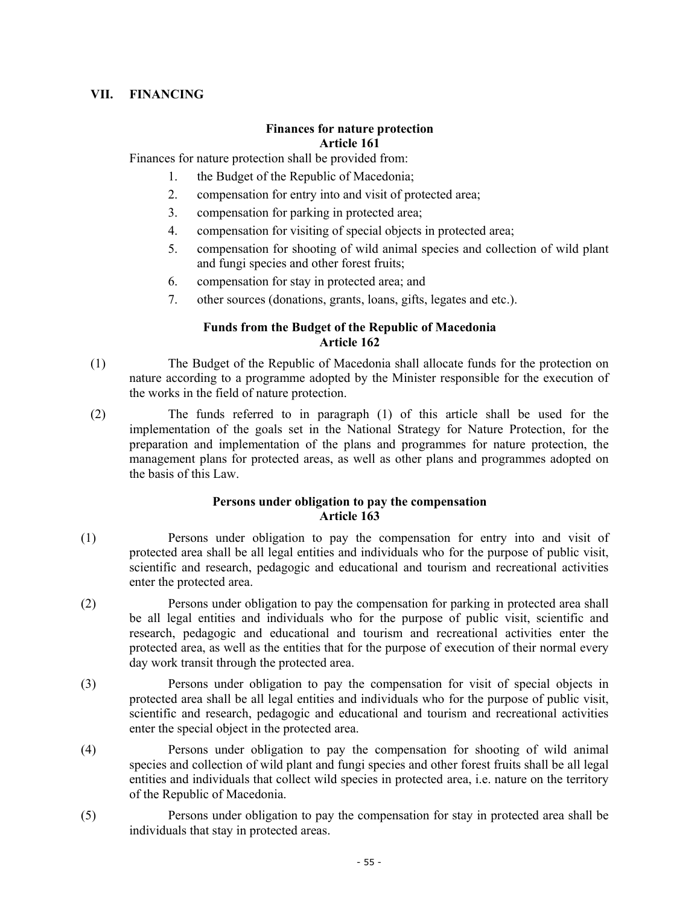# **VII. FINANCING**

# **Finances for nature protection Article 161**

Finances for nature protection shall be provided from:

- 1. the Budget of the Republic of Macedonia;
- 2. compensation for entry into and visit of protected area;
- 3. compensation for parking in protected area;
- 4. compensation for visiting of special objects in protected area;
- 5. compensation for shooting of wild animal species and collection of wild plant and fungi species and other forest fruits;
- 6. compensation for stay in protected area; and
- 7. other sources (donations, grants, loans, gifts, legates and etc.).

# **Funds from the Budget of the Republic of Macedonia Article 162**

- (1) The Budget of the Republic of Macedonia shall allocate funds for the protection on nature according to a programme adopted by the Minister responsible for the execution of the works in the field of nature protection.
- (2) The funds referred to in paragraph (1) of this article shall be used for the implementation of the goals set in the National Strategy for Nature Protection, for the preparation and implementation of the plans and programmes for nature protection, the management plans for protected areas, as well as other plans and programmes adopted on the basis of this Law.

### **Persons under obligation to pay the compensation Article 163**

- (1) Persons under obligation to pay the compensation for entry into and visit of protected area shall be all legal entities and individuals who for the purpose of public visit, scientific and research, pedagogic and educational and tourism and recreational activities enter the protected area.
- (2) Persons under obligation to pay the compensation for parking in protected area shall be all legal entities and individuals who for the purpose of public visit, scientific and research, pedagogic and educational and tourism and recreational activities enter the protected area, as well as the entities that for the purpose of execution of their normal every day work transit through the protected area.
- (3) Persons under obligation to pay the compensation for visit of special objects in protected area shall be all legal entities and individuals who for the purpose of public visit, scientific and research, pedagogic and educational and tourism and recreational activities enter the special object in the protected area.
- (4) Persons under obligation to pay the compensation for shooting of wild animal species and collection of wild plant and fungi species and other forest fruits shall be all legal entities and individuals that collect wild species in protected area, i.e. nature on the territory of the Republic of Macedonia.
- (5) Persons under obligation to pay the compensation for stay in protected area shall be individuals that stay in protected areas.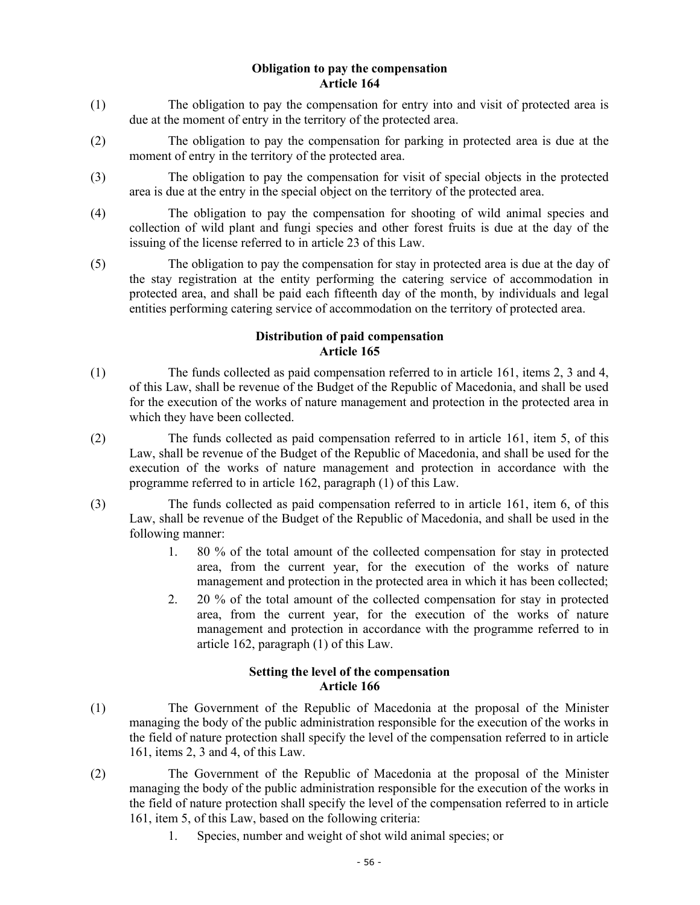### **Obligation to pay the compensation Article 164**

- (1) The obligation to pay the compensation for entry into and visit of protected area is due at the moment of entry in the territory of the protected area.
- (2) The obligation to pay the compensation for parking in protected area is due at the moment of entry in the territory of the protected area.
- (3) The obligation to pay the compensation for visit of special objects in the protected area is due at the entry in the special object on the territory of the protected area.
- (4) The obligation to pay the compensation for shooting of wild animal species and collection of wild plant and fungi species and other forest fruits is due at the day of the issuing of the license referred to in article 23 of this Law.
- (5) The obligation to pay the compensation for stay in protected area is due at the day of the stay registration at the entity performing the catering service of accommodation in protected area, and shall be paid each fifteenth day of the month, by individuals and legal entities performing catering service of accommodation on the territory of protected area.

# **Distribution of paid compensation Article 165**

- (1) The funds collected as paid compensation referred to in article 161, items 2, 3 and 4, of this Law, shall be revenue of the Budget of the Republic of Macedonia, and shall be used for the execution of the works of nature management and protection in the protected area in which they have been collected.
- (2) The funds collected as paid compensation referred to in article 161, item 5, of this Law, shall be revenue of the Budget of the Republic of Macedonia, and shall be used for the execution of the works of nature management and protection in accordance with the programme referred to in article 162, paragraph (1) of this Law.
- (3) The funds collected as paid compensation referred to in article 161, item 6, of this Law, shall be revenue of the Budget of the Republic of Macedonia, and shall be used in the following manner:
	- 1. 80 % of the total amount of the collected compensation for stay in protected area, from the current year, for the execution of the works of nature management and protection in the protected area in which it has been collected;
	- 2. 20 % of the total amount of the collected compensation for stay in protected area, from the current year, for the execution of the works of nature management and protection in accordance with the programme referred to in article 162, paragraph (1) of this Law.

# **Setting the level of the compensation Article 166**

- (1) The Government of the Republic of Macedonia at the proposal of the Minister managing the body of the public administration responsible for the execution of the works in the field of nature protection shall specify the level of the compensation referred to in article 161, items 2, 3 and 4, of this Law.
- (2) The Government of the Republic of Macedonia at the proposal of the Minister managing the body of the public administration responsible for the execution of the works in the field of nature protection shall specify the level of the compensation referred to in article 161, item 5, of this Law, based on the following criteria:
	- 1. Species, number and weight of shot wild animal species; or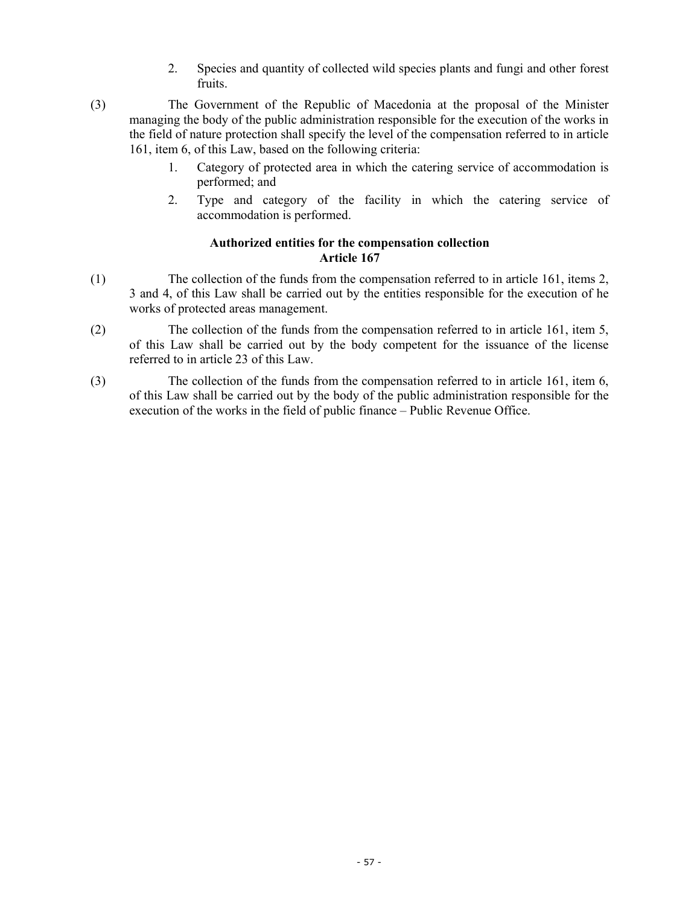- 2. Species and quantity of collected wild species plants and fungi and other forest fruits.
- (3) The Government of the Republic of Macedonia at the proposal of the Minister managing the body of the public administration responsible for the execution of the works in the field of nature protection shall specify the level of the compensation referred to in article 161, item 6, of this Law, based on the following criteria:
	- 1. Category of protected area in which the catering service of accommodation is performed; and
	- 2. Type and category of the facility in which the catering service of accommodation is performed.

# **Authorized entities for the compensation collection Article 167**

- (1) The collection of the funds from the compensation referred to in article 161, items 2, 3 and 4, of this Law shall be carried out by the entities responsible for the execution of he works of protected areas management.
- (2) The collection of the funds from the compensation referred to in article 161, item 5, of this Law shall be carried out by the body competent for the issuance of the license referred to in article 23 of this Law.
- (3) The collection of the funds from the compensation referred to in article 161, item 6, of this Law shall be carried out by the body of the public administration responsible for the execution of the works in the field of public finance – Public Revenue Office.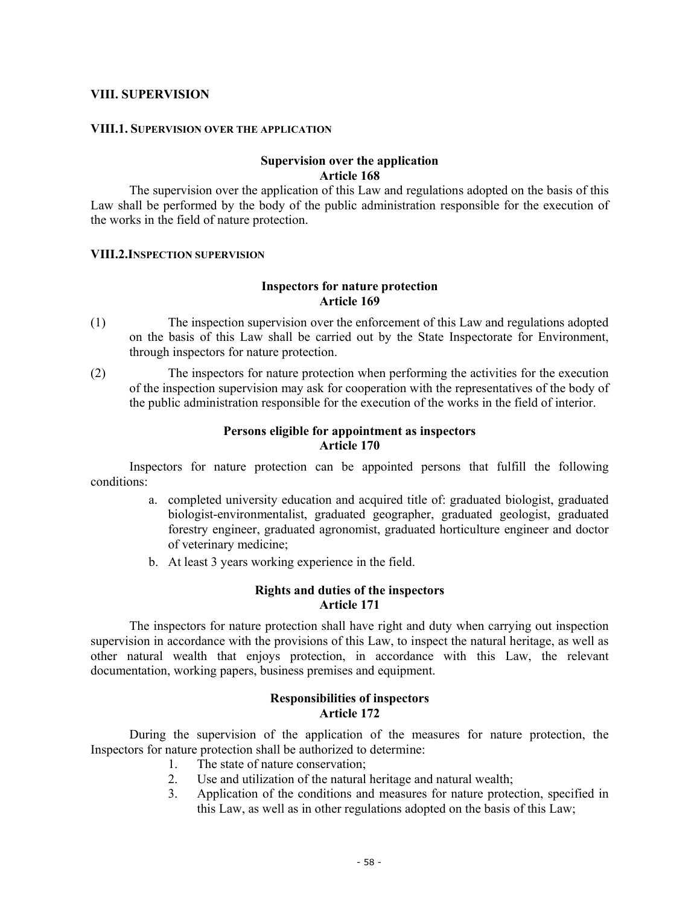#### **VIII. SUPERVISION**

#### **VIII.1. SUPERVISION OVER THE APPLICATION**

### **Supervision over the application Article 168**

The supervision over the application of this Law and regulations adopted on the basis of this Law shall be performed by the body of the public administration responsible for the execution of the works in the field of nature protection.

#### **VIII.2.INSPECTION SUPERVISION**

### **Inspectors for nature protection Article 169**

- (1) The inspection supervision over the enforcement of this Law and regulations adopted on the basis of this Law shall be carried out by the State Inspectorate for Environment, through inspectors for nature protection.
- (2) The inspectors for nature protection when performing the activities for the execution of the inspection supervision may ask for cooperation with the representatives of the body of the public administration responsible for the execution of the works in the field of interior.

### **Persons eligible for appointment as inspectors Article 170**

Inspectors for nature protection can be appointed persons that fulfill the following conditions:

- a. completed university education and acquired title of: graduated biologist, graduated biologist-environmentalist, graduated geographer, graduated geologist, graduated forestry engineer, graduated agronomist, graduated horticulture engineer and doctor of veterinary medicine;
- b. At least 3 years working experience in the field.

### **Rights and duties of the inspectors Article 171**

The inspectors for nature protection shall have right and duty when carrying out inspection supervision in accordance with the provisions of this Law, to inspect the natural heritage, as well as other natural wealth that enjoys protection, in accordance with this Law, the relevant documentation, working papers, business premises and equipment.

#### **Responsibilities of inspectors Article 172**

 During the supervision of the application of the measures for nature protection, the Inspectors for nature protection shall be authorized to determine:

- 1. The state of nature conservation;
- 2. Use and utilization of the natural heritage and natural wealth;
- 3. Application of the conditions and measures for nature protection, specified in this Law, as well as in other regulations adopted on the basis of this Law;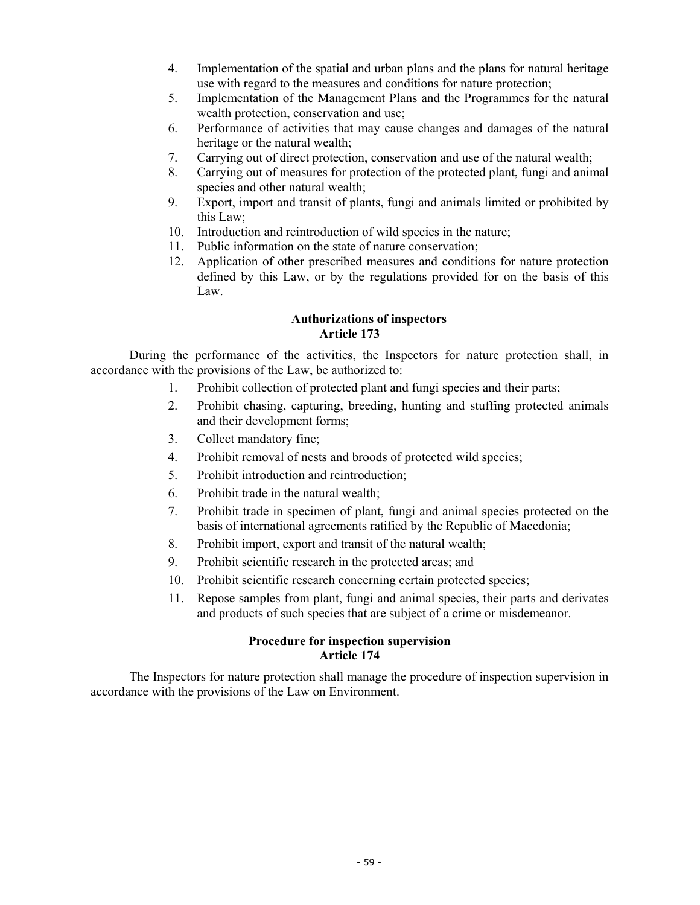- 4. Implementation of the spatial and urban plans and the plans for natural heritage use with regard to the measures and conditions for nature protection;
- 5. Implementation of the Management Plans and the Programmes for the natural wealth protection, conservation and use;
- 6. Performance of activities that may cause changes and damages of the natural heritage or the natural wealth;
- 7. Carrying out of direct protection, conservation and use of the natural wealth;
- 8. Carrying out of measures for protection of the protected plant, fungi and animal species and other natural wealth;
- 9. Export, import and transit of plants, fungi and animals limited or prohibited by this Law;
- 10. Introduction and reintroduction of wild species in the nature;
- 11. Public information on the state of nature conservation;
- 12. Application of other prescribed measures and conditions for nature protection defined by this Law, or by the regulations provided for on the basis of this Law.

# **Authorizations of inspectors Article 173**

 During the performance of the activities, the Inspectors for nature protection shall, in accordance with the provisions of the Law, be authorized to:

- 1. Prohibit collection of protected plant and fungi species and their parts;
- 2. Prohibit chasing, capturing, breeding, hunting and stuffing protected animals and their development forms;
- 3. Collect mandatory fine;
- 4. Prohibit removal of nests and broods of protected wild species;
- 5. Prohibit introduction and reintroduction;
- 6. Prohibit trade in the natural wealth;
- 7. Prohibit trade in specimen of plant, fungi and animal species protected on the basis of international agreements ratified by the Republic of Macedonia;
- 8. Prohibit import, export and transit of the natural wealth;
- 9. Prohibit scientific research in the protected areas; and
- 10. Prohibit scientific research concerning certain protected species;
- 11. Repose samples from plant, fungi and animal species, their parts and derivates and products of such species that are subject of a crime or misdemeanor.

### **Procedure for inspection supervision Article 174**

 The Inspectors for nature protection shall manage the procedure of inspection supervision in accordance with the provisions of the Law on Environment.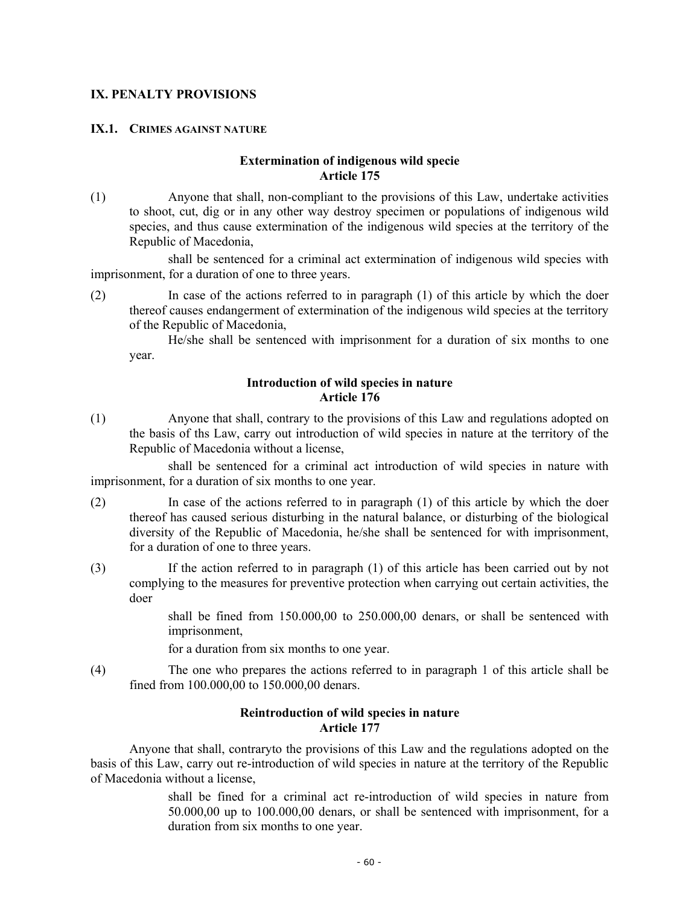# **IX. PENALTY PROVISIONS**

# **IX.1. CRIMES AGAINST NATURE**

### **Extermination of indigenous wild specie Article 175**

(1) Anyone that shall, non-compliant to the provisions of this Law, undertake activities to shoot, cut, dig or in any other way destroy specimen or populations of indigenous wild species, and thus cause extermination of the indigenous wild species at the territory of the Republic of Macedonia,

 shall be sentenced for a criminal act extermination of indigenous wild species with imprisonment, for a duration of one to three years.

(2) In case of the actions referred to in paragraph (1) of this article by which the doer thereof causes endangerment of extermination of the indigenous wild species at the territory of the Republic of Macedonia,

He/she shall be sentenced with imprisonment for a duration of six months to one year.

### **Introduction of wild species in nature Article 176**

(1) Anyone that shall, contrary to the provisions of this Law and regulations adopted on the basis of ths Law, carry out introduction of wild species in nature at the territory of the Republic of Macedonia without a license,

 shall be sentenced for a criminal act introduction of wild species in nature with imprisonment, for a duration of six months to one year.

- (2) In case of the actions referred to in paragraph (1) of this article by which the doer thereof has caused serious disturbing in the natural balance, or disturbing of the biological diversity of the Republic of Macedonia, he/she shall be sentenced for with imprisonment, for a duration of one to three years.
- (3) If the action referred to in paragraph (1) of this article has been carried out by not complying to the measures for preventive protection when carrying out certain activities, the doer

shall be fined from 150.000,00 to 250.000,00 denars, or shall be sentenced with imprisonment,

for a duration from six months to one year.

(4) The one who prepares the actions referred to in paragraph 1 of this article shall be fined from 100.000,00 to 150.000,00 denars.

#### **Reintroduction of wild species in nature Article 177**

 Anyone that shall, contraryto the provisions of this Law and the regulations adopted on the basis of this Law, carry out re-introduction of wild species in nature at the territory of the Republic of Macedonia without a license,

> shall be fined for a criminal act re-introduction of wild species in nature from 50.000,00 up to 100.000,00 denars, or shall be sentenced with imprisonment, for a duration from six months to one year.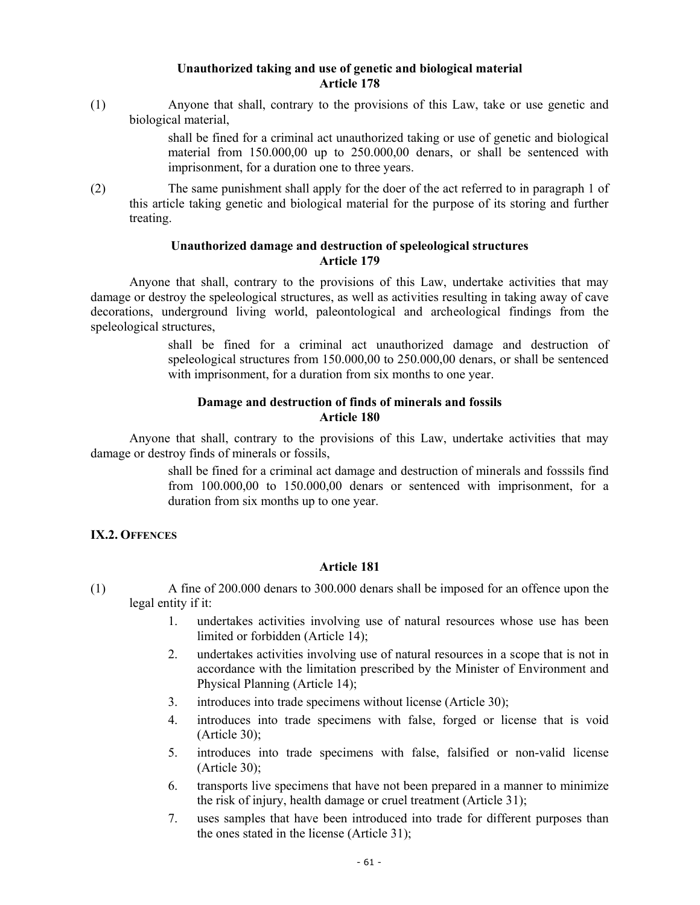### **Unauthorized taking and use of genetic and biological material Article 178**

(1) Anyone that shall, contrary to the provisions of this Law, take or use genetic and biological material,

> shall be fined for a criminal act unauthorized taking or use of genetic and biological material from 150.000,00 up to 250.000,00 denars, or shall be sentenced with imprisonment, for a duration one to three years.

(2) The same punishment shall apply for the doer of the act referred to in paragraph 1 of this article taking genetic and biological material for the purpose of its storing and further treating.

# **Unauthorized damage and destruction of speleological structures Article 179**

Anyone that shall, contrary to the provisions of this Law, undertake activities that may damage or destroy the speleological structures, as well as activities resulting in taking away of cave decorations, underground living world, paleontological and archeological findings from the speleological structures,

> shall be fined for a criminal act unauthorized damage and destruction of speleological structures from 150.000,00 to 250.000,00 denars, or shall be sentenced with imprisonment, for a duration from six months to one year.

# **Damage and destruction of finds of minerals and fossils Article 180**

Anyone that shall, contrary to the provisions of this Law, undertake activities that may damage or destroy finds of minerals or fossils,

> shall be fined for a criminal act damage and destruction of minerals and fosssils find from 100.000,00 to 150.000,00 denars or sentenced with imprisonment, for a duration from six months up to one year.

# **IX.2. OFFENCES**

- (1) A fine of 200.000 denars to 300.000 denars shall be imposed for an offence upon the legal entity if it:
	- 1. undertakes activities involving use of natural resources whose use has been limited or forbidden (Article 14);
	- 2. undertakes activities involving use of natural resources in a scope that is not in accordance with the limitation prescribed by the Minister of Environment and Physical Planning (Article 14);
	- 3. introduces into trade specimens without license (Article 30);
	- 4. introduces into trade specimens with false, forged or license that is void (Article 30);
	- 5. introduces into trade specimens with false, falsified or non-valid license (Article 30);
	- 6. transports live specimens that have not been prepared in a manner to minimize the risk of injury, health damage or cruel treatment (Article 31);
	- 7. uses samples that have been introduced into trade for different purposes than the ones stated in the license (Article 31);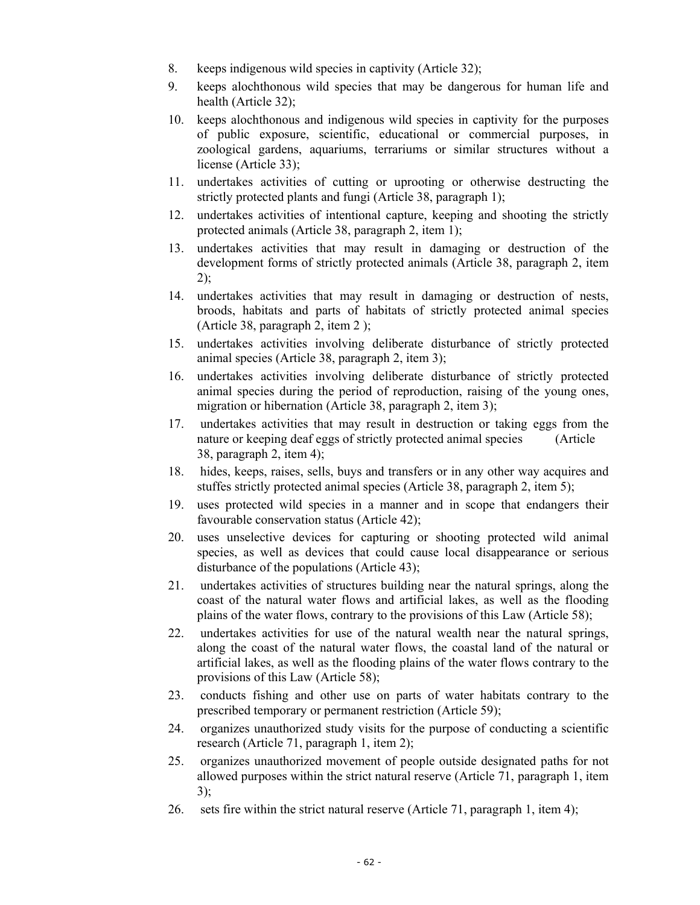- 8. keeps indigenous wild species in captivity (Article 32);
- 9. keeps alochthonous wild species that may be dangerous for human life and health (Article 32);
- 10. keeps alochthonous and indigenous wild species in captivity for the purposes of public exposure, scientific, educational or commercial purposes, in zoological gardens, aquariums, terrariums or similar structures without a license (Article 33);
- 11. undertakes activities of cutting or uprooting or otherwise destructing the strictly protected plants and fungi (Article 38, paragraph 1);
- 12. undertakes activities of intentional capture, keeping and shooting the strictly protected animals (Article 38, paragraph 2, item 1);
- 13. undertakes activities that may result in damaging or destruction of the development forms of strictly protected animals (Article 38, paragraph 2, item  $2)$ ;
- 14. undertakes activities that may result in damaging or destruction of nests, broods, habitats and parts of habitats of strictly protected animal species (Article 38, paragraph 2, item 2 );
- 15. undertakes activities involving deliberate disturbance of strictly protected animal species (Article 38, paragraph 2, item 3);
- 16. undertakes activities involving deliberate disturbance of strictly protected animal species during the period of reproduction, raising of the young ones, migration or hibernation (Article 38, paragraph 2, item 3);
- 17. undertakes activities that may result in destruction or taking eggs from the nature or keeping deaf eggs of strictly protected animal species (Article 38, paragraph 2, item 4);
- 18. hides, keeps, raises, sells, buys and transfers or in any other way acquires and stuffes strictly protected animal species (Article 38, paragraph 2, item 5);
- 19. uses protected wild species in a manner and in scope that endangers their favourable conservation status (Article 42);
- 20. uses unselective devices for capturing or shooting protected wild animal species, as well as devices that could cause local disappearance or serious disturbance of the populations (Article 43);
- 21. undertakes activities of structures building near the natural springs, along the coast of the natural water flows and artificial lakes, as well as the flooding plains of the water flows, contrary to the provisions of this Law (Article 58);
- 22. undertakes activities for use of the natural wealth near the natural springs, along the coast of the natural water flows, the coastal land of the natural or artificial lakes, as well as the flooding plains of the water flows contrary to the provisions of this Law (Article 58);
- 23. conducts fishing and other use on parts of water habitats contrary to the prescribed temporary or permanent restriction (Article 59);
- 24. organizes unauthorized study visits for the purpose of conducting a scientific research (Article 71, paragraph 1, item 2);
- 25. organizes unauthorized movement of people outside designated paths for not allowed purposes within the strict natural reserve (Article 71, paragraph 1, item 3);
- 26. sets fire within the strict natural reserve (Article 71, paragraph 1, item 4);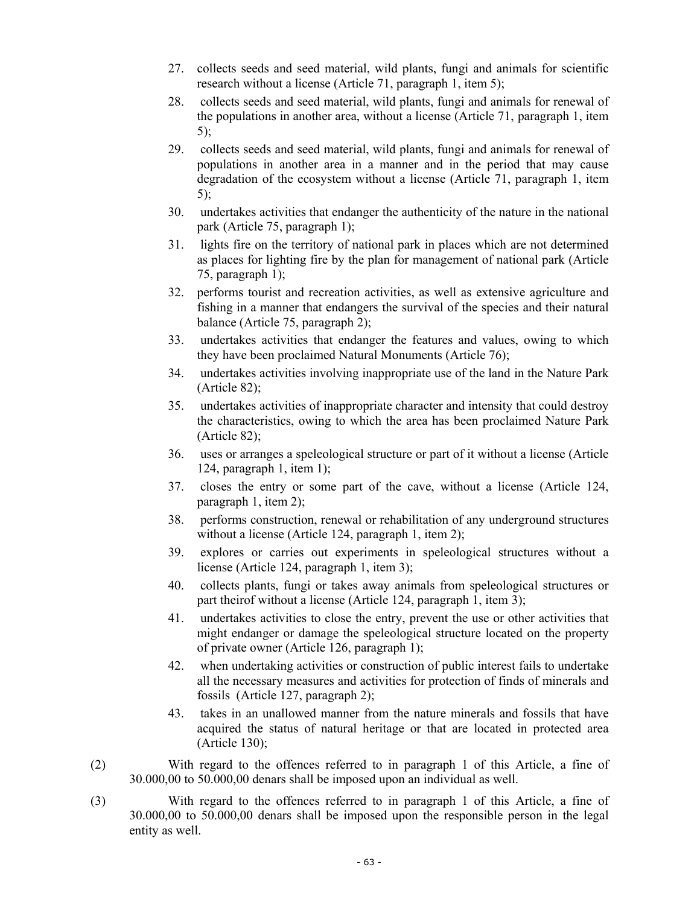- 27. collects seeds and seed material, wild plants, fungi and animals for scientific research without a license (Article 71, paragraph 1, item 5);
- 28. collects seeds and seed material, wild plants, fungi and animals for renewal of the populations in another area, without a license (Article 71, paragraph 1, item 5);
- 29. collects seeds and seed material, wild plants, fungi and animals for renewal of populations in another area in a manner and in the period that may cause degradation of the ecosystem without a license (Article 71, paragraph 1, item 5);
- 30. undertakes activities that endanger the authenticity of the nature in the national park (Article 75, paragraph 1);
- 31. lights fire on the territory of national park in places which are not determined as places for lighting fire by the plan for management of national park (Article 75, paragraph 1);
- 32. performs tourist and recreation activities, as well as extensive agriculture and fishing in a manner that endangers the survival of the species and their natural balance (Article 75, paragraph 2);
- 33. undertakes activities that endanger the features and values, owing to which they have been proclaimed Natural Monuments (Article 76);
- 34. undertakes activities involving inappropriate use of the land in the Nature Park (Article 82);
- 35. undertakes activities of inappropriate character and intensity that could destroy the characteristics, owing to which the area has been proclaimed Nature Park (Article 82);
- 36. uses or arranges a speleological structure or part of it without a license (Article 124, paragraph 1, item 1);
- 37. closes the entry or some part of the cave, without a license (Article 124, paragraph 1, item 2);
- 38. performs construction, renewal or rehabilitation of any underground structures without a license (Article 124, paragraph 1, item 2);
- 39. explores or carries out experiments in speleological structures without a license (Article 124, paragraph 1, item 3);
- 40. collects plants, fungi or takes away animals from speleological structures or part theirof without a license (Article 124, paragraph 1, item 3);
- 41. undertakes activities to close the entry, prevent the use or other activities that might endanger or damage the speleological structure located on the property of private owner (Article 126, paragraph 1);
- 42. when undertaking activities or construction of public interest fails to undertake all the necessary measures and activities for protection of finds of minerals and fossils (Article 127, paragraph 2);
- 43. takes in an unallowed manner from the nature minerals and fossils that have acquired the status of natural heritage or that are located in protected area (Article 130);
- (2) With regard to the offences referred to in paragraph 1 of this Article, a fine of 30.000,00 to 50.000,00 denars shall be imposed upon an individual as well.
- (3) With regard to the offences referred to in paragraph 1 of this Article, a fine of 30.000,00 to 50.000,00 denars shall be imposed upon the responsible person in the legal entity as well.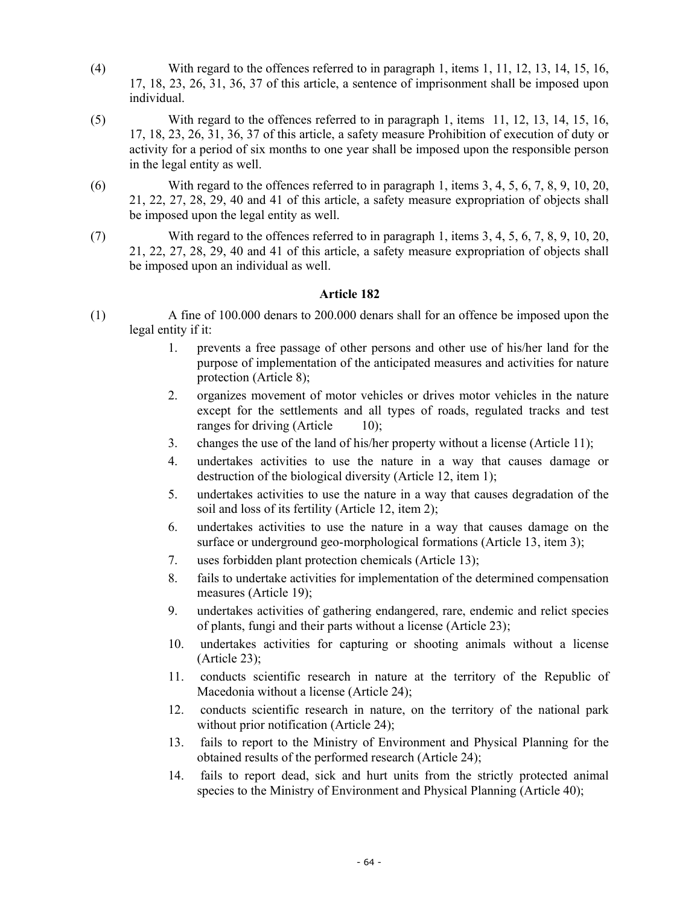- (4) With regard to the offences referred to in paragraph 1, items 1, 11, 12, 13, 14, 15, 16, 17, 18, 23, 26, 31, 36, 37 of this article, a sentence of imprisonment shall be imposed upon individual.
- (5) With regard to the offences referred to in paragraph 1, items 11, 12, 13, 14, 15, 16, 17, 18, 23, 26, 31, 36, 37 of this article, a safety measure Prohibition of execution of duty or activity for a period of six months to one year shall be imposed upon the responsible person in the legal entity as well.
- (6) With regard to the offences referred to in paragraph 1, items 3, 4, 5, 6, 7, 8, 9, 10, 20, 21, 22, 27, 28, 29, 40 and 41 of this article, a safety measure expropriation of objects shall be imposed upon the legal entity as well.
- (7) With regard to the offences referred to in paragraph 1, items 3, 4, 5, 6, 7, 8, 9, 10, 20, 21, 22, 27, 28, 29, 40 and 41 of this article, a safety measure expropriation of objects shall be imposed upon an individual as well.

- (1) A fine of 100.000 denars to 200.000 denars shall for an offence be imposed upon the legal entity if it:
	- 1. prevents a free passage of other persons and other use of his/her land for the purpose of implementation of the anticipated measures and activities for nature protection (Article 8);
	- 2. organizes movement of motor vehicles or drives motor vehicles in the nature except for the settlements and all types of roads, regulated tracks and test ranges for driving (Article 10);
	- 3. changes the use of the land of his/her property without a license (Article 11);
	- 4. undertakes activities to use the nature in a way that causes damage or destruction of the biological diversity (Article 12, item 1);
	- 5. undertakes activities to use the nature in a way that causes degradation of the soil and loss of its fertility (Article 12, item 2);
	- 6. undertakes activities to use the nature in a way that causes damage on the surface or underground geo-morphological formations (Article 13, item 3);
	- 7. uses forbidden plant protection chemicals (Article 13);
	- 8. fails to undertake activities for implementation of the determined compensation measures (Article 19);
	- 9. undertakes activities of gathering endangered, rare, endemic and relict species of plants, fungi and their parts without a license (Article 23);
	- 10. undertakes activities for capturing or shooting animals without a license (Article 23);
	- 11. conducts scientific research in nature at the territory of the Republic of Macedonia without a license (Article 24);
	- 12. conducts scientific research in nature, on the territory of the national park without prior notification (Article 24);
	- 13. fails to report to the Ministry of Environment and Physical Planning for the obtained results of the performed research (Article 24);
	- 14. fails to report dead, sick and hurt units from the strictly protected animal species to the Ministry of Environment and Physical Planning (Article 40);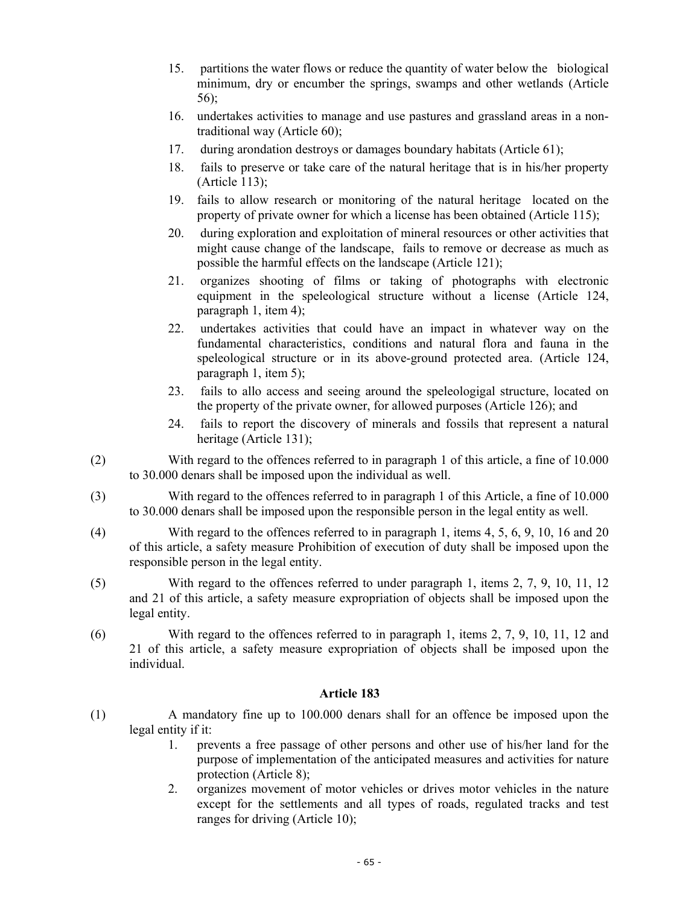- 15. partitions the water flows or reduce the quantity of water below the biological minimum, dry or encumber the springs, swamps and other wetlands (Article 56);
- 16. undertakes activities to manage and use pastures and grassland areas in a nontraditional way (Article 60);
- 17. during arondation destroys or damages boundary habitats (Article 61);
- 18. fails to preserve or take care of the natural heritage that is in his/her property (Article 113);
- 19. fails to allow research or monitoring of the natural heritage located on the property of private owner for which a license has been obtained (Article 115);
- 20. during exploration and exploitation of mineral resources or other activities that might cause change of the landscape, fails to remove or decrease as much as possible the harmful effects on the landscape (Article 121);
- 21. organizes shooting of films or taking of photographs with electronic equipment in the speleological structure without a license (Article 124, paragraph 1, item 4);
- 22. undertakes activities that could have an impact in whatever way on the fundamental characteristics, conditions and natural flora and fauna in the speleological structure or in its above-ground protected area. (Article 124, paragraph 1, item 5);
- 23. fails to allo access and seeing around the speleologigal structure, located on the property of the private owner, for allowed purposes (Article 126); and
- 24. fails to report the discovery of minerals and fossils that represent a natural heritage (Article 131);
- (2) With regard to the offences referred to in paragraph 1 of this article, a fine of 10.000 to 30.000 denars shall be imposed upon the individual as well.
- (3) With regard to the offences referred to in paragraph 1 of this Article, a fine of 10.000 to 30.000 denars shall be imposed upon the responsible person in the legal entity as well.
- (4) With regard to the offences referred to in paragraph 1, items 4, 5, 6, 9, 10, 16 and 20 of this article, a safety measure Prohibition of execution of duty shall be imposed upon the responsible person in the legal entity.
- (5) With regard to the offences referred to under paragraph 1, items 2, 7, 9, 10, 11, 12 and 21 of this article, a safety measure expropriation of objects shall be imposed upon the legal entity.
- (6) With regard to the offences referred to in paragraph 1, items 2, 7, 9, 10, 11, 12 and 21 of this article, a safety measure expropriation of objects shall be imposed upon the individual.

- (1) A mandatory fine up to 100.000 denars shall for an offence be imposed upon the legal entity if it:
	- 1. prevents a free passage of other persons and other use of his/her land for the purpose of implementation of the anticipated measures and activities for nature protection (Article 8);
	- 2. organizes movement of motor vehicles or drives motor vehicles in the nature except for the settlements and all types of roads, regulated tracks and test ranges for driving (Article 10);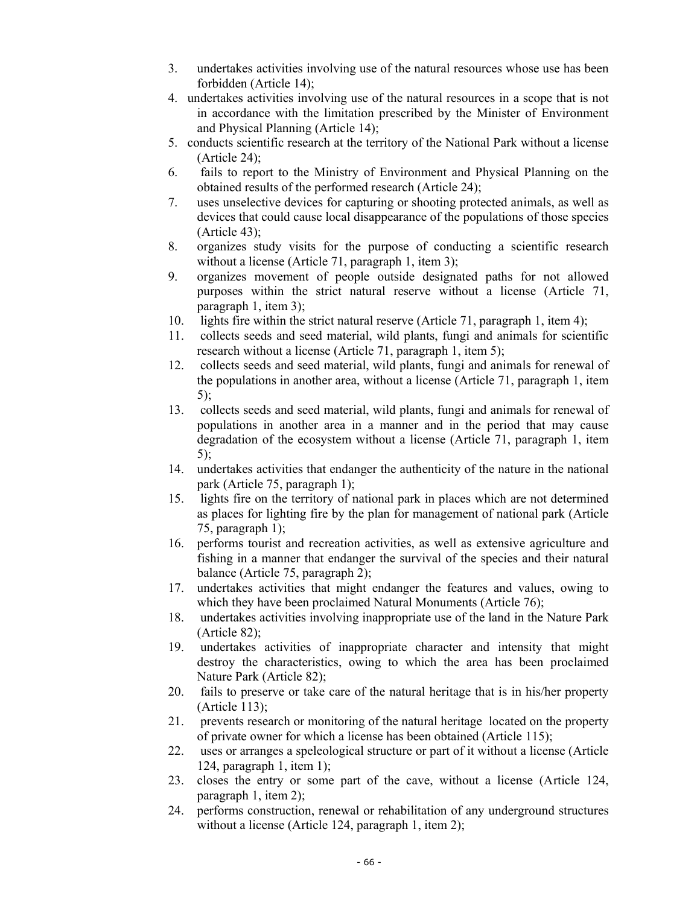- 3. undertakes activities involving use of the natural resources whose use has been forbidden (Article 14);
- 4. undertakes activities involving use of the natural resources in a scope that is not in accordance with the limitation prescribed by the Minister of Environment and Physical Planning (Article 14);
- 5. conducts scientific research at the territory of the National Park without a license (Article 24);
- 6. fails to report to the Ministry of Environment and Physical Planning on the obtained results of the performed research (Article 24);
- 7. uses unselective devices for capturing or shooting protected animals, as well as devices that could cause local disappearance of the populations of those species (Article 43);
- 8. organizes study visits for the purpose of conducting a scientific research without a license (Article 71, paragraph 1, item 3);
- 9. organizes movement of people outside designated paths for not allowed purposes within the strict natural reserve without a license (Article 71, paragraph 1, item 3);
- 10. lights fire within the strict natural reserve (Article 71, paragraph 1, item 4);
- 11. collects seeds and seed material, wild plants, fungi and animals for scientific research without a license (Article 71, paragraph 1, item 5);
- 12. collects seeds and seed material, wild plants, fungi and animals for renewal of the populations in another area, without a license (Article 71, paragraph 1, item 5);
- 13. collects seeds and seed material, wild plants, fungi and animals for renewal of populations in another area in a manner and in the period that may cause degradation of the ecosystem without a license (Article 71, paragraph 1, item 5);
- 14. undertakes activities that endanger the authenticity of the nature in the national park (Article 75, paragraph 1);
- 15. lights fire on the territory of national park in places which are not determined as places for lighting fire by the plan for management of national park (Article 75, paragraph 1);
- 16. performs tourist and recreation activities, as well as extensive agriculture and fishing in a manner that endanger the survival of the species and their natural balance (Article 75, paragraph 2);
- 17. undertakes activities that might endanger the features and values, owing to which they have been proclaimed Natural Monuments (Article 76);
- 18. undertakes activities involving inappropriate use of the land in the Nature Park (Article 82);
- 19. undertakes activities of inappropriate character and intensity that might destroy the characteristics, owing to which the area has been proclaimed Nature Park (Article 82);
- 20. fails to preserve or take care of the natural heritage that is in his/her property (Article 113);
- 21. prevents research or monitoring of the natural heritage located on the property of private owner for which a license has been obtained (Article 115);
- 22. uses or arranges a speleological structure or part of it without a license (Article 124, paragraph 1, item 1);
- 23. closes the entry or some part of the cave, without a license (Article 124, paragraph 1, item 2);
- 24. performs construction, renewal or rehabilitation of any underground structures without a license (Article 124, paragraph 1, item 2);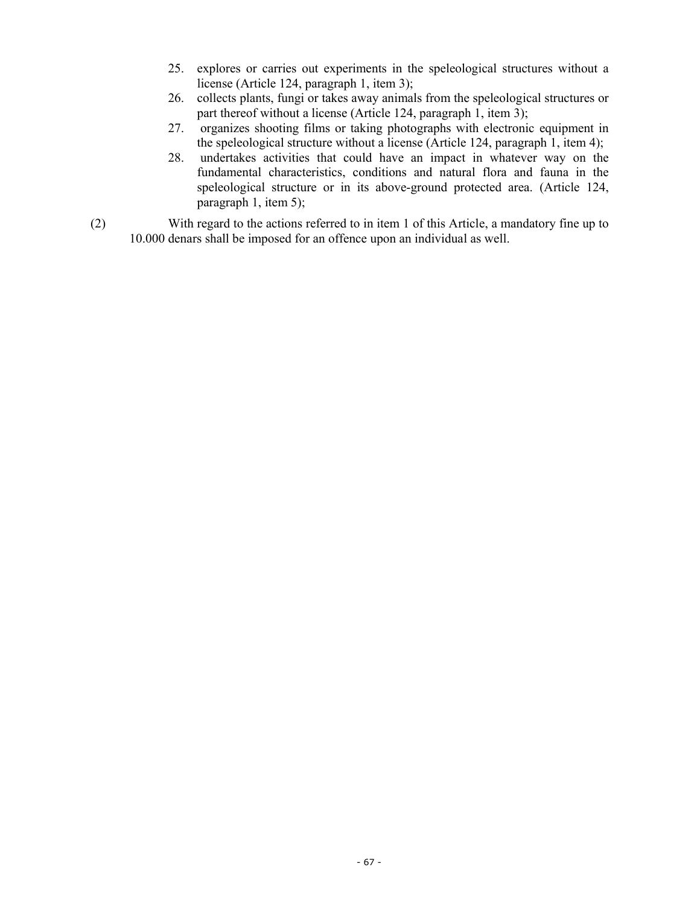- 25. explores or carries out experiments in the speleological structures without a license (Article 124, paragraph 1, item 3);
- 26. collects plants, fungi or takes away animals from the speleological structures or part thereof without a license (Article 124, paragraph 1, item 3);
- 27. organizes shooting films or taking photographs with electronic equipment in the speleological structure without a license (Article 124, paragraph 1, item 4);
- 28. undertakes activities that could have an impact in whatever way on the fundamental characteristics, conditions and natural flora and fauna in the speleological structure or in its above-ground protected area. (Article 124, paragraph 1, item 5);
- (2) With regard to the actions referred to in item 1 of this Article, a mandatory fine up to 10.000 denars shall be imposed for an offence upon an individual as well.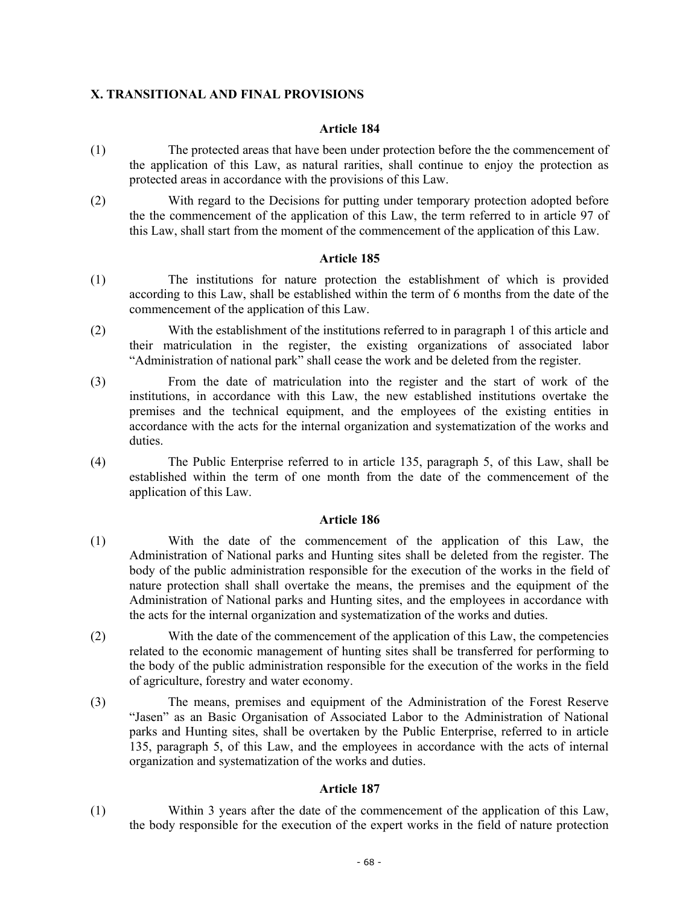# **X. TRANSITIONAL AND FINAL PROVISIONS**

# **Article 184**

- (1) The protected areas that have been under protection before the the commencement of the application of this Law, as natural rarities, shall continue to enjoy the protection as protected areas in accordance with the provisions of this Law.
- (2) With regard to the Decisions for putting under temporary protection adopted before the the commencement of the application of this Law, the term referred to in article 97 of this Law, shall start from the moment of the commencement of the application of this Law.

### **Article 185**

- (1) The institutions for nature protection the establishment of which is provided according to this Law, shall be established within the term of 6 months from the date of the commencement of the application of this Law.
- (2) With the establishment of the institutions referred to in paragraph 1 of this article and their matriculation in the register, the existing organizations of associated labor "Administration of national park" shall cease the work and be deleted from the register.
- (3) From the date of matriculation into the register and the start of work of the institutions, in accordance with this Law, the new established institutions overtake the premises and the technical equipment, and the employees of the existing entities in accordance with the acts for the internal organization and systematization of the works and duties.
- (4) The Public Enterprise referred to in article 135, paragraph 5, of this Law, shall be established within the term of one month from the date of the commencement of the application of this Law.

### **Article 186**

- (1) With the date of the commencement of the application of this Law, the Administration of National parks and Hunting sites shall be deleted from the register. The body of the public administration responsible for the execution of the works in the field of nature protection shall shall overtake the means, the premises and the equipment of the Administration of National parks and Hunting sites, and the employees in accordance with the acts for the internal organization and systematization of the works and duties.
- (2) With the date of the commencement of the application of this Law, the competencies related to the economic management of hunting sites shall be transferred for performing to the body of the public administration responsible for the execution of the works in the field of agriculture, forestry and water economy.
- (3) The means, premises and equipment of the Administration of the Forest Reserve "Jasen" as an Basic Organisation of Associated Labor to the Administration of National parks and Hunting sites, shall be overtaken by the Public Enterprise, referred to in article 135, paragraph 5, of this Law, and the employees in accordance with the acts of internal organization and systematization of the works and duties.

### **Article 187**

(1) Within 3 years after the date of the commencement of the application of this Law, the body responsible for the execution of the expert works in the field of nature protection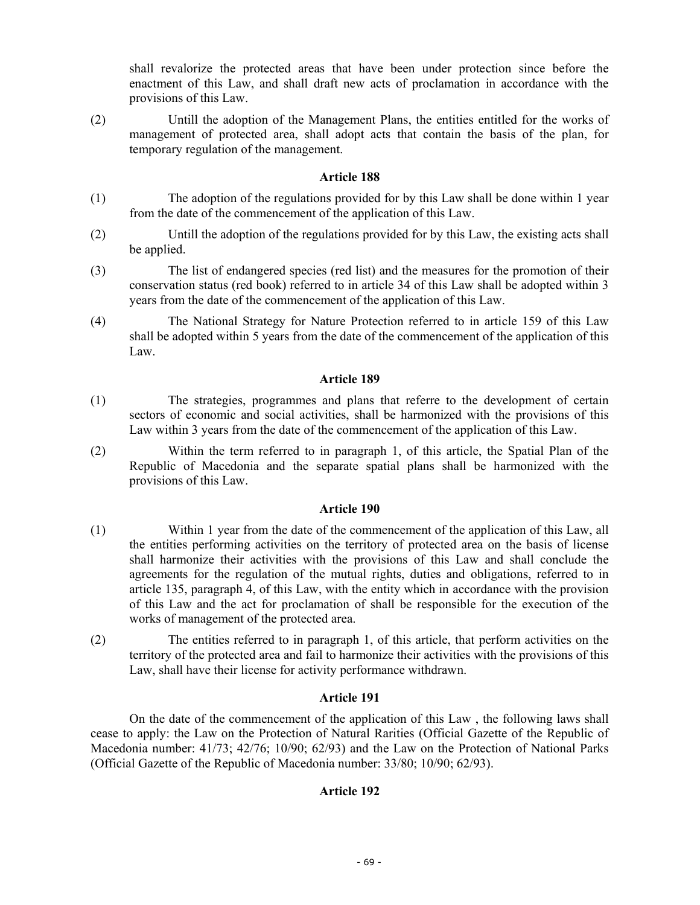shall revalorize the protected areas that have been under protection since before the enactment of this Law, and shall draft new acts of proclamation in accordance with the provisions of this Law.

(2) Untill the adoption of the Management Plans, the entities entitled for the works of management of protected area, shall adopt acts that contain the basis of the plan, for temporary regulation of the management.

### **Article 188**

- (1) The adoption of the regulations provided for by this Law shall be done within 1 year from the date of the commencement of the application of this Law.
- (2) Untill the adoption of the regulations provided for by this Law, the existing acts shall be applied.
- (3) The list of endangered species (red list) and the measures for the promotion of their conservation status (red book) referred to in article 34 of this Law shall be adopted within 3 years from the date of the commencement of the application of this Law.
- (4) The National Strategy for Nature Protection referred to in article 159 of this Law shall be adopted within 5 years from the date of the commencement of the application of this Law.

### **Article 189**

- (1) The strategies, programmes and plans that referre to the development of certain sectors of economic and social activities, shall be harmonized with the provisions of this Law within 3 years from the date of the commencement of the application of this Law.
- (2) Within the term referred to in paragraph 1, of this article, the Spatial Plan of the Republic of Macedonia and the separate spatial plans shall be harmonized with the provisions of this Law.

### **Article 190**

- (1) Within 1 year from the date of the commencement of the application of this Law, all the entities performing activities on the territory of protected area on the basis of license shall harmonize their activities with the provisions of this Law and shall conclude the agreements for the regulation of the mutual rights, duties and obligations, referred to in article 135, paragraph 4, of this Law, with the entity which in accordance with the provision of this Law and the act for proclamation of shall be responsible for the execution of the works of management of the protected area.
- (2) The entities referred to in paragraph 1, of this article, that perform activities on the territory of the protected area and fail to harmonize their activities with the provisions of this Law, shall have their license for activity performance withdrawn.

### **Article 191**

 On the date of the commencement of the application of this Law , the following laws shall cease to apply: the Law on the Protection of Natural Rarities (Official Gazette of the Republic of Macedonia number: 41/73; 42/76; 10/90; 62/93) and the Law on the Protection of National Parks (Official Gazette of the Republic of Macedonia number: 33/80; 10/90; 62/93).